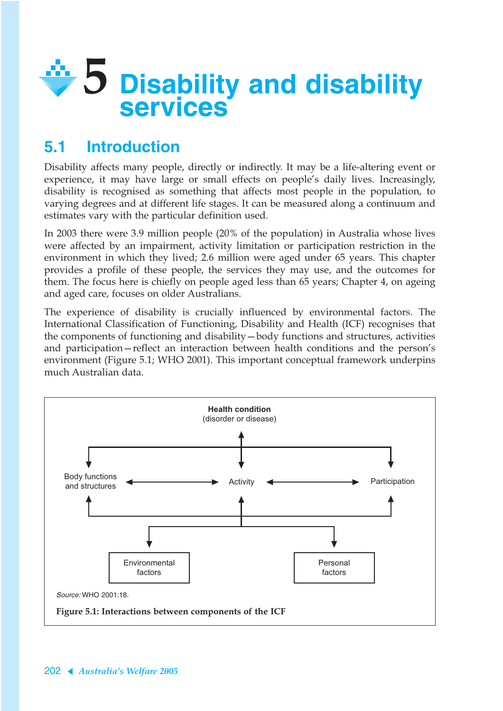

# **5.1 Introduction**

Disability affects many people, directly or indirectly. It may be a life-altering event or experience, it may have large or small effects on people's daily lives. Increasingly, disability is recognised as something that affects most people in the population, to varying degrees and at different life stages. It can be measured along a continuum and estimates vary with the particular definition used.

In 2003 there were 3.9 million people (20% of the population) in Australia whose lives were affected by an impairment, activity limitation or participation restriction in the environment in which they lived; 2.6 million were aged under 65 years. This chapter provides a profile of these people, the services they may use, and the outcomes for them. The focus here is chiefly on people aged less than 65 years; Chapter 4, on ageing and aged care, focuses on older Australians.

The experience of disability is crucially influenced by environmental factors. The International Classification of Functioning, Disability and Health (ICF) recognises that the components of functioning and disability—body functions and structures, activities and participation—reflect an interaction between health conditions and the person's environment (Figure 5.1; WHO 2001). This important conceptual framework underpins much Australian data.

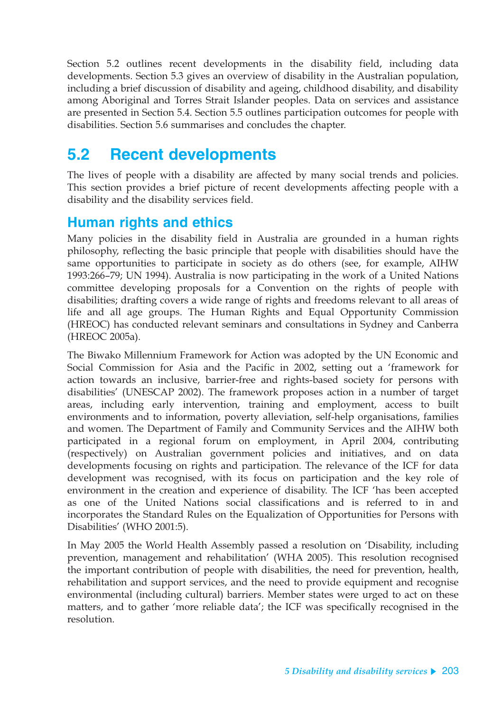Section 5.2 outlines recent developments in the disability field, including data developments. Section 5.3 gives an overview of disability in the Australian population, including a brief discussion of disability and ageing, childhood disability, and disability among Aboriginal and Torres Strait Islander peoples. Data on services and assistance are presented in Section 5.4. Section 5.5 outlines participation outcomes for people with disabilities. Section 5.6 summarises and concludes the chapter.

# **5.2 Recent developments**

The lives of people with a disability are affected by many social trends and policies. This section provides a brief picture of recent developments affecting people with a disability and the disability services field.

## **Human rights and ethics**

Many policies in the disability field in Australia are grounded in a human rights philosophy, reflecting the basic principle that people with disabilities should have the same opportunities to participate in society as do others (see, for example, AIHW 1993:266–79; UN 1994). Australia is now participating in the work of a United Nations committee developing proposals for a Convention on the rights of people with disabilities; drafting covers a wide range of rights and freedoms relevant to all areas of life and all age groups. The Human Rights and Equal Opportunity Commission (HREOC) has conducted relevant seminars and consultations in Sydney and Canberra (HREOC 2005a).

The Biwako Millennium Framework for Action was adopted by the UN Economic and Social Commission for Asia and the Pacific in 2002, setting out a 'framework for action towards an inclusive, barrier-free and rights-based society for persons with disabilities' (UNESCAP 2002). The framework proposes action in a number of target areas, including early intervention, training and employment, access to built environments and to information, poverty alleviation, self-help organisations, families and women. The Department of Family and Community Services and the AIHW both participated in a regional forum on employment, in April 2004, contributing (respectively) on Australian government policies and initiatives, and on data developments focusing on rights and participation. The relevance of the ICF for data development was recognised, with its focus on participation and the key role of environment in the creation and experience of disability. The ICF 'has been accepted as one of the United Nations social classifications and is referred to in and incorporates the Standard Rules on the Equalization of Opportunities for Persons with Disabilities' (WHO 2001:5).

In May 2005 the World Health Assembly passed a resolution on 'Disability, including prevention, management and rehabilitation' (WHA 2005). This resolution recognised the important contribution of people with disabilities, the need for prevention, health, rehabilitation and support services, and the need to provide equipment and recognise environmental (including cultural) barriers. Member states were urged to act on these matters, and to gather 'more reliable data'; the ICF was specifically recognised in the resolution.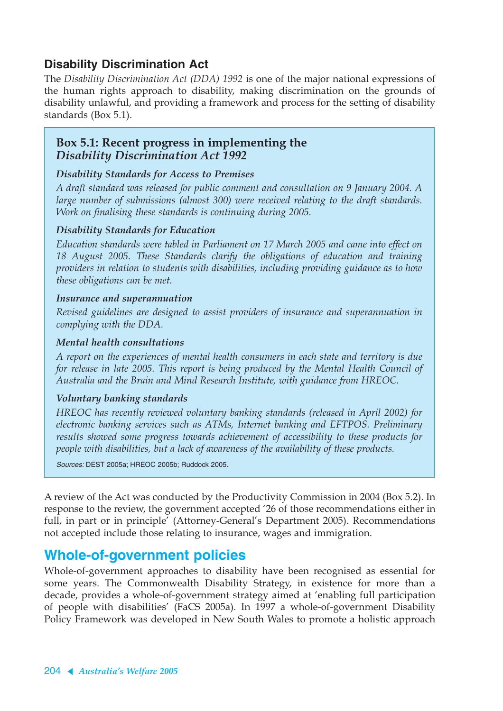### **Disability Discrimination Act**

The *Disability Discrimination Act (DDA) 1992* is one of the major national expressions of the human rights approach to disability, making discrimination on the grounds of disability unlawful, and providing a framework and process for the setting of disability standards (Box 5.1).

### **Box 5.1: Recent progress in implementing the**  *Disability Discrimination Act 1992*

#### *Disability Standards for Access to Premises*

*A draft standard was released for public comment and consultation on 9 January 2004. A large number of submissions (almost 300) were received relating to the draft standards. Work on finalising these standards is continuing during 2005.*

#### *Disability Standards for Education*

*Education standards were tabled in Parliament on 17 March 2005 and came into effect on 18 August 2005. These Standards clarify the obligations of education and training providers in relation to students with disabilities, including providing guidance as to how these obligations can be met.*

#### *Insurance and superannuation*

*Revised guidelines are designed to assist providers of insurance and superannuation in complying with the DDA.*

#### *Mental health consultations*

*A report on the experiences of mental health consumers in each state and territory is due for release in late 2005. This report is being produced by the Mental Health Council of Australia and the Brain and Mind Research Institute, with guidance from HREOC.*

#### *Voluntary banking standards*

*HREOC has recently reviewed voluntary banking standards (released in April 2002) for electronic banking services such as ATMs, Internet banking and EFTPOS. Preliminary results showed some progress towards achievement of accessibility to these products for people with disabilities, but a lack of awareness of the availability of these products.*

Sources: DEST 2005a; HREOC 2005b; Ruddock 2005.

A review of the Act was conducted by the Productivity Commission in 2004 (Box 5.2). In response to the review, the government accepted '26 of those recommendations either in full, in part or in principle' (Attorney-General's Department 2005). Recommendations not accepted include those relating to insurance, wages and immigration.

### **Whole-of-government policies**

Whole-of-government approaches to disability have been recognised as essential for some years. The Commonwealth Disability Strategy, in existence for more than a decade, provides a whole-of-government strategy aimed at 'enabling full participation of people with disabilities' (FaCS 2005a). In 1997 a whole-of-government Disability Policy Framework was developed in New South Wales to promote a holistic approach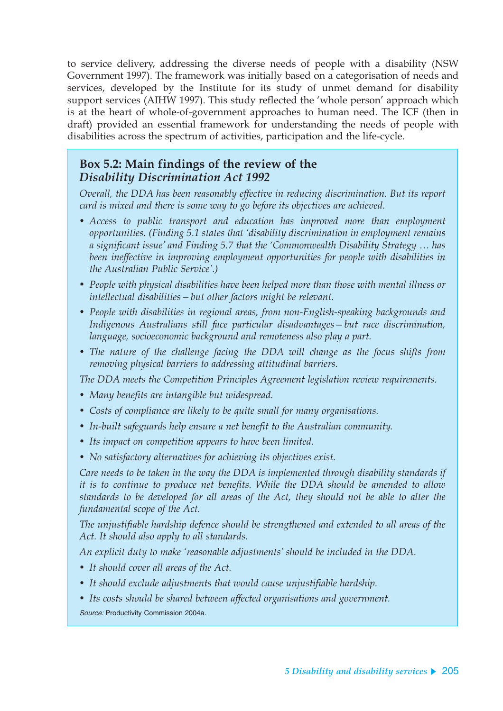to service delivery, addressing the diverse needs of people with a disability (NSW Government 1997). The framework was initially based on a categorisation of needs and services, developed by the Institute for its study of unmet demand for disability support services (AIHW 1997). This study reflected the 'whole person' approach which is at the heart of whole-of-government approaches to human need. The ICF (then in draft) provided an essential framework for understanding the needs of people with disabilities across the spectrum of activities, participation and the life-cycle.

### **Box 5.2: Main findings of the review of the**  *Disability Discrimination Act 1992*

*Overall, the DDA has been reasonably effective in reducing discrimination. But its report card is mixed and there is some way to go before its objectives are achieved.*

- *Access to public transport and education has improved more than employment opportunities. (Finding 5.1 states that 'disability discrimination in employment remains a significant issue' and Finding 5.7 that the 'Commonwealth Disability Strategy … has been ineffective in improving employment opportunities for people with disabilities in the Australian Public Service'.)*
- *People with physical disabilities have been helped more than those with mental illness or intellectual disabilities—but other factors might be relevant.*
- *People with disabilities in regional areas, from non-English-speaking backgrounds and Indigenous Australians still face particular disadvantages—but race discrimination, language, socioeconomic background and remoteness also play a part.*
- *The nature of the challenge facing the DDA will change as the focus shifts from removing physical barriers to addressing attitudinal barriers.*

*The DDA meets the Competition Principles Agreement legislation review requirements.*

- *Many benefits are intangible but widespread.*
- *Costs of compliance are likely to be quite small for many organisations.*
- *In-built safeguards help ensure a net benefit to the Australian community.*
- *Its impact on competition appears to have been limited.*
- *No satisfactory alternatives for achieving its objectives exist.*

*Care needs to be taken in the way the DDA is implemented through disability standards if it is to continue to produce net benefits. While the DDA should be amended to allow standards to be developed for all areas of the Act, they should not be able to alter the fundamental scope of the Act.*

*The unjustifiable hardship defence should be strengthened and extended to all areas of the Act. It should also apply to all standards.*

*An explicit duty to make 'reasonable adjustments' should be included in the DDA.*

- *It should cover all areas of the Act.*
- *It should exclude adjustments that would cause unjustifiable hardship.*
- *Its costs should be shared between affected organisations and government.*

Source: Productivity Commission 2004a.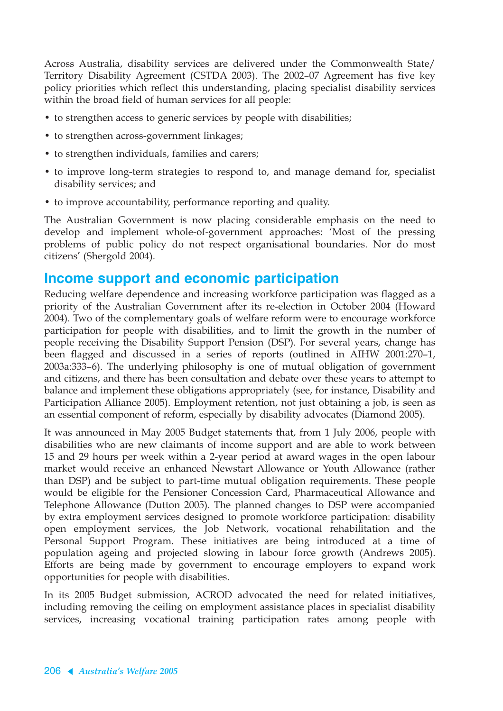Across Australia, disability services are delivered under the Commonwealth State/ Territory Disability Agreement (CSTDA 2003). The 2002–07 Agreement has five key policy priorities which reflect this understanding, placing specialist disability services within the broad field of human services for all people:

- to strengthen access to generic services by people with disabilities;
- to strengthen across-government linkages;
- to strengthen individuals, families and carers:
- to improve long-term strategies to respond to, and manage demand for, specialist disability services; and
- to improve accountability, performance reporting and quality.

The Australian Government is now placing considerable emphasis on the need to develop and implement whole-of-government approaches: 'Most of the pressing problems of public policy do not respect organisational boundaries. Nor do most citizens' (Shergold 2004).

### **Income support and economic participation**

Reducing welfare dependence and increasing workforce participation was flagged as a priority of the Australian Government after its re-election in October 2004 (Howard 2004). Two of the complementary goals of welfare reform were to encourage workforce participation for people with disabilities, and to limit the growth in the number of people receiving the Disability Support Pension (DSP). For several years, change has been flagged and discussed in a series of reports (outlined in AIHW 2001:270–1, 2003a:333–6). The underlying philosophy is one of mutual obligation of government and citizens, and there has been consultation and debate over these years to attempt to balance and implement these obligations appropriately (see, for instance, Disability and Participation Alliance 2005). Employment retention, not just obtaining a job, is seen as an essential component of reform, especially by disability advocates (Diamond 2005).

It was announced in May 2005 Budget statements that, from 1 July 2006, people with disabilities who are new claimants of income support and are able to work between 15 and 29 hours per week within a 2-year period at award wages in the open labour market would receive an enhanced Newstart Allowance or Youth Allowance (rather than DSP) and be subject to part-time mutual obligation requirements. These people would be eligible for the Pensioner Concession Card, Pharmaceutical Allowance and Telephone Allowance (Dutton 2005). The planned changes to DSP were accompanied by extra employment services designed to promote workforce participation: disability open employment services, the Job Network, vocational rehabilitation and the Personal Support Program. These initiatives are being introduced at a time of population ageing and projected slowing in labour force growth (Andrews 2005). Efforts are being made by government to encourage employers to expand work opportunities for people with disabilities.

In its 2005 Budget submission, ACROD advocated the need for related initiatives, including removing the ceiling on employment assistance places in specialist disability services, increasing vocational training participation rates among people with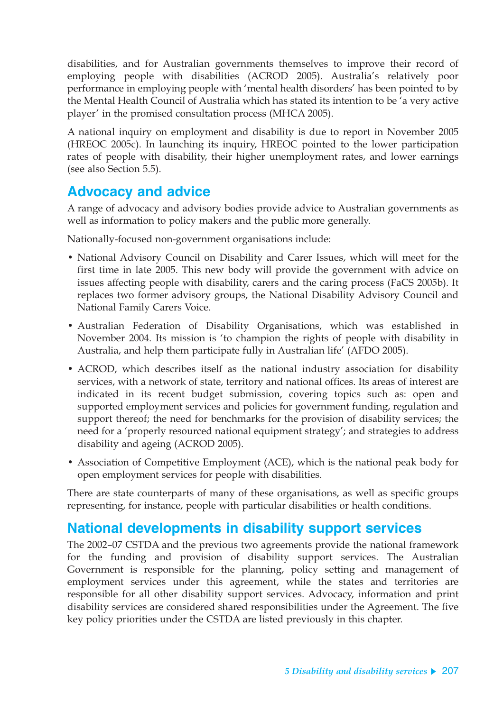disabilities, and for Australian governments themselves to improve their record of employing people with disabilities (ACROD 2005). Australia's relatively poor performance in employing people with 'mental health disorders' has been pointed to by the Mental Health Council of Australia which has stated its intention to be 'a very active player' in the promised consultation process (MHCA 2005).

A national inquiry on employment and disability is due to report in November 2005 (HREOC 2005c). In launching its inquiry, HREOC pointed to the lower participation rates of people with disability, their higher unemployment rates, and lower earnings (see also Section 5.5).

## **Advocacy and advice**

A range of advocacy and advisory bodies provide advice to Australian governments as well as information to policy makers and the public more generally.

Nationally-focused non-government organisations include:

- National Advisory Council on Disability and Carer Issues, which will meet for the first time in late 2005. This new body will provide the government with advice on issues affecting people with disability, carers and the caring process (FaCS 2005b). It replaces two former advisory groups, the National Disability Advisory Council and National Family Carers Voice.
- Australian Federation of Disability Organisations, which was established in November 2004. Its mission is 'to champion the rights of people with disability in Australia, and help them participate fully in Australian life' (AFDO 2005).
- ACROD, which describes itself as the national industry association for disability services, with a network of state, territory and national offices. Its areas of interest are indicated in its recent budget submission, covering topics such as: open and supported employment services and policies for government funding, regulation and support thereof; the need for benchmarks for the provision of disability services; the need for a 'properly resourced national equipment strategy'; and strategies to address disability and ageing (ACROD 2005).
- Association of Competitive Employment (ACE), which is the national peak body for open employment services for people with disabilities.

There are state counterparts of many of these organisations, as well as specific groups representing, for instance, people with particular disabilities or health conditions.

## **National developments in disability support services**

The 2002–07 CSTDA and the previous two agreements provide the national framework for the funding and provision of disability support services. The Australian Government is responsible for the planning, policy setting and management of employment services under this agreement, while the states and territories are responsible for all other disability support services. Advocacy, information and print disability services are considered shared responsibilities under the Agreement. The five key policy priorities under the CSTDA are listed previously in this chapter.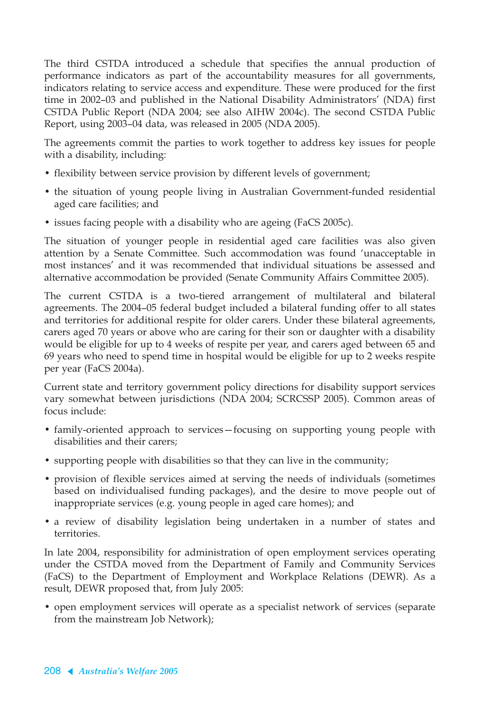The third CSTDA introduced a schedule that specifies the annual production of performance indicators as part of the accountability measures for all governments, indicators relating to service access and expenditure. These were produced for the first time in 2002–03 and published in the National Disability Administrators' (NDA) first CSTDA Public Report (NDA 2004; see also AIHW 2004c). The second CSTDA Public Report, using 2003–04 data, was released in 2005 (NDA 2005).

The agreements commit the parties to work together to address key issues for people with a disability, including:

- flexibility between service provision by different levels of government;
- the situation of young people living in Australian Government-funded residential aged care facilities; and
- issues facing people with a disability who are ageing (FaCS 2005c).

The situation of younger people in residential aged care facilities was also given attention by a Senate Committee. Such accommodation was found 'unacceptable in most instances' and it was recommended that individual situations be assessed and alternative accommodation be provided (Senate Community Affairs Committee 2005).

The current CSTDA is a two-tiered arrangement of multilateral and bilateral agreements. The 2004–05 federal budget included a bilateral funding offer to all states and territories for additional respite for older carers. Under these bilateral agreements, carers aged 70 years or above who are caring for their son or daughter with a disability would be eligible for up to 4 weeks of respite per year, and carers aged between 65 and 69 years who need to spend time in hospital would be eligible for up to 2 weeks respite per year (FaCS 2004a).

Current state and territory government policy directions for disability support services vary somewhat between jurisdictions (NDA 2004; SCRCSSP 2005). Common areas of focus include:

- family-oriented approach to services—focusing on supporting young people with disabilities and their carers;
- supporting people with disabilities so that they can live in the community;
- provision of flexible services aimed at serving the needs of individuals (sometimes based on individualised funding packages), and the desire to move people out of inappropriate services (e.g. young people in aged care homes); and
- a review of disability legislation being undertaken in a number of states and territories.

In late 2004, responsibility for administration of open employment services operating under the CSTDA moved from the Department of Family and Community Services (FaCS) to the Department of Employment and Workplace Relations (DEWR). As a result, DEWR proposed that, from July 2005:

• open employment services will operate as a specialist network of services (separate from the mainstream Job Network);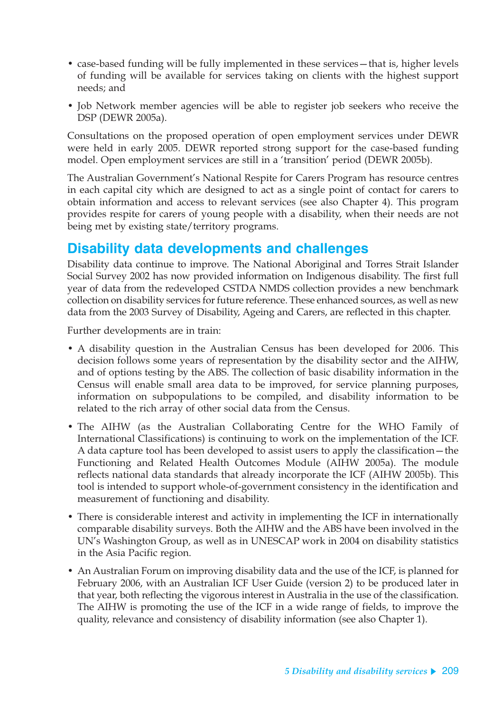- case-based funding will be fully implemented in these services—that is, higher levels of funding will be available for services taking on clients with the highest support needs; and
- Job Network member agencies will be able to register job seekers who receive the DSP (DEWR 2005a).

Consultations on the proposed operation of open employment services under DEWR were held in early 2005. DEWR reported strong support for the case-based funding model. Open employment services are still in a 'transition' period (DEWR 2005b).

The Australian Government's National Respite for Carers Program has resource centres in each capital city which are designed to act as a single point of contact for carers to obtain information and access to relevant services (see also Chapter 4). This program provides respite for carers of young people with a disability, when their needs are not being met by existing state/territory programs.

## **Disability data developments and challenges**

Disability data continue to improve. The National Aboriginal and Torres Strait Islander Social Survey 2002 has now provided information on Indigenous disability. The first full year of data from the redeveloped CSTDA NMDS collection provides a new benchmark collection on disability services for future reference. These enhanced sources, as well as new data from the 2003 Survey of Disability, Ageing and Carers, are reflected in this chapter.

Further developments are in train:

- A disability question in the Australian Census has been developed for 2006. This decision follows some years of representation by the disability sector and the AIHW, and of options testing by the ABS. The collection of basic disability information in the Census will enable small area data to be improved, for service planning purposes, information on subpopulations to be compiled, and disability information to be related to the rich array of other social data from the Census.
- The AIHW (as the Australian Collaborating Centre for the WHO Family of International Classifications) is continuing to work on the implementation of the ICF. A data capture tool has been developed to assist users to apply the classification—the Functioning and Related Health Outcomes Module (AIHW 2005a). The module reflects national data standards that already incorporate the ICF (AIHW 2005b). This tool is intended to support whole-of-government consistency in the identification and measurement of functioning and disability.
- There is considerable interest and activity in implementing the ICF in internationally comparable disability surveys. Both the AIHW and the ABS have been involved in the UN's Washington Group, as well as in UNESCAP work in 2004 on disability statistics in the Asia Pacific region.
- An Australian Forum on improving disability data and the use of the ICF, is planned for February 2006, with an Australian ICF User Guide (version 2) to be produced later in that year, both reflecting the vigorous interest in Australia in the use of the classification. The AIHW is promoting the use of the ICF in a wide range of fields, to improve the quality, relevance and consistency of disability information (see also Chapter 1).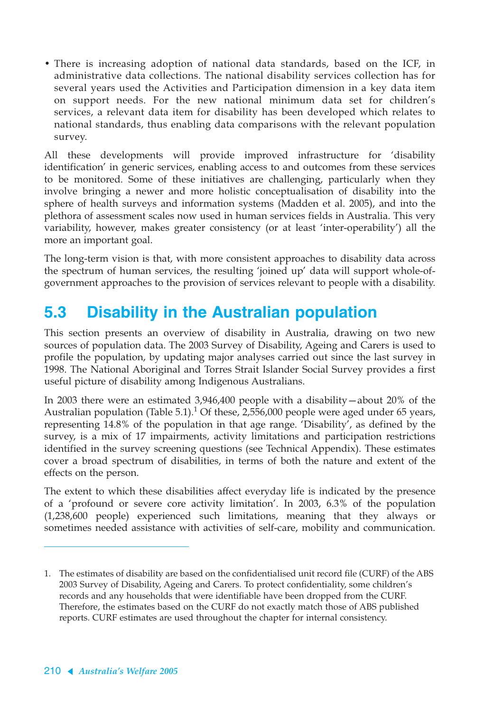• There is increasing adoption of national data standards, based on the ICF, in administrative data collections. The national disability services collection has for several years used the Activities and Participation dimension in a key data item on support needs. For the new national minimum data set for children's services, a relevant data item for disability has been developed which relates to national standards, thus enabling data comparisons with the relevant population survey.

All these developments will provide improved infrastructure for 'disability identification' in generic services, enabling access to and outcomes from these services to be monitored. Some of these initiatives are challenging, particularly when they involve bringing a newer and more holistic conceptualisation of disability into the sphere of health surveys and information systems (Madden et al. 2005), and into the plethora of assessment scales now used in human services fields in Australia. This very variability, however, makes greater consistency (or at least 'inter-operability') all the more an important goal.

The long-term vision is that, with more consistent approaches to disability data across the spectrum of human services, the resulting 'joined up' data will support whole-ofgovernment approaches to the provision of services relevant to people with a disability.

# **5.3 Disability in the Australian population**

This section presents an overview of disability in Australia, drawing on two new sources of population data. The 2003 Survey of Disability, Ageing and Carers is used to profile the population, by updating major analyses carried out since the last survey in 1998. The National Aboriginal and Torres Strait Islander Social Survey provides a first useful picture of disability among Indigenous Australians.

In 2003 there were an estimated 3,946,400 people with a disability—about 20% of the Australian population (Table 5.1).<sup>1</sup> Of these, 2,556,000 people were aged under 65 years, representing 14.8% of the population in that age range. 'Disability', as defined by the survey, is a mix of 17 impairments, activity limitations and participation restrictions identified in the survey screening questions (see Technical Appendix). These estimates cover a broad spectrum of disabilities, in terms of both the nature and extent of the effects on the person.

The extent to which these disabilities affect everyday life is indicated by the presence of a 'profound or severe core activity limitation'. In 2003, 6.3% of the population (1,238,600 people) experienced such limitations, meaning that they always or sometimes needed assistance with activities of self-care, mobility and communication.

<sup>1.</sup> The estimates of disability are based on the confidentialised unit record file (CURF) of the ABS 2003 Survey of Disability, Ageing and Carers. To protect confidentiality, some children's records and any households that were identifiable have been dropped from the CURF. Therefore, the estimates based on the CURF do not exactly match those of ABS published reports. CURF estimates are used throughout the chapter for internal consistency.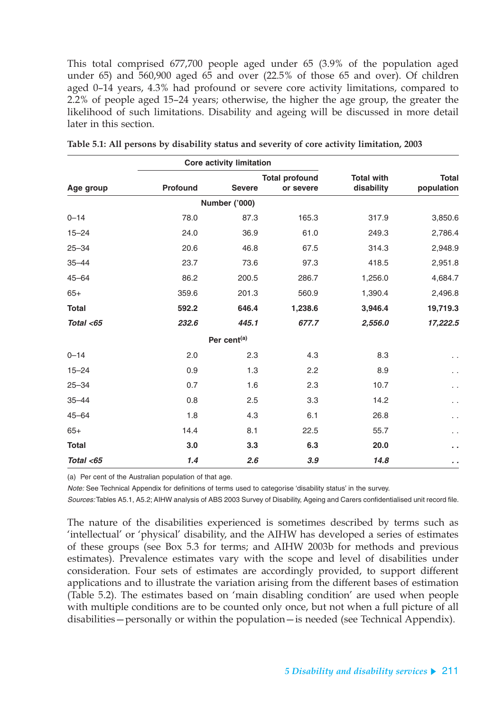This total comprised 677,700 people aged under 65 (3.9% of the population aged under 65) and 560,900 aged 65 and over (22.5% of those 65 and over). Of children aged 0–14 years, 4.3% had profound or severe core activity limitations, compared to 2.2% of people aged 15–24 years; otherwise, the higher the age group, the greater the likelihood of such limitations. Disability and ageing will be discussed in more detail later in this section.

|              |                 | <b>Core activity limitation</b> |                                    |                                 |                            |  |
|--------------|-----------------|---------------------------------|------------------------------------|---------------------------------|----------------------------|--|
| Age group    | <b>Profound</b> | <b>Severe</b>                   | <b>Total profound</b><br>or severe | <b>Total with</b><br>disability | <b>Total</b><br>population |  |
|              |                 | Number ('000)                   |                                    |                                 |                            |  |
| $0 - 14$     | 78.0            | 87.3                            | 165.3                              | 317.9                           | 3,850.6                    |  |
| $15 - 24$    | 24.0            | 36.9                            | 61.0                               | 249.3                           | 2,786.4                    |  |
| $25 - 34$    | 20.6            | 46.8                            | 67.5                               | 314.3                           | 2,948.9                    |  |
| $35 - 44$    | 23.7            | 73.6                            | 97.3                               | 418.5                           | 2,951.8                    |  |
| $45 - 64$    | 86.2            | 200.5                           | 286.7                              | 1,256.0                         | 4,684.7                    |  |
| $65+$        | 359.6           | 201.3                           | 560.9                              | 1,390.4                         | 2,496.8                    |  |
| <b>Total</b> | 592.2           | 646.4                           | 1,238.6                            | 3,946.4                         | 19,719.3                   |  |
| Total $<$ 65 | 232.6           | 445.1                           | 677.7                              | 2,556.0                         | 17,222.5                   |  |
|              |                 | Per cent <sup>(a)</sup>         |                                    |                                 |                            |  |
| $0 - 14$     | 2.0             | 2.3                             | 4.3                                | 8.3                             | $\sim$                     |  |
| $15 - 24$    | 0.9             | 1.3                             | 2.2                                | 8.9                             | έ,                         |  |
| $25 - 34$    | 0.7             | 1.6                             | 2.3                                | 10.7                            | . .                        |  |
| $35 - 44$    | 0.8             | 2.5                             | 3.3                                | 14.2                            | . .                        |  |
| $45 - 64$    | 1.8             | 4.3                             | 6.1                                | 26.8                            | $\ddotsc$                  |  |
| $65+$        | 14.4            | 8.1                             | 22.5                               | 55.7                            | $\ddotsc$                  |  |
| <b>Total</b> | 3.0             | 3.3                             | 6.3                                | 20.0                            | а,                         |  |
| Total $<$ 65 | 1.4             | 2.6                             | 3.9                                | 14.8                            | $\epsilon$                 |  |

| Table 5.1: All persons by disability status and severity of core activity limitation, 2003 |  |  |  |  |
|--------------------------------------------------------------------------------------------|--|--|--|--|
|                                                                                            |  |  |  |  |

(a) Per cent of the Australian population of that age.

Note: See Technical Appendix for definitions of terms used to categorise 'disability status' in the survey.

Sources: Tables A5.1, A5.2; AIHW analysis of ABS 2003 Survey of Disability, Ageing and Carers confidentialised unit record file.

The nature of the disabilities experienced is sometimes described by terms such as 'intellectual' or 'physical' disability, and the AIHW has developed a series of estimates of these groups (see Box 5.3 for terms; and AIHW 2003b for methods and previous estimates). Prevalence estimates vary with the scope and level of disabilities under consideration. Four sets of estimates are accordingly provided, to support different applications and to illustrate the variation arising from the different bases of estimation (Table 5.2). The estimates based on 'main disabling condition' are used when people with multiple conditions are to be counted only once, but not when a full picture of all disabilities—personally or within the population—is needed (see Technical Appendix).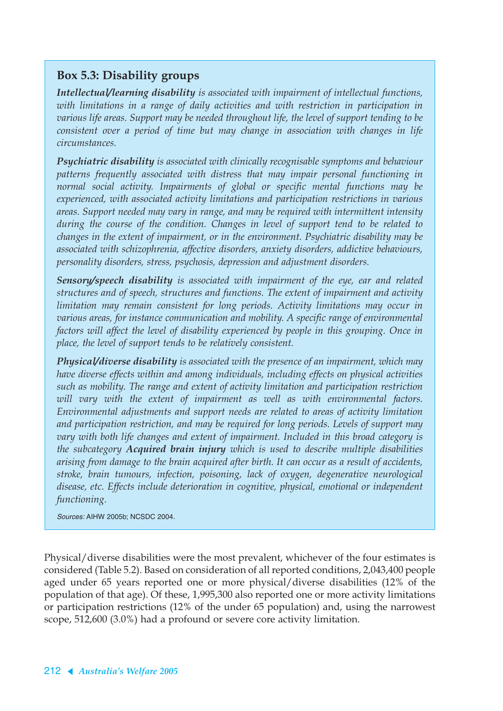### **Box 5.3: Disability groups**

*Intellectual/learning disability is associated with impairment of intellectual functions, with limitations in a range of daily activities and with restriction in participation in various life areas. Support may be needed throughout life, the level of support tending to be consistent over a period of time but may change in association with changes in life circumstances.*

*Psychiatric disability is associated with clinically recognisable symptoms and behaviour patterns frequently associated with distress that may impair personal functioning in normal social activity. Impairments of global or specific mental functions may be experienced, with associated activity limitations and participation restrictions in various areas. Support needed may vary in range, and may be required with intermittent intensity during the course of the condition. Changes in level of support tend to be related to changes in the extent of impairment, or in the environment. Psychiatric disability may be associated with schizophrenia, affective disorders, anxiety disorders, addictive behaviours, personality disorders, stress, psychosis, depression and adjustment disorders.*

*Sensory/speech disability is associated with impairment of the eye, ear and related structures and of speech, structures and functions. The extent of impairment and activity limitation may remain consistent for long periods. Activity limitations may occur in various areas, for instance communication and mobility. A specific range of environmental factors will affect the level of disability experienced by people in this grouping. Once in place, the level of support tends to be relatively consistent.*

*Physical/diverse disability is associated with the presence of an impairment, which may have diverse effects within and among individuals, including effects on physical activities such as mobility. The range and extent of activity limitation and participation restriction will vary with the extent of impairment as well as with environmental factors. Environmental adjustments and support needs are related to areas of activity limitation and participation restriction, and may be required for long periods. Levels of support may vary with both life changes and extent of impairment. Included in this broad category is the subcategory Acquired brain injury which is used to describe multiple disabilities arising from damage to the brain acquired after birth. It can occur as a result of accidents, stroke, brain tumours, infection, poisoning, lack of oxygen, degenerative neurological disease, etc. Effects include deterioration in cognitive, physical, emotional or independent functioning.*

Sources: AIHW 2005b; NCSDC 2004.

Physical/diverse disabilities were the most prevalent, whichever of the four estimates is considered (Table 5.2). Based on consideration of all reported conditions, 2,043,400 people aged under 65 years reported one or more physical/diverse disabilities (12% of the population of that age). Of these, 1,995,300 also reported one or more activity limitations or participation restrictions (12% of the under 65 population) and, using the narrowest scope, 512,600 (3.0%) had a profound or severe core activity limitation.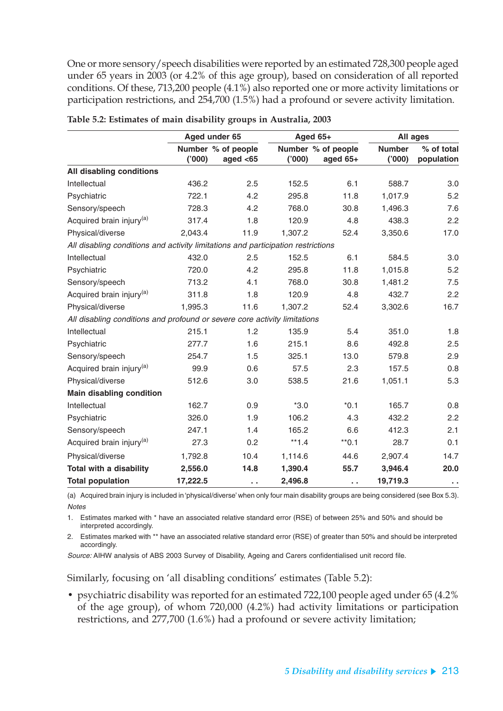One or more sensory/speech disabilities were reported by an estimated 728,300 people aged under 65 years in 2003 (or 4.2% of this age group), based on consideration of all reported conditions. Of these, 713,200 people (4.1%) also reported one or more activity limitations or participation restrictions, and 254,700 (1.5%) had a profound or severe activity limitation.

|                                                                                  |          | Aged under 65                     |         | Aged 65+                         |                        | All ages                 |
|----------------------------------------------------------------------------------|----------|-----------------------------------|---------|----------------------------------|------------------------|--------------------------|
|                                                                                  | (000)    | Number % of people<br>aged $<$ 65 | (000)   | Number % of people<br>aged $65+$ | <b>Number</b><br>(000) | % of total<br>population |
| All disabling conditions                                                         |          |                                   |         |                                  |                        |                          |
| Intellectual                                                                     | 436.2    | 2.5                               | 152.5   | 6.1                              | 588.7                  | 3.0                      |
| Psychiatric                                                                      | 722.1    | 4.2                               | 295.8   | 11.8                             | 1,017.9                | 5.2                      |
| Sensory/speech                                                                   | 728.3    | 4.2                               | 768.0   | 30.8                             | 1,496.3                | 7.6                      |
| Acquired brain injury <sup>(a)</sup>                                             | 317.4    | 1.8                               | 120.9   | 4.8                              | 438.3                  | 2.2                      |
| Physical/diverse                                                                 | 2,043.4  | 11.9                              | 1,307.2 | 52.4                             | 3,350.6                | 17.0                     |
| All disabling conditions and activity limitations and participation restrictions |          |                                   |         |                                  |                        |                          |
| Intellectual                                                                     | 432.0    | 2.5                               | 152.5   | 6.1                              | 584.5                  | 3.0                      |
| Psychiatric                                                                      | 720.0    | 4.2                               | 295.8   | 11.8                             | 1,015.8                | 5.2                      |
| Sensory/speech                                                                   | 713.2    | 4.1                               | 768.0   | 30.8                             | 1,481.2                | 7.5                      |
| Acquired brain injury <sup>(a)</sup>                                             | 311.8    | 1.8                               | 120.9   | 4.8                              | 432.7                  | 2.2                      |
| Physical/diverse                                                                 | 1,995.3  | 11.6                              | 1,307.2 | 52.4                             | 3,302.6                | 16.7                     |
| All disabling conditions and profound or severe core activity limitations        |          |                                   |         |                                  |                        |                          |
| Intellectual                                                                     | 215.1    | 1.2                               | 135.9   | 5.4                              | 351.0                  | 1.8                      |
| Psychiatric                                                                      | 277.7    | 1.6                               | 215.1   | 8.6                              | 492.8                  | 2.5                      |
| Sensory/speech                                                                   | 254.7    | 1.5                               | 325.1   | 13.0                             | 579.8                  | 2.9                      |
| Acquired brain injury <sup>(a)</sup>                                             | 99.9     | 0.6                               | 57.5    | 2.3                              | 157.5                  | 0.8                      |
| Physical/diverse                                                                 | 512.6    | 3.0                               | 538.5   | 21.6                             | 1,051.1                | 5.3                      |
| <b>Main disabling condition</b>                                                  |          |                                   |         |                                  |                        |                          |
| Intellectual                                                                     | 162.7    | 0.9                               | $*3.0$  | $*0.1$                           | 165.7                  | 0.8                      |
| Psychiatric                                                                      | 326.0    | 1.9                               | 106.2   | 4.3                              | 432.2                  | 2.2                      |
| Sensory/speech                                                                   | 247.1    | 1.4                               | 165.2   | 6.6                              | 412.3                  | 2.1                      |
| Acquired brain injury <sup>(a)</sup>                                             | 27.3     | 0.2                               | $**1.4$ | $*$ 0.1                          | 28.7                   | 0.1                      |
| Physical/diverse                                                                 | 1,792.8  | 10.4                              | 1,114.6 | 44.6                             | 2,907.4                | 14.7                     |
| <b>Total with a disability</b>                                                   | 2,556.0  | 14.8                              | 1,390.4 | 55.7                             | 3,946.4                | 20.0                     |
| <b>Total population</b>                                                          | 17,222.5 | $\sim$ $\sim$                     | 2,496.8 | $\sim$ $\sim$                    | 19,719.3               | $\sim$ $\sim$            |

| Table 5.2: Estimates of main disability groups in Australia, 2003 |  |  |
|-------------------------------------------------------------------|--|--|
|-------------------------------------------------------------------|--|--|

(a) Acquired brain injury is included in 'physical/diverse' when only four main disability groups are being considered (see Box 5.3). **Notes** 

1. Estimates marked with \* have an associated relative standard error (RSE) of between 25% and 50% and should be interpreted accordingly.

2. Estimates marked with \*\* have an associated relative standard error (RSE) of greater than 50% and should be interpreted accordingly.

Source: AIHW analysis of ABS 2003 Survey of Disability, Ageing and Carers confidentialised unit record file.

Similarly, focusing on 'all disabling conditions' estimates (Table 5.2):

• psychiatric disability was reported for an estimated 722,100 people aged under 65 (4.2% of the age group), of whom 720,000 (4.2%) had activity limitations or participation restrictions, and 277,700 (1.6%) had a profound or severe activity limitation;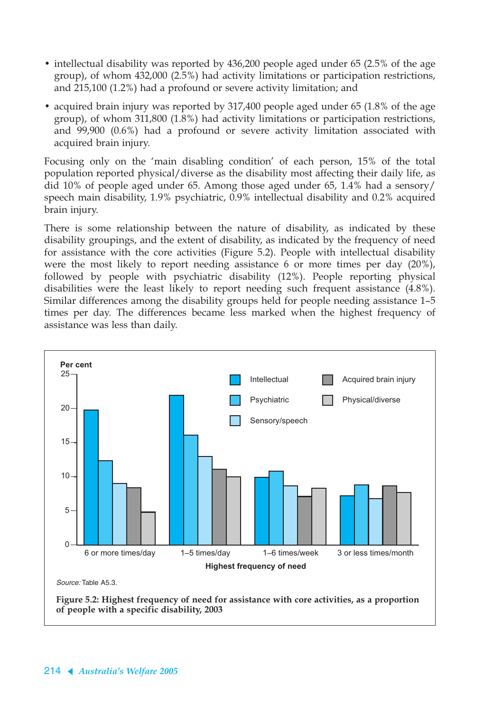- intellectual disability was reported by 436,200 people aged under 65 (2.5% of the age group), of whom 432,000 (2.5%) had activity limitations or participation restrictions, and 215,100 (1.2%) had a profound or severe activity limitation; and
- acquired brain injury was reported by 317,400 people aged under 65 (1.8% of the age group), of whom 311,800 (1.8%) had activity limitations or participation restrictions, and 99,900 (0.6%) had a profound or severe activity limitation associated with acquired brain injury.

Focusing only on the 'main disabling condition' of each person, 15% of the total population reported physical/diverse as the disability most affecting their daily life, as did 10% of people aged under 65. Among those aged under 65, 1.4% had a sensory/ speech main disability, 1.9% psychiatric, 0.9% intellectual disability and 0.2% acquired brain injury.

There is some relationship between the nature of disability, as indicated by these disability groupings, and the extent of disability, as indicated by the frequency of need for assistance with the core activities (Figure 5.2). People with intellectual disability were the most likely to report needing assistance 6 or more times per day (20%), followed by people with psychiatric disability (12%). People reporting physical disabilities were the least likely to report needing such frequent assistance (4.8%). Similar differences among the disability groups held for people needing assistance 1–5 times per day. The differences became less marked when the highest frequency of assistance was less than daily.

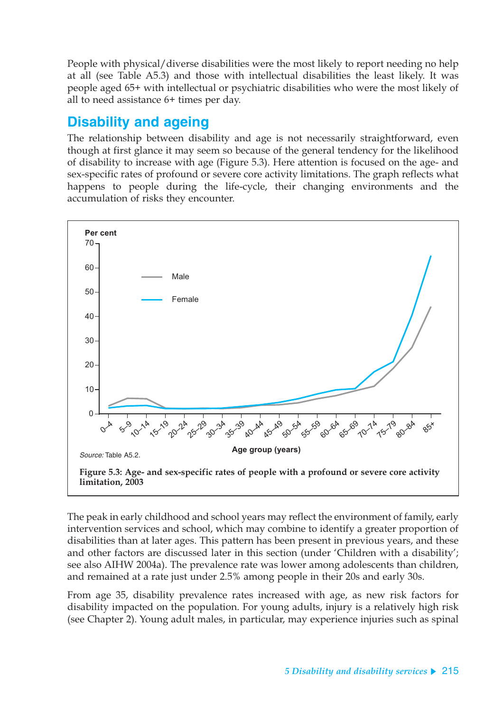People with physical/diverse disabilities were the most likely to report needing no help at all (see Table A5.3) and those with intellectual disabilities the least likely. It was people aged 65+ with intellectual or psychiatric disabilities who were the most likely of all to need assistance 6+ times per day.

## **Disability and ageing**

The relationship between disability and age is not necessarily straightforward, even though at first glance it may seem so because of the general tendency for the likelihood of disability to increase with age (Figure 5.3). Here attention is focused on the age- and sex-specific rates of profound or severe core activity limitations. The graph reflects what happens to people during the life-cycle, their changing environments and the accumulation of risks they encounter.



The peak in early childhood and school years may reflect the environment of family, early intervention services and school, which may combine to identify a greater proportion of disabilities than at later ages. This pattern has been present in previous years, and these and other factors are discussed later in this section (under 'Children with a disability'; see also AIHW 2004a). The prevalence rate was lower among adolescents than children, and remained at a rate just under 2.5% among people in their 20s and early 30s.

From age 35, disability prevalence rates increased with age, as new risk factors for disability impacted on the population. For young adults, injury is a relatively high risk (see Chapter 2). Young adult males, in particular, may experience injuries such as spinal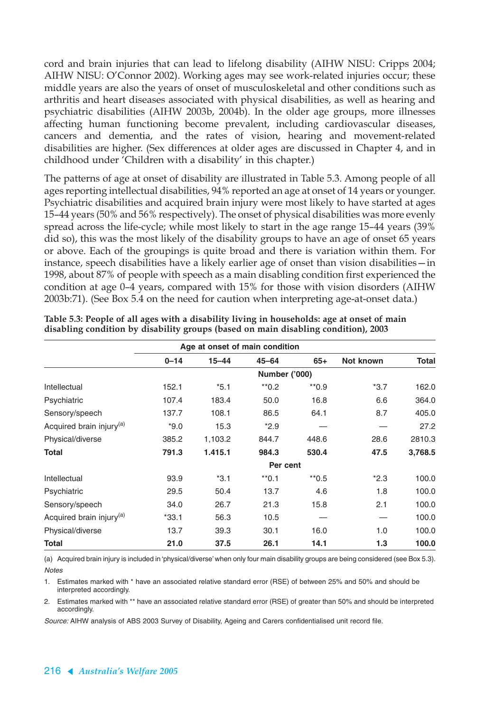cord and brain injuries that can lead to lifelong disability (AIHW NISU: Cripps 2004; AIHW NISU: O'Connor 2002). Working ages may see work-related injuries occur; these middle years are also the years of onset of musculoskeletal and other conditions such as arthritis and heart diseases associated with physical disabilities, as well as hearing and psychiatric disabilities (AIHW 2003b, 2004b). In the older age groups, more illnesses affecting human functioning become prevalent, including cardiovascular diseases, cancers and dementia, and the rates of vision, hearing and movement-related disabilities are higher. (Sex differences at older ages are discussed in Chapter 4, and in childhood under 'Children with a disability' in this chapter.)

The patterns of age at onset of disability are illustrated in Table 5.3. Among people of all ages reporting intellectual disabilities, 94% reported an age at onset of 14 years or younger. Psychiatric disabilities and acquired brain injury were most likely to have started at ages 15–44 years (50% and 56% respectively). The onset of physical disabilities was more evenly spread across the life-cycle; while most likely to start in the age range 15–44 years (39% did so), this was the most likely of the disability groups to have an age of onset 65 years or above. Each of the groupings is quite broad and there is variation within them. For instance, speech disabilities have a likely earlier age of onset than vision disabilities—in 1998, about 87% of people with speech as a main disabling condition first experienced the condition at age 0–4 years, compared with 15% for those with vision disorders (AIHW 2003b:71). (See Box 5.4 on the need for caution when interpreting age-at-onset data.)

|                                      | Age at onset of main condition |           |                      |                    |           |              |  |  |  |  |  |
|--------------------------------------|--------------------------------|-----------|----------------------|--------------------|-----------|--------------|--|--|--|--|--|
|                                      | $0 - 14$                       | $15 - 44$ | $45 - 64$            | $65+$              | Not known | <b>Total</b> |  |  |  |  |  |
|                                      |                                |           | <b>Number ('000)</b> |                    |           |              |  |  |  |  |  |
| Intellectual                         | 152.1                          | $*5.1$    | $*$ 0.2              | $*$ 0.9            | $*3.7$    | 162.0        |  |  |  |  |  |
| Psychiatric                          | 107.4                          | 183.4     | 50.0                 | 16.8               | 6.6       | 364.0        |  |  |  |  |  |
| Sensory/speech                       | 137.7                          | 108.1     | 86.5                 | 64.1               | 8.7       | 405.0        |  |  |  |  |  |
| Acquired brain injury <sup>(a)</sup> | $*9.0$                         | 15.3      | $*2.9$               |                    |           | 27.2         |  |  |  |  |  |
| Physical/diverse                     | 385.2                          | 1,103.2   | 844.7                | 448.6              | 28.6      | 2810.3       |  |  |  |  |  |
| Total                                | 791.3                          | 1.415.1   | 984.3                | 530.4              | 47.5      | 3,768.5      |  |  |  |  |  |
|                                      |                                |           | Per cent             |                    |           |              |  |  |  |  |  |
| Intellectual                         | 93.9                           | $*3.1$    | $*$ 0.1              | $*$ <sup>0.5</sup> | $*2.3$    | 100.0        |  |  |  |  |  |
| Psychiatric                          | 29.5                           | 50.4      | 13.7                 | 4.6                | 1.8       | 100.0        |  |  |  |  |  |
| Sensory/speech                       | 34.0                           | 26.7      | 21.3                 | 15.8               | 2.1       | 100.0        |  |  |  |  |  |
| Acquired brain injury <sup>(a)</sup> | $*33.1$                        | 56.3      | 10.5                 |                    |           | 100.0        |  |  |  |  |  |
| Physical/diverse                     | 13.7                           | 39.3      | 30.1                 | 16.0               | 1.0       | 100.0        |  |  |  |  |  |
| <b>Total</b>                         | 21.0                           | 37.5      | 26.1                 | 14.1               | 1.3       | 100.0        |  |  |  |  |  |

**Table 5.3: People of all ages with a disability living in households: age at onset of main disabling condition by disability groups (based on main disabling condition), 2003**

(a) Acquired brain injury is included in 'physical/diverse' when only four main disability groups are being considered (see Box 5.3). **Notes** 

1. Estimates marked with \* have an associated relative standard error (RSE) of between 25% and 50% and should be interpreted accordingly.

2. Estimates marked with \*\* have an associated relative standard error (RSE) of greater than 50% and should be interpreted accordingly.

Source: AIHW analysis of ABS 2003 Survey of Disability, Ageing and Carers confidentialised unit record file.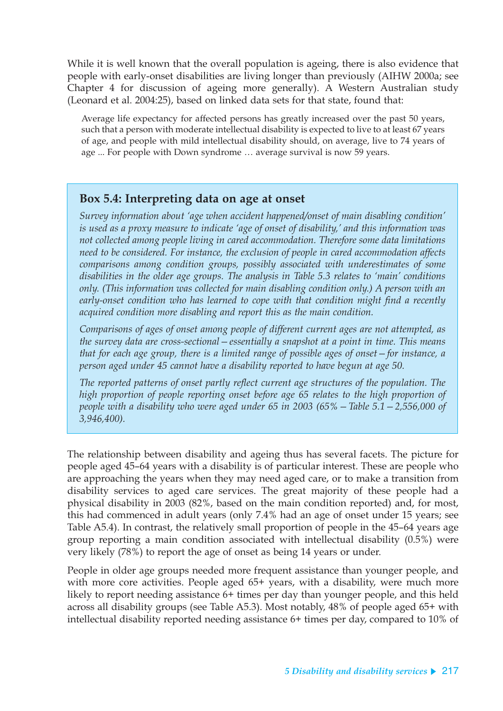While it is well known that the overall population is ageing, there is also evidence that people with early-onset disabilities are living longer than previously (AIHW 2000a; see Chapter 4 for discussion of ageing more generally). A Western Australian study (Leonard et al. 2004:25), based on linked data sets for that state, found that:

Average life expectancy for affected persons has greatly increased over the past 50 years, such that a person with moderate intellectual disability is expected to live to at least 67 years of age, and people with mild intellectual disability should, on average, live to 74 years of age ... For people with Down syndrome … average survival is now 59 years.

### **Box 5.4: Interpreting data on age at onset**

*Survey information about 'age when accident happened/onset of main disabling condition' is used as a proxy measure to indicate 'age of onset of disability,' and this information was not collected among people living in cared accommodation. Therefore some data limitations need to be considered. For instance, the exclusion of people in cared accommodation affects comparisons among condition groups, possibly associated with underestimates of some disabilities in the older age groups. The analysis in Table 5.3 relates to 'main' conditions only. (This information was collected for main disabling condition only.) A person with an early-onset condition who has learned to cope with that condition might find a recently acquired condition more disabling and report this as the main condition.*

*Comparisons of ages of onset among people of different current ages are not attempted, as the survey data are cross-sectional—essentially a snapshot at a point in time. This means that for each age group, there is a limited range of possible ages of onset—for instance, a person aged under 45 cannot have a disability reported to have begun at age 50.*

*The reported patterns of onset partly reflect current age structures of the population. The high proportion of people reporting onset before age 65 relates to the high proportion of people with a disability who were aged under 65 in 2003 (65%—Table 5.1—2,556,000 of 3,946,400).*

The relationship between disability and ageing thus has several facets. The picture for people aged 45–64 years with a disability is of particular interest. These are people who are approaching the years when they may need aged care, or to make a transition from disability services to aged care services. The great majority of these people had a physical disability in 2003 (82%, based on the main condition reported) and, for most, this had commenced in adult years (only 7.4% had an age of onset under 15 years; see Table A5.4). In contrast, the relatively small proportion of people in the 45–64 years age group reporting a main condition associated with intellectual disability (0.5%) were very likely (78%) to report the age of onset as being 14 years or under.

People in older age groups needed more frequent assistance than younger people, and with more core activities. People aged 65+ years, with a disability, were much more likely to report needing assistance 6+ times per day than younger people, and this held across all disability groups (see Table A5.3). Most notably, 48% of people aged 65+ with intellectual disability reported needing assistance 6+ times per day, compared to 10% of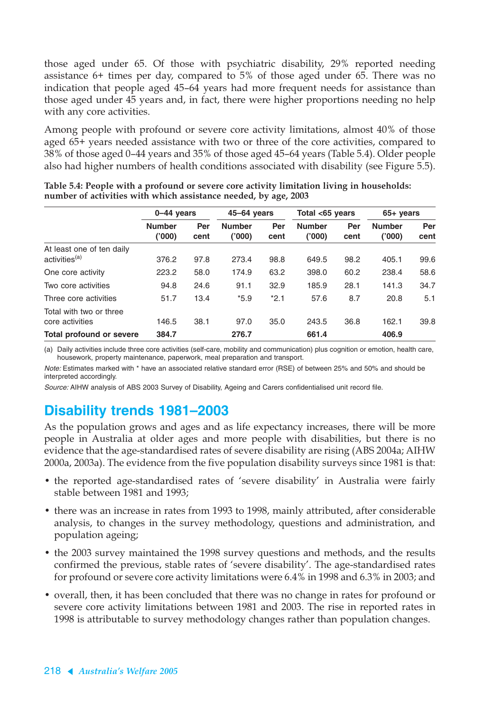those aged under 65. Of those with psychiatric disability, 29% reported needing assistance 6+ times per day, compared to 5% of those aged under 65. There was no indication that people aged 45–64 years had more frequent needs for assistance than those aged under 45 years and, in fact, there were higher proportions needing no help with any core activities.

Among people with profound or severe core activity limitations, almost 40% of those aged 65+ years needed assistance with two or three of the core activities, compared to 38% of those aged 0–44 years and 35% of those aged 45–64 years (Table 5.4). Older people also had higher numbers of health conditions associated with disability (see Figure 5.5).

|                                                        |                        | $0-44$ years |                        | $45 - 64$ years |                         | Total <65 years |                        | $65+$ years |  |
|--------------------------------------------------------|------------------------|--------------|------------------------|-----------------|-------------------------|-----------------|------------------------|-------------|--|
|                                                        | <b>Number</b><br>(000) | Per<br>cent  | <b>Number</b><br>(000) | Per<br>cent     | <b>Number</b><br>('000) | Per<br>cent     | <b>Number</b><br>(000) | Per<br>cent |  |
| At least one of ten daily<br>activities <sup>(a)</sup> | 376.2                  | 97.8         | 273.4                  | 98.8            | 649.5                   | 98.2            | 405.1                  | 99.6        |  |
| One core activity                                      | 223.2                  | 58.0         | 174.9                  | 63.2            | 398.0                   | 60.2            | 238.4                  | 58.6        |  |
| Two core activities                                    | 94.8                   | 24.6         | 91.1                   | 32.9            | 185.9                   | 28.1            | 141.3                  | 34.7        |  |
| Three core activities                                  | 51.7                   | 13.4         | $*5.9$                 | $*2.1$          | 57.6                    | 8.7             | 20.8                   | 5.1         |  |
| Total with two or three<br>core activities             | 146.5                  | 38.1         | 97.0                   | 35.0            | 243.5                   | 36.8            | 162.1                  | 39.8        |  |
| Total profound or severe                               | 384.7                  |              | 276.7                  |                 | 661.4                   |                 | 406.9                  |             |  |

**Table 5.4: People with a profound or severe core activity limitation living in households: number of activities with which assistance needed, by age, 2003**

(a) Daily activities include three core activities (self-care, mobility and communication) plus cognition or emotion, health care, housework, property maintenance, paperwork, meal preparation and transport.

Note: Estimates marked with \* have an associated relative standard error (RSE) of between 25% and 50% and should be interpreted accordingly.

Source: AIHW analysis of ABS 2003 Survey of Disability, Ageing and Carers confidentialised unit record file.

## **Disability trends 1981–2003**

As the population grows and ages and as life expectancy increases, there will be more people in Australia at older ages and more people with disabilities, but there is no evidence that the age-standardised rates of severe disability are rising (ABS 2004a; AIHW 2000a, 2003a). The evidence from the five population disability surveys since 1981 is that:

- the reported age-standardised rates of 'severe disability' in Australia were fairly stable between 1981 and 1993;
- there was an increase in rates from 1993 to 1998, mainly attributed, after considerable analysis, to changes in the survey methodology, questions and administration, and population ageing;
- the 2003 survey maintained the 1998 survey questions and methods, and the results confirmed the previous, stable rates of 'severe disability'. The age-standardised rates for profound or severe core activity limitations were 6.4% in 1998 and 6.3% in 2003; and
- overall, then, it has been concluded that there was no change in rates for profound or severe core activity limitations between 1981 and 2003. The rise in reported rates in 1998 is attributable to survey methodology changes rather than population changes.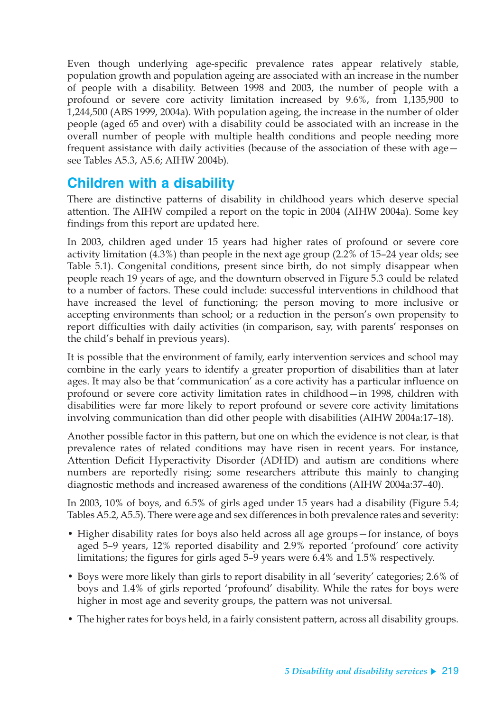Even though underlying age-specific prevalence rates appear relatively stable, population growth and population ageing are associated with an increase in the number of people with a disability. Between 1998 and 2003, the number of people with a profound or severe core activity limitation increased by 9.6%, from 1,135,900 to 1,244,500 (ABS 1999, 2004a). With population ageing, the increase in the number of older people (aged 65 and over) with a disability could be associated with an increase in the overall number of people with multiple health conditions and people needing more frequent assistance with daily activities (because of the association of these with age see Tables A5.3, A5.6; AIHW 2004b).

## **Children with a disability**

There are distinctive patterns of disability in childhood years which deserve special attention. The AIHW compiled a report on the topic in 2004 (AIHW 2004a). Some key findings from this report are updated here.

In 2003, children aged under 15 years had higher rates of profound or severe core activity limitation (4.3%) than people in the next age group (2.2% of 15–24 year olds; see Table 5.1). Congenital conditions, present since birth, do not simply disappear when people reach 19 years of age, and the downturn observed in Figure 5.3 could be related to a number of factors. These could include: successful interventions in childhood that have increased the level of functioning; the person moving to more inclusive or accepting environments than school; or a reduction in the person's own propensity to report difficulties with daily activities (in comparison, say, with parents' responses on the child's behalf in previous years).

It is possible that the environment of family, early intervention services and school may combine in the early years to identify a greater proportion of disabilities than at later ages. It may also be that 'communication' as a core activity has a particular influence on profound or severe core activity limitation rates in childhood—in 1998, children with disabilities were far more likely to report profound or severe core activity limitations involving communication than did other people with disabilities (AIHW 2004a:17–18).

Another possible factor in this pattern, but one on which the evidence is not clear, is that prevalence rates of related conditions may have risen in recent years. For instance, Attention Deficit Hyperactivity Disorder (ADHD) and autism are conditions where numbers are reportedly rising; some researchers attribute this mainly to changing diagnostic methods and increased awareness of the conditions (AIHW 2004a:37–40).

In 2003, 10% of boys, and 6.5% of girls aged under 15 years had a disability (Figure 5.4; Tables A5.2, A5.5). There were age and sex differences in both prevalence rates and severity:

- Higher disability rates for boys also held across all age groups—for instance, of boys aged 5–9 years, 12% reported disability and 2.9% reported 'profound' core activity limitations; the figures for girls aged 5–9 years were 6.4% and 1.5% respectively.
- Boys were more likely than girls to report disability in all 'severity' categories; 2.6% of boys and 1.4% of girls reported 'profound' disability. While the rates for boys were higher in most age and severity groups, the pattern was not universal.
- The higher rates for boys held, in a fairly consistent pattern, across all disability groups.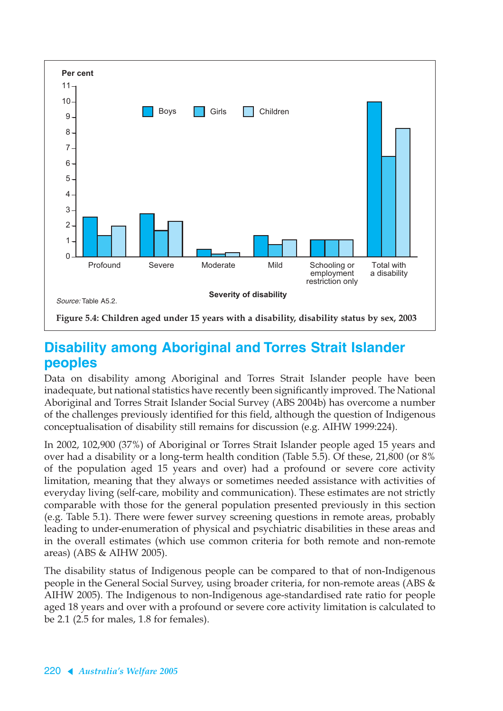

## **Disability among Aboriginal and Torres Strait Islander peoples**

Data on disability among Aboriginal and Torres Strait Islander people have been inadequate, but national statistics have recently been significantly improved. The National Aboriginal and Torres Strait Islander Social Survey (ABS 2004b) has overcome a number of the challenges previously identified for this field, although the question of Indigenous conceptualisation of disability still remains for discussion (e.g. AIHW 1999:224).

In 2002, 102,900 (37%) of Aboriginal or Torres Strait Islander people aged 15 years and over had a disability or a long-term health condition (Table 5.5). Of these, 21,800 (or 8% of the population aged 15 years and over) had a profound or severe core activity limitation, meaning that they always or sometimes needed assistance with activities of everyday living (self-care, mobility and communication). These estimates are not strictly comparable with those for the general population presented previously in this section (e.g. Table 5.1). There were fewer survey screening questions in remote areas, probably leading to under-enumeration of physical and psychiatric disabilities in these areas and in the overall estimates (which use common criteria for both remote and non-remote areas) (ABS & AIHW 2005).

The disability status of Indigenous people can be compared to that of non-Indigenous people in the General Social Survey, using broader criteria, for non-remote areas (ABS & AIHW 2005). The Indigenous to non-Indigenous age-standardised rate ratio for people aged 18 years and over with a profound or severe core activity limitation is calculated to be 2.1 (2.5 for males, 1.8 for females).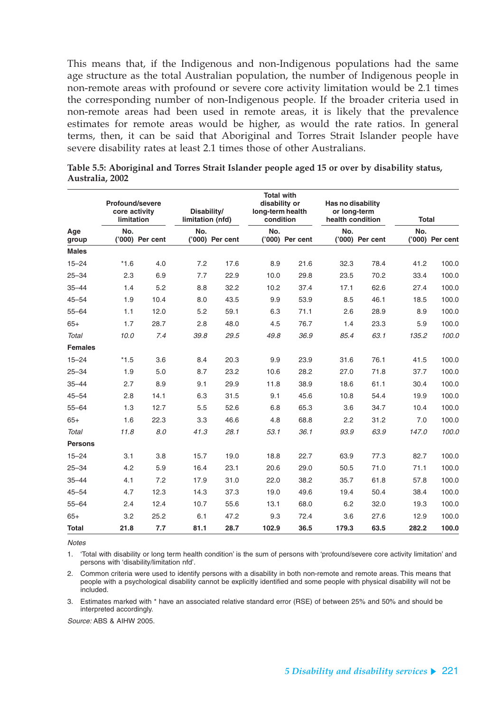This means that, if the Indigenous and non-Indigenous populations had the same age structure as the total Australian population, the number of Indigenous people in non-remote areas with profound or severe core activity limitation would be 2.1 times the corresponding number of non-Indigenous people. If the broader criteria used in non-remote areas had been used in remote areas, it is likely that the prevalence estimates for remote areas would be higher, as would the rate ratios. In general terms, then, it can be said that Aboriginal and Torres Strait Islander people have severe disability rates at least 2.1 times those of other Australians.

|                | <b>Profound/severe</b><br>core activity<br><b>limitation</b> |                 | Disability/<br>limitation (nfd) |                 |       | <b>Total with</b><br>disability or<br>long-term health<br>condition |       | Has no disability<br>or long-term<br>health condition |       | <b>Total</b>    |
|----------------|--------------------------------------------------------------|-----------------|---------------------------------|-----------------|-------|---------------------------------------------------------------------|-------|-------------------------------------------------------|-------|-----------------|
| Age<br>group   | No.                                                          | ('000) Per cent | No.                             | ('000) Per cent | No.   | ('000) Per cent                                                     | No.   | ('000) Per cent                                       | No.   | ('000) Per cent |
| <b>Males</b>   |                                                              |                 |                                 |                 |       |                                                                     |       |                                                       |       |                 |
| $15 - 24$      | $*1.6$                                                       | 4.0             | 7.2                             | 17.6            | 8.9   | 21.6                                                                | 32.3  | 78.4                                                  | 41.2  | 100.0           |
| $25 - 34$      | 2.3                                                          | 6.9             | 7.7                             | 22.9            | 10.0  | 29.8                                                                | 23.5  | 70.2                                                  | 33.4  | 100.0           |
| $35 - 44$      | 1.4                                                          | 5.2             | 8.8                             | 32.2            | 10.2  | 37.4                                                                | 17.1  | 62.6                                                  | 27.4  | 100.0           |
| $45 - 54$      | 1.9                                                          | 10.4            | 8.0                             | 43.5            | 9.9   | 53.9                                                                | 8.5   | 46.1                                                  | 18.5  | 100.0           |
| $55 - 64$      | 1.1                                                          | 12.0            | 5.2                             | 59.1            | 6.3   | 71.1                                                                | 2.6   | 28.9                                                  | 8.9   | 100.0           |
| $65+$          | 1.7                                                          | 28.7            | 2.8                             | 48.0            | 4.5   | 76.7                                                                | 1.4   | 23.3                                                  | 5.9   | 100.0           |
| Total          | 10.0                                                         | 7.4             | 39.8                            | 29.5            | 49.8  | 36.9                                                                | 85.4  | 63.1                                                  | 135.2 | 100.0           |
| <b>Females</b> |                                                              |                 |                                 |                 |       |                                                                     |       |                                                       |       |                 |
| $15 - 24$      | $*1.5$                                                       | 3.6             | 8.4                             | 20.3            | 9.9   | 23.9                                                                | 31.6  | 76.1                                                  | 41.5  | 100.0           |
| $25 - 34$      | 1.9                                                          | 5.0             | 8.7                             | 23.2            | 10.6  | 28.2                                                                | 27.0  | 71.8                                                  | 37.7  | 100.0           |
| $35 - 44$      | 2.7                                                          | 8.9             | 9.1                             | 29.9            | 11.8  | 38.9                                                                | 18.6  | 61.1                                                  | 30.4  | 100.0           |
| $45 - 54$      | 2.8                                                          | 14.1            | 6.3                             | 31.5            | 9.1   | 45.6                                                                | 10.8  | 54.4                                                  | 19.9  | 100.0           |
| $55 - 64$      | 1.3                                                          | 12.7            | 5.5                             | 52.6            | 6.8   | 65.3                                                                | 3.6   | 34.7                                                  | 10.4  | 100.0           |
| $65+$          | 1.6                                                          | 22.3            | 3.3                             | 46.6            | 4.8   | 68.8                                                                | 2.2   | 31.2                                                  | 7.0   | 100.0           |
| Total          | 11.8                                                         | 8.0             | 41.3                            | 28.1            | 53.1  | 36.1                                                                | 93.9  | 63.9                                                  | 147.0 | 100.0           |
| <b>Persons</b> |                                                              |                 |                                 |                 |       |                                                                     |       |                                                       |       |                 |
| $15 - 24$      | 3.1                                                          | 3.8             | 15.7                            | 19.0            | 18.8  | 22.7                                                                | 63.9  | 77.3                                                  | 82.7  | 100.0           |
| $25 - 34$      | 4.2                                                          | 5.9             | 16.4                            | 23.1            | 20.6  | 29.0                                                                | 50.5  | 71.0                                                  | 71.1  | 100.0           |
| $35 - 44$      | 4.1                                                          | 7.2             | 17.9                            | 31.0            | 22.0  | 38.2                                                                | 35.7  | 61.8                                                  | 57.8  | 100.0           |
| $45 - 54$      | 4.7                                                          | 12.3            | 14.3                            | 37.3            | 19.0  | 49.6                                                                | 19.4  | 50.4                                                  | 38.4  | 100.0           |
| $55 - 64$      | 2.4                                                          | 12.4            | 10.7                            | 55.6            | 13.1  | 68.0                                                                | 6.2   | 32.0                                                  | 19.3  | 100.0           |
| $65+$          | 3.2                                                          | 25.2            | 6.1                             | 47.2            | 9.3   | 72.4                                                                | 3.6   | 27.6                                                  | 12.9  | 100.0           |
| <b>Total</b>   | 21.8                                                         | 7.7             | 81.1                            | 28.7            | 102.9 | 36.5                                                                | 179.3 | 63.5                                                  | 282.2 | 100.0           |

**Table 5.5: Aboriginal and Torres Strait Islander people aged 15 or over by disability status, Australia, 2002**

**Notes** 

1. 'Total with disability or long term health condition' is the sum of persons with 'profound/severe core activity limitation' and persons with 'disability/limitation nfd'.

2. Common criteria were used to identify persons with a disability in both non-remote and remote areas. This means that people with a psychological disability cannot be explicitly identified and some people with physical disability will not be included.

3. Estimates marked with \* have an associated relative standard error (RSE) of between 25% and 50% and should be interpreted accordingly.

Source: ABS & AIHW 2005.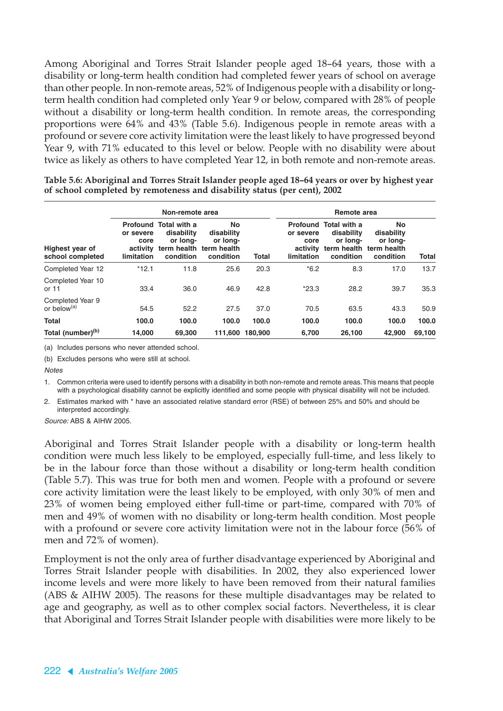Among Aboriginal and Torres Strait Islander people aged 18–64 years, those with a disability or long-term health condition had completed fewer years of school on average than other people. In non-remote areas, 52% of Indigenous people with a disability or longterm health condition had completed only Year 9 or below, compared with 28% of people without a disability or long-term health condition. In remote areas, the corresponding proportions were 64% and 43% (Table 5.6). Indigenous people in remote areas with a profound or severe core activity limitation were the least likely to have progressed beyond Year 9, with 71% educated to this level or below. People with no disability were about twice as likely as others to have completed Year 12, in both remote and non-remote areas.

|                                             |                                             | Non-remote area                                                                                |                                           |         |                                             | Remote area                                                         |                                                                      |        |  |  |  |  |
|---------------------------------------------|---------------------------------------------|------------------------------------------------------------------------------------------------|-------------------------------------------|---------|---------------------------------------------|---------------------------------------------------------------------|----------------------------------------------------------------------|--------|--|--|--|--|
| Highest year of<br>school completed         | or severe<br>core<br>activity<br>limitation | <b>Profound Total with a</b><br>disability<br>or long-<br>term health term health<br>condition | No<br>disability<br>or long-<br>condition | Total   | or severe<br>core<br>activity<br>limitation | <b>Profound Total with a</b><br>disability<br>or long-<br>condition | No<br>disability<br>or long-<br>term health term health<br>condition | Total  |  |  |  |  |
| Completed Year 12                           | $*12.1$                                     | 11.8                                                                                           | 25.6                                      | 20.3    | $*6.2$                                      | 8.3                                                                 | 17.0                                                                 | 13.7   |  |  |  |  |
| Completed Year 10<br>or 11                  | 33.4                                        | 36.0                                                                                           | 46.9                                      | 42.8    | $*23.3$                                     | 28.2                                                                | 39.7                                                                 | 35.3   |  |  |  |  |
| Completed Year 9<br>or below <sup>(a)</sup> | 54.5                                        | 52.2                                                                                           | 27.5                                      | 37.0    | 70.5                                        | 63.5                                                                | 43.3                                                                 | 50.9   |  |  |  |  |
| <b>Total</b>                                | 100.0                                       | 100.0                                                                                          | 100.0                                     | 100.0   | 100.0                                       | 100.0                                                               | 100.0                                                                | 100.0  |  |  |  |  |
| Total (number) <sup>(b)</sup>               | 14.000                                      | 69,300                                                                                         | 111.600                                   | 180.900 | 6.700                                       | 26,100                                                              | 42.900                                                               | 69.100 |  |  |  |  |

**Table 5.6: Aboriginal and Torres Strait Islander people aged 18–64 years or over by highest year of school completed by remoteness and disability status (per cent), 2002**

(a) Includes persons who never attended school.

(b) Excludes persons who were still at school.

**Notes** 

1. Common criteria were used to identify persons with a disability in both non-remote and remote areas. This means that people with a psychological disability cannot be explicitly identified and some people with physical disability will not be included.

2. Estimates marked with \* have an associated relative standard error (RSE) of between 25% and 50% and should be interpreted accordingly.

Source: ABS & AIHW 2005.

Aboriginal and Torres Strait Islander people with a disability or long-term health condition were much less likely to be employed, especially full-time, and less likely to be in the labour force than those without a disability or long-term health condition (Table 5.7). This was true for both men and women. People with a profound or severe core activity limitation were the least likely to be employed, with only 30% of men and 23% of women being employed either full-time or part-time, compared with 70% of men and 49% of women with no disability or long-term health condition. Most people with a profound or severe core activity limitation were not in the labour force (56% of men and 72% of women).

Employment is not the only area of further disadvantage experienced by Aboriginal and Torres Strait Islander people with disabilities. In 2002, they also experienced lower income levels and were more likely to have been removed from their natural families (ABS & AIHW 2005). The reasons for these multiple disadvantages may be related to age and geography, as well as to other complex social factors. Nevertheless, it is clear that Aboriginal and Torres Strait Islander people with disabilities were more likely to be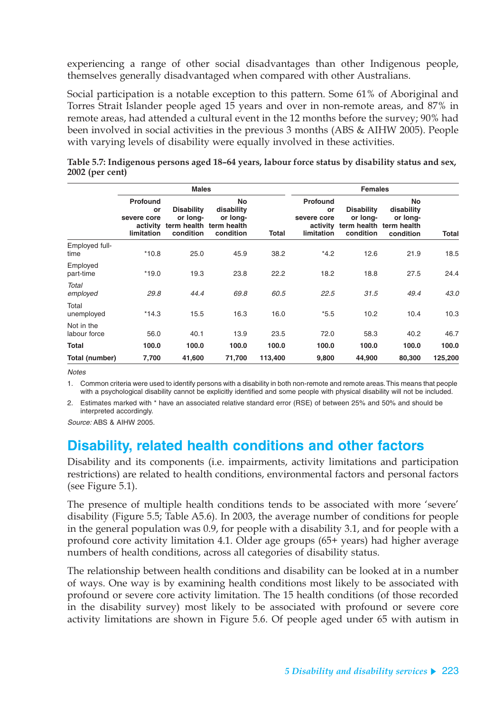experiencing a range of other social disadvantages than other Indigenous people, themselves generally disadvantaged when compared with other Australians.

Social participation is a notable exception to this pattern. Some 61% of Aboriginal and Torres Strait Islander people aged 15 years and over in non-remote areas, and 87% in remote areas, had attended a cultural event in the 12 months before the survey; 90% had been involved in social activities in the previous 3 months (ABS & AIHW 2005). People with varying levels of disability were equally involved in these activities.

|                            |                                                         | <b>Males</b>                                              |                                                          | <b>Females</b> |                                                         |                                            |                                                                      |         |  |  |
|----------------------------|---------------------------------------------------------|-----------------------------------------------------------|----------------------------------------------------------|----------------|---------------------------------------------------------|--------------------------------------------|----------------------------------------------------------------------|---------|--|--|
|                            | Profound<br>or<br>severe core<br>activity<br>limitation | <b>Disability</b><br>or long-<br>term health<br>condition | No<br>disability<br>or long-<br>term health<br>condition | Total          | Profound<br>or<br>severe core<br>activity<br>limitation | <b>Disability</b><br>or long-<br>condition | No<br>disability<br>or long-<br>term health term health<br>condition | Total   |  |  |
| Employed full-<br>time     | $*10.8$                                                 | 25.0                                                      | 45.9                                                     | 38.2           | $*4.2$                                                  | 12.6                                       | 21.9                                                                 | 18.5    |  |  |
| Employed<br>part-time      | $*19.0$                                                 | 19.3                                                      | 23.8                                                     | 22.2           | 18.2                                                    | 18.8                                       | 27.5                                                                 | 24.4    |  |  |
| Total<br>employed          | 29.8                                                    | 44.4                                                      | 69.8                                                     | 60.5           | 22.5                                                    | 31.5                                       | 49.4                                                                 | 43.0    |  |  |
| Total<br>unemployed        | $*14.3$                                                 | 15.5                                                      | 16.3                                                     | 16.0           | $*5.5$                                                  | 10.2                                       | 10.4                                                                 | 10.3    |  |  |
| Not in the<br>labour force | 56.0                                                    | 40.1                                                      | 13.9                                                     | 23.5           | 72.0                                                    | 58.3                                       | 40.2                                                                 | 46.7    |  |  |
| <b>Total</b>               | 100.0                                                   | 100.0                                                     | 100.0                                                    | 100.0          | 100.0                                                   | 100.0                                      | 100.0                                                                | 100.0   |  |  |
| Total (number)             | 7,700                                                   | 41,600                                                    | 71,700                                                   | 113,400        | 9,800                                                   | 44,900                                     | 80,300                                                               | 125,200 |  |  |

**Table 5.7: Indigenous persons aged 18–64 years, labour force status by disability status and sex, 2002 (per cent)**

**Notes** 

1. Common criteria were used to identify persons with a disability in both non-remote and remote areas. This means that people with a psychological disability cannot be explicitly identified and some people with physical disability will not be included.

2. Estimates marked with \* have an associated relative standard error (RSE) of between 25% and 50% and should be interpreted accordingly.

Source: ABS & AIHW 2005.

## **Disability, related health conditions and other factors**

Disability and its components (i.e. impairments, activity limitations and participation restrictions) are related to health conditions, environmental factors and personal factors (see Figure 5.1).

The presence of multiple health conditions tends to be associated with more 'severe' disability (Figure 5.5; Table A5.6). In 2003, the average number of conditions for people in the general population was 0.9, for people with a disability 3.1, and for people with a profound core activity limitation 4.1. Older age groups (65+ years) had higher average numbers of health conditions, across all categories of disability status.

The relationship between health conditions and disability can be looked at in a number of ways. One way is by examining health conditions most likely to be associated with profound or severe core activity limitation. The 15 health conditions (of those recorded in the disability survey) most likely to be associated with profound or severe core activity limitations are shown in Figure 5.6. Of people aged under 65 with autism in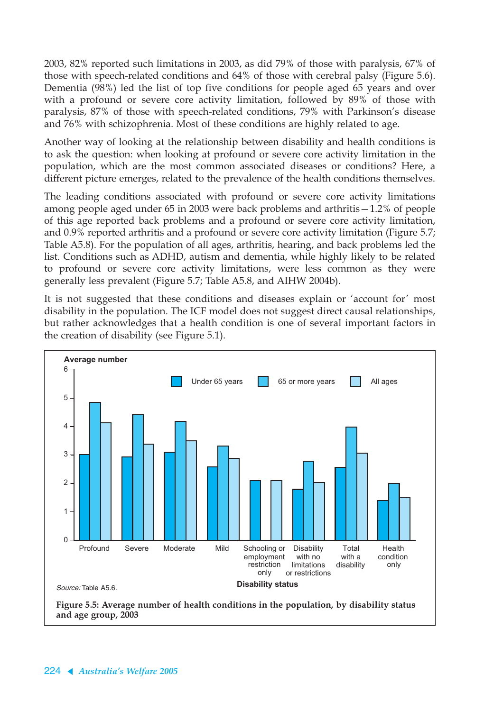2003, 82% reported such limitations in 2003, as did 79% of those with paralysis, 67% of those with speech-related conditions and 64% of those with cerebral palsy (Figure 5.6). Dementia (98%) led the list of top five conditions for people aged 65 years and over with a profound or severe core activity limitation, followed by 89% of those with paralysis, 87% of those with speech-related conditions, 79% with Parkinson's disease and 76% with schizophrenia. Most of these conditions are highly related to age.

Another way of looking at the relationship between disability and health conditions is to ask the question: when looking at profound or severe core activity limitation in the population, which are the most common associated diseases or conditions? Here, a different picture emerges, related to the prevalence of the health conditions themselves.

The leading conditions associated with profound or severe core activity limitations among people aged under 65 in 2003 were back problems and arthritis—1.2% of people of this age reported back problems and a profound or severe core activity limitation, and 0.9% reported arthritis and a profound or severe core activity limitation (Figure 5.7; Table A5.8). For the population of all ages, arthritis, hearing, and back problems led the list. Conditions such as ADHD, autism and dementia, while highly likely to be related to profound or severe core activity limitations, were less common as they were generally less prevalent (Figure 5.7; Table A5.8, and AIHW 2004b).

It is not suggested that these conditions and diseases explain or 'account for' most disability in the population. The ICF model does not suggest direct causal relationships, but rather acknowledges that a health condition is one of several important factors in the creation of disability (see Figure 5.1).



**and age group, 2003**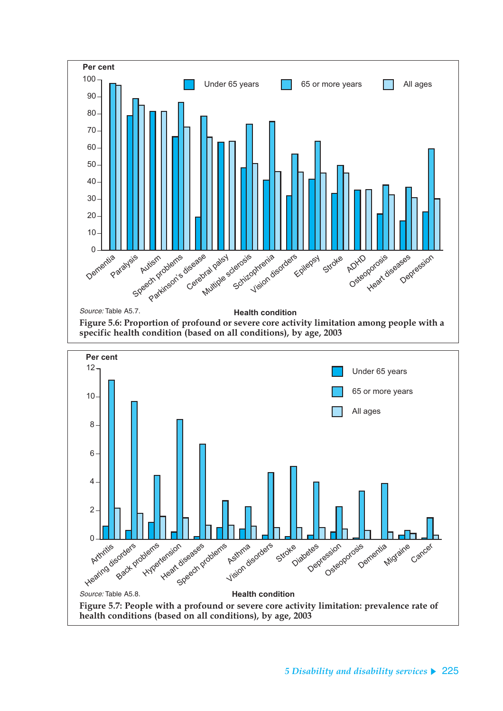

**Health condition**

**Figure 5.7: People with a profound or severe core activity limitation: prevalence rate of** 

**health conditions (based on all conditions), by age, 2003**

Source: Table A5.8.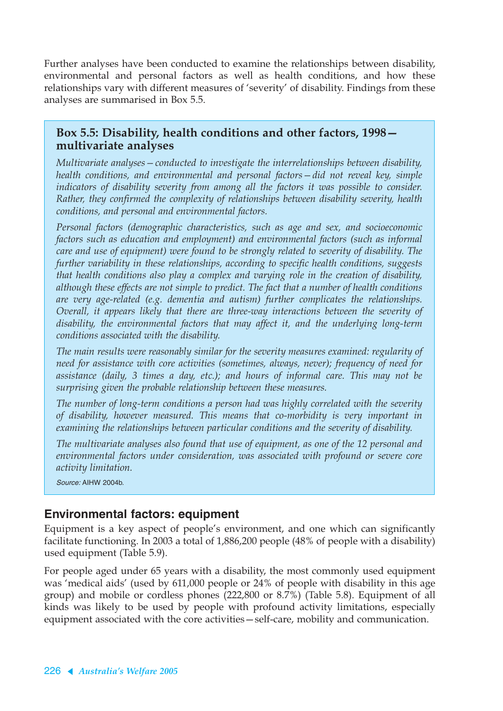Further analyses have been conducted to examine the relationships between disability, environmental and personal factors as well as health conditions, and how these relationships vary with different measures of 'severity' of disability. Findings from these analyses are summarised in Box 5.5.

### **Box 5.5: Disability, health conditions and other factors, 1998 multivariate analyses**

*Multivariate analyses—conducted to investigate the interrelationships between disability, health conditions, and environmental and personal factors—did not reveal key, simple indicators of disability severity from among all the factors it was possible to consider. Rather, they confirmed the complexity of relationships between disability severity, health conditions, and personal and environmental factors.*

*Personal factors (demographic characteristics, such as age and sex, and socioeconomic factors such as education and employment) and environmental factors (such as informal care and use of equipment) were found to be strongly related to severity of disability. The further variability in these relationships, according to specific health conditions, suggests that health conditions also play a complex and varying role in the creation of disability, although these effects are not simple to predict. The fact that a number of health conditions are very age-related (e.g. dementia and autism) further complicates the relationships. Overall, it appears likely that there are three-way interactions between the severity of disability, the environmental factors that may affect it, and the underlying long-term conditions associated with the disability.*

*The main results were reasonably similar for the severity measures examined: regularity of need for assistance with core activities (sometimes, always, never); frequency of need for assistance (daily, 3 times a day, etc.); and hours of informal care. This may not be surprising given the probable relationship between these measures.*

*The number of long-term conditions a person had was highly correlated with the severity of disability, however measured. This means that co-morbidity is very important in examining the relationships between particular conditions and the severity of disability.*

*The multivariate analyses also found that use of equipment, as one of the 12 personal and environmental factors under consideration, was associated with profound or severe core activity limitation.*

Source: AIHW 2004b.

### **Environmental factors: equipment**

Equipment is a key aspect of people's environment, and one which can significantly facilitate functioning. In 2003 a total of 1,886,200 people (48% of people with a disability) used equipment (Table 5.9).

For people aged under 65 years with a disability, the most commonly used equipment was 'medical aids' (used by 611,000 people or 24% of people with disability in this age group) and mobile or cordless phones (222,800 or 8.7%) (Table 5.8). Equipment of all kinds was likely to be used by people with profound activity limitations, especially equipment associated with the core activities—self-care, mobility and communication.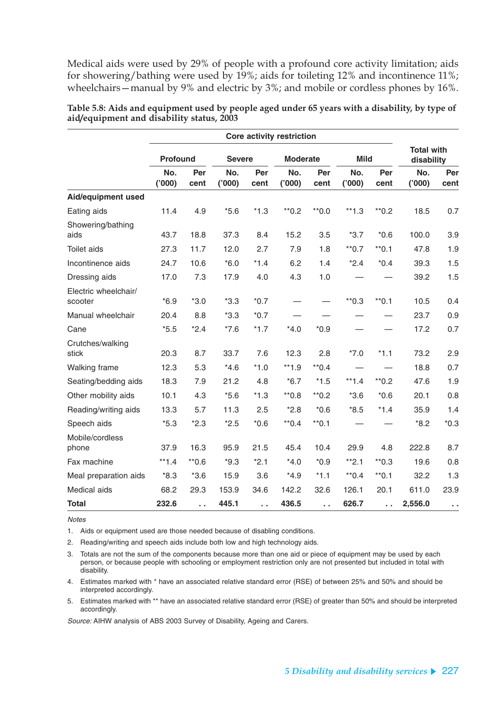Medical aids were used by 29% of people with a profound core activity limitation; aids for showering/bathing were used by 19%; aids for toileting 12% and incontinence 11%; wheelchairs—manual by 9% and electric by 3%; and mobile or cordless phones by 16%.

|                                 | <b>Profound</b> |             | <b>Severe</b> |             | <b>Moderate</b> |             | <b>Mild</b>  |             | <b>Total with</b><br>disability |             |
|---------------------------------|-----------------|-------------|---------------|-------------|-----------------|-------------|--------------|-------------|---------------------------------|-------------|
|                                 | No.<br>(000)    | Per<br>cent | No.<br>(000)  | Per<br>cent | No.<br>(000)    | Per<br>cent | No.<br>(000) | Per<br>cent | No.<br>(000)                    | Per<br>cent |
| Aid/equipment used              |                 |             |               |             |                 |             |              |             |                                 |             |
| Eating aids                     | 11.4            | 4.9         | $*5.6$        | $*1.3$      | $*0.2$          | $*0.0$      | $*1.3$       | $*0.2$      | 18.5                            | 0.7         |
| Showering/bathing<br>aids       | 43.7            | 18.8        | 37.3          | 8.4         | 15.2            | 3.5         | $*3.7$       | $*0.6$      | 100.0                           | 3.9         |
| <b>Toilet aids</b>              | 27.3            | 11.7        | 12.0          | 2.7         | 7.9             | 1.8         | $*$ 0.7      | $*$ 0.1     | 47.8                            | 1.9         |
| Incontinence aids               | 24.7            | 10.6        | $*6.0$        | $*1.4$      | 6.2             | 1.4         | $*2.4$       | $*0.4$      | 39.3                            | 1.5         |
| Dressing aids                   | 17.0            | 7.3         | 17.9          | 4.0         | 4.3             | 1.0         |              |             | 39.2                            | 1.5         |
| Electric wheelchair/<br>scooter | $*6.9$          | $*3.0$      | $*3.3$        | $*0.7$      |                 |             | $*0.3$       | $*$ 0.1     | 10.5                            | 0.4         |
| Manual wheelchair               | 20.4            | 8.8         | $*3.3$        | $*0.7$      |                 |             |              |             | 23.7                            | 0.9         |
| Cane                            | $*5.5$          | $*2.4$      | $*7.6$        | $*1.7$      | $*4.0$          | $*0.9$      |              |             | 17.2                            | 0.7         |
| Crutches/walking<br>stick       | 20.3            | 8.7         | 33.7          | 7.6         | 12.3            | 2.8         | $*7.0$       | $*1.1$      | 73.2                            | 2.9         |
| Walking frame                   | 12.3            | 5.3         | $*4.6$        | $*1.0$      | $**1.9$         | $*$ 0.4     |              |             | 18.8                            | 0.7         |
| Seating/bedding aids            | 18.3            | 7.9         | 21.2          | 4.8         | $*6.7$          | $*1.5$      | $*1.4$       | $*$ 0.2     | 47.6                            | 1.9         |
| Other mobility aids             | 10.1            | 4.3         | $*5.6$        | $*1.3$      | $*0.8$          | $*$ 0.2     | $*3.6$       | $*0.6$      | 20.1                            | 0.8         |
| Reading/writing aids            | 13.3            | 5.7         | 11.3          | 2.5         | $*2.8$          | $*0.6$      | $*8.5$       | $*1.4$      | 35.9                            | 1.4         |
| Speech aids                     | $*5.3$          | $*2.3$      | $*2.5$        | $*0.6$      | $*$ 0.4         | $*$ 0.1     |              |             | $*8.2$                          | $*0.3$      |
| Mobile/cordless<br>phone        | 37.9            | 16.3        | 95.9          | 21.5        | 45.4            | 10.4        | 29.9         | 4.8         | 222.8                           | 8.7         |
| Fax machine                     | $**1.4$         | $*0.6$      | $*9.3$        | $*2.1$      | $*4.0$          | $*0.9$      | $*2.1$       | $*$ 0.3     | 19.6                            | 0.8         |
| Meal preparation aids           | $*8.3$          | $*3.6$      | 15.9          | 3.6         | $*4.9$          | $*1.1$      | $*$ 0.4      | $*$ 0.1     | 32.2                            | 1.3         |
| Medical aids                    | 68.2            | 29.3        | 153.9         | 34.6        | 142.2           | 32.6        | 126.1        | 20.1        | 611.0                           | 23.9        |
| <b>Total</b>                    | 232.6           | ο.          | 445.1         | $\sim$      | 436.5           | г.          | 626.7        | $\sim$      | 2,556.0                         | $\sim$      |

**Table 5.8: Aids and equipment used by people aged under 65 years with a disability, by type of aid/equipment and disability status, 2003**

**Notes** 

1. Aids or equipment used are those needed because of disabling conditions.

2. Reading/writing and speech aids include both low and high technology aids.

3. Totals are not the sum of the components because more than one aid or piece of equipment may be used by each person, or because people with schooling or employment restriction only are not presented but included in total with disability.

4. Estimates marked with \* have an associated relative standard error (RSE) of between 25% and 50% and should be interpreted accordingly.

5. Estimates marked with \*\* have an associated relative standard error (RSE) of greater than 50% and should be interpreted accordingly.

Source: AIHW analysis of ABS 2003 Survey of Disability, Ageing and Carers.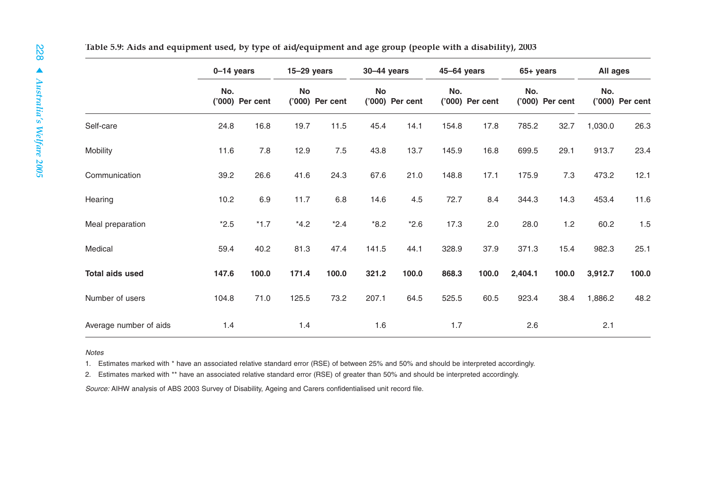|                        | $0-14$ years |                 | $15-29$ years |                 | $30-44$ years |                 | 45-64 years |                   | $65+ years$ |                 | All ages |                 |
|------------------------|--------------|-----------------|---------------|-----------------|---------------|-----------------|-------------|-------------------|-------------|-----------------|----------|-----------------|
|                        | No.          | ('000) Per cent | <b>No</b>     | ('000) Per cent | <b>No</b>     | ('000) Per cent | No.         | $('000)$ Per cent | No.         | ('000) Per cent | No.      | ('000) Per cent |
| Self-care              | 24.8         | 16.8            | 19.7          | 11.5            | 45.4          | 14.1            | 154.8       | 17.8              | 785.2       | 32.7            | 1,030.0  | 26.3            |
| Mobility               | 11.6         | 7.8             | 12.9          | 7.5             | 43.8          | 13.7            | 145.9       | 16.8              | 699.5       | 29.1            | 913.7    | 23.4            |
| Communication          | 39.2         | 26.6            | 41.6          | 24.3            | 67.6          | 21.0            | 148.8       | 17.1              | 175.9       | 7.3             | 473.2    | 12.1            |
| Hearing                | 10.2         | 6.9             | 11.7          | $6.8\,$         | 14.6          | 4.5             | 72.7        | 8.4               | 344.3       | 14.3            | 453.4    | 11.6            |
| Meal preparation       | $*2.5$       | $*1.7$          | $*4.2$        | $*2.4$          | $*8.2$        | $*2.6$          | 17.3        | 2.0               | 28.0        | 1.2             | 60.2     | 1.5             |
| Medical                | 59.4         | 40.2            | 81.3          | 47.4            | 141.5         | 44.1            | 328.9       | 37.9              | 371.3       | 15.4            | 982.3    | 25.1            |
| <b>Total aids used</b> | 147.6        | 100.0           | 171.4         | 100.0           | 321.2         | 100.0           | 868.3       | 100.0             | 2,404.1     | 100.0           | 3,912.7  | 100.0           |
| Number of users        | 104.8        | 71.0            | 125.5         | 73.2            | 207.1         | 64.5            | 525.5       | 60.5              | 923.4       | 38.4            | 1,886.2  | 48.2            |
| Average number of aids | 1.4          |                 | 1.4           |                 | 1.6           |                 | 1.7         |                   | 2.6         |                 | 2.1      |                 |

Notes

1. Estimates marked with \* have an associated relative standard error (RSE) of between 25% and 50% and should be interpreted accordingly.

2. Estimates marked with \*\* have an associated relative standard error (RSE) of greater than 50% and should be interpreted accordingly.

Source: AIHW analysis of ABS 2003 Survey of Disability, Ageing and Carers confidentialised unit record file.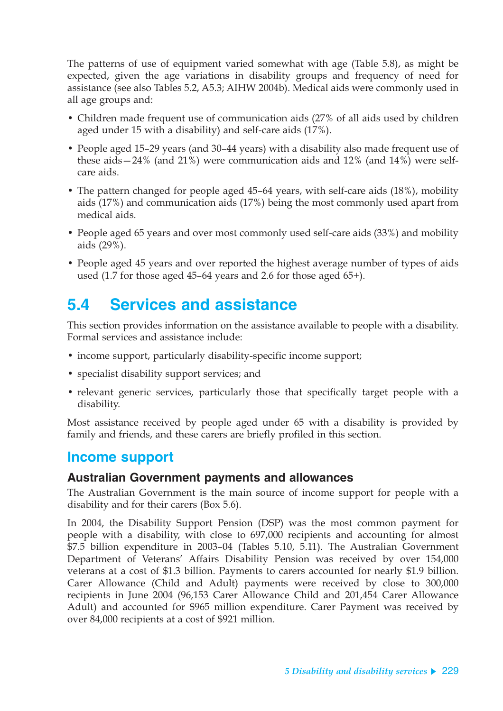The patterns of use of equipment varied somewhat with age (Table 5.8), as might be expected, given the age variations in disability groups and frequency of need for assistance (see also Tables 5.2, A5.3; AIHW 2004b). Medical aids were commonly used in all age groups and:

- Children made frequent use of communication aids (27% of all aids used by children aged under 15 with a disability) and self-care aids (17%).
- People aged 15–29 years (and 30–44 years) with a disability also made frequent use of these aids—24% (and 21%) were communication aids and 12% (and 14%) were selfcare aids.
- The pattern changed for people aged 45–64 years, with self-care aids (18%), mobility aids (17%) and communication aids (17%) being the most commonly used apart from medical aids.
- People aged 65 years and over most commonly used self-care aids (33%) and mobility aids (29%).
- People aged 45 years and over reported the highest average number of types of aids used (1.7 for those aged 45–64 years and 2.6 for those aged 65+).

# **5.4 Services and assistance**

This section provides information on the assistance available to people with a disability. Formal services and assistance include:

- income support, particularly disability-specific income support;
- specialist disability support services; and
- relevant generic services, particularly those that specifically target people with a disability.

Most assistance received by people aged under 65 with a disability is provided by family and friends, and these carers are briefly profiled in this section.

### **Income support**

### **Australian Government payments and allowances**

The Australian Government is the main source of income support for people with a disability and for their carers (Box 5.6).

In 2004, the Disability Support Pension (DSP) was the most common payment for people with a disability, with close to 697,000 recipients and accounting for almost \$7.5 billion expenditure in 2003–04 (Tables 5.10, 5.11). The Australian Government Department of Veterans' Affairs Disability Pension was received by over 154,000 veterans at a cost of \$1.3 billion. Payments to carers accounted for nearly \$1.9 billion. Carer Allowance (Child and Adult) payments were received by close to 300,000 recipients in June 2004 (96,153 Carer Allowance Child and 201,454 Carer Allowance Adult) and accounted for \$965 million expenditure. Carer Payment was received by over 84,000 recipients at a cost of \$921 million.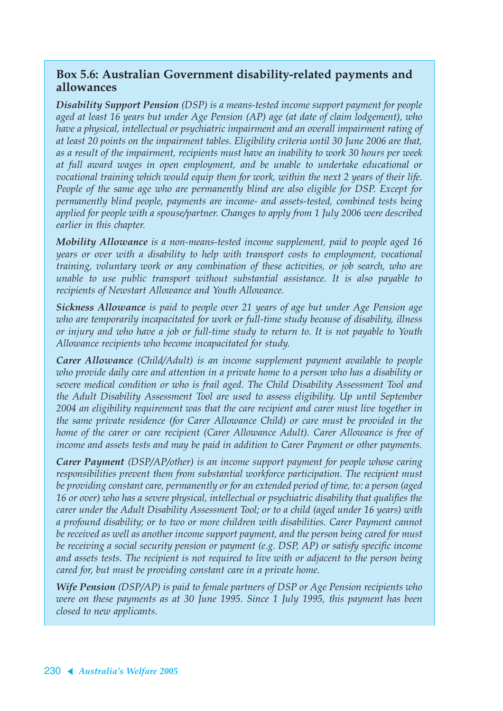### **Box 5.6: Australian Government disability-related payments and allowances**

*Disability Support Pension (DSP) is a means-tested income support payment for people aged at least 16 years but under Age Pension (AP) age (at date of claim lodgement), who have a physical, intellectual or psychiatric impairment and an overall impairment rating of at least 20 points on the impairment tables. Eligibility criteria until 30 June 2006 are that, as a result of the impairment, recipients must have an inability to work 30 hours per week at full award wages in open employment, and be unable to undertake educational or vocational training which would equip them for work, within the next 2 years of their life. People of the same age who are permanently blind are also eligible for DSP. Except for permanently blind people, payments are income- and assets-tested, combined tests being applied for people with a spouse/partner. Changes to apply from 1 July 2006 were described earlier in this chapter.*

*Mobility Allowance is a non-means-tested income supplement, paid to people aged 16 years or over with a disability to help with transport costs to employment, vocational training, voluntary work or any combination of these activities, or job search, who are unable to use public transport without substantial assistance. It is also payable to recipients of Newstart Allowance and Youth Allowance.*

*Sickness Allowance is paid to people over 21 years of age but under Age Pension age who are temporarily incapacitated for work or full-time study because of disability, illness or injury and who have a job or full-time study to return to. It is not payable to Youth Allowance recipients who become incapacitated for study.*

*Carer Allowance (Child/Adult) is an income supplement payment available to people who provide daily care and attention in a private home to a person who has a disability or severe medical condition or who is frail aged. The Child Disability Assessment Tool and the Adult Disability Assessment Tool are used to assess eligibility. Up until September 2004 an eligibility requirement was that the care recipient and carer must live together in the same private residence (for Carer Allowance Child) or care must be provided in the home of the carer or care recipient (Carer Allowance Adult). Carer Allowance is free of income and assets tests and may be paid in addition to Carer Payment or other payments.*

*Carer Payment (DSP/AP/other) is an income support payment for people whose caring responsibilities prevent them from substantial workforce participation. The recipient must be providing constant care, permanently or for an extended period of time, to: a person (aged 16 or over) who has a severe physical, intellectual or psychiatric disability that qualifies the carer under the Adult Disability Assessment Tool; or to a child (aged under 16 years) with a profound disability; or to two or more children with disabilities. Carer Payment cannot be received as well as another income support payment, and the person being cared for must be receiving a social security pension or payment (e.g. DSP, AP) or satisfy specific income and assets tests. The recipient is not required to live with or adjacent to the person being cared for, but must be providing constant care in a private home.*

*Wife Pension (DSP/AP) is paid to female partners of DSP or Age Pension recipients who were on these payments as at 30 June 1995. Since 1 July 1995, this payment has been closed to new applicants.*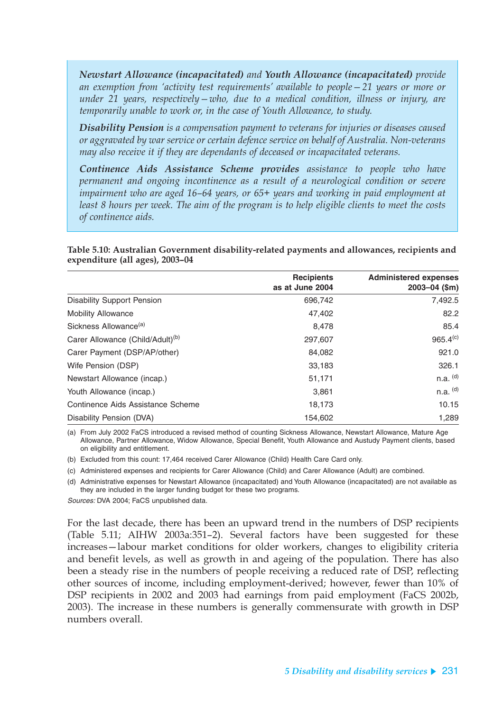*Newstart Allowance (incapacitated) and Youth Allowance (incapacitated) provide an exemption from 'activity test requirements' available to people—21 years or more or under 21 years, respectively—who, due to a medical condition, illness or injury, are temporarily unable to work or, in the case of Youth Allowance, to study.*

*Disability Pension is a compensation payment to veterans for injuries or diseases caused or aggravated by war service or certain defence service on behalf of Australia. Non-veterans may also receive it if they are dependants of deceased or incapacitated veterans.*

*Continence Aids Assistance Scheme provides assistance to people who have permanent and ongoing incontinence as a result of a neurological condition or severe impairment who are aged 16–64 years, or 65+ years and working in paid employment at least 8 hours per week. The aim of the program is to help eligible clients to meet the costs of continence aids.*

**Table 5.10: Australian Government disability-related payments and allowances, recipients and expenditure (all ages), 2003–04**

|                                              | <b>Recipients</b> | <b>Administered expenses</b> |
|----------------------------------------------|-------------------|------------------------------|
|                                              | as at June 2004   | $2003 - 04$ (\$m)            |
| <b>Disability Support Pension</b>            | 696,742           | 7,492.5                      |
| <b>Mobility Allowance</b>                    | 47,402            | 82.2                         |
| Sickness Allowance <sup>(a)</sup>            | 8,478             | 85.4                         |
| Carer Allowance (Child/Adult) <sup>(b)</sup> | 297,607           | 965.4 <sup>(c)</sup>         |
| Carer Payment (DSP/AP/other)                 | 84,082            | 921.0                        |
| Wife Pension (DSP)                           | 33,183            | 326.1                        |
| Newstart Allowance (incap.)                  | 51,171            | $n.a.$ (d)                   |
| Youth Allowance (incap.)                     | 3,861             | $n.a.$ $(d)$                 |
| Continence Aids Assistance Scheme            | 18,173            | 10.15                        |
| Disability Pension (DVA)                     | 154.602           | 1.289                        |

(a) From July 2002 FaCS introduced a revised method of counting Sickness Allowance, Newstart Allowance, Mature Age Allowance, Partner Allowance, Widow Allowance, Special Benefit, Youth Allowance and Austudy Payment clients, based on eligibility and entitlement.

(b) Excluded from this count: 17,464 received Carer Allowance (Child) Health Care Card only.

(c) Administered expenses and recipients for Carer Allowance (Child) and Carer Allowance (Adult) are combined.

(d) Administrative expenses for Newstart Allowance (incapacitated) and Youth Allowance (incapacitated) are not available as they are included in the larger funding budget for these two programs.

Sources: DVA 2004; FaCS unpublished data.

For the last decade, there has been an upward trend in the numbers of DSP recipients (Table 5.11; AIHW 2003a:351–2). Several factors have been suggested for these increases—labour market conditions for older workers, changes to eligibility criteria and benefit levels, as well as growth in and ageing of the population. There has also been a steady rise in the numbers of people receiving a reduced rate of DSP, reflecting other sources of income, including employment-derived; however, fewer than 10% of DSP recipients in 2002 and 2003 had earnings from paid employment (FaCS 2002b, 2003). The increase in these numbers is generally commensurate with growth in DSP numbers overall.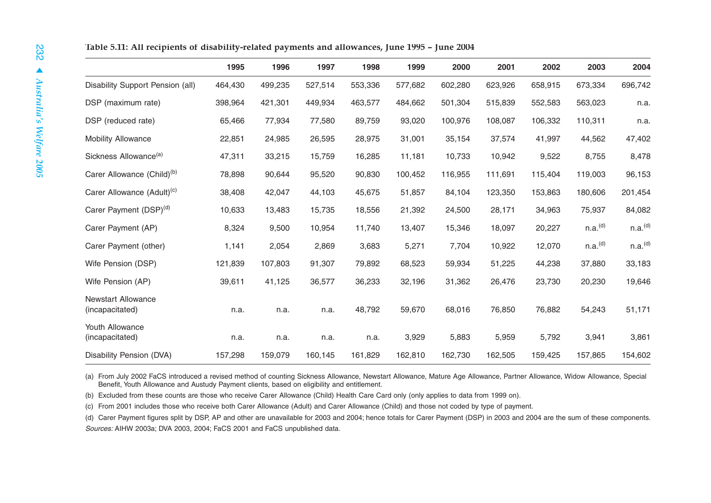|                                              | 1995    | 1996    | 1997    | 1998    | 1999    | 2000    | 2001    | 2002    | 2003                | 2004                |
|----------------------------------------------|---------|---------|---------|---------|---------|---------|---------|---------|---------------------|---------------------|
| <b>Disability Support Pension (all)</b>      | 464,430 | 499,235 | 527,514 | 553,336 | 577,682 | 602,280 | 623,926 | 658,915 | 673,334             | 696,742             |
| DSP (maximum rate)                           | 398,964 | 421,301 | 449,934 | 463,577 | 484,662 | 501,304 | 515,839 | 552,583 | 563,023             | n.a.                |
| DSP (reduced rate)                           | 65,466  | 77,934  | 77,580  | 89,759  | 93,020  | 100,976 | 108,087 | 106,332 | 110,311             | n.a.                |
| <b>Mobility Allowance</b>                    | 22,851  | 24,985  | 26,595  | 28,975  | 31,001  | 35,154  | 37,574  | 41,997  | 44,562              | 47,402              |
| Sickness Allowance <sup>(a)</sup>            | 47,311  | 33,215  | 15,759  | 16,285  | 11,181  | 10,733  | 10,942  | 9,522   | 8,755               | 8,478               |
| Carer Allowance (Child) <sup>(b)</sup>       | 78,898  | 90,644  | 95,520  | 90,830  | 100,452 | 116,955 | 111,691 | 115,404 | 119,003             | 96,153              |
| Carer Allowance (Adult) <sup>(c)</sup>       | 38,408  | 42,047  | 44,103  | 45,675  | 51,857  | 84,104  | 123,350 | 153,863 | 180,606             | 201,454             |
| Carer Payment (DSP) <sup>(d)</sup>           | 10,633  | 13,483  | 15,735  | 18,556  | 21,392  | 24,500  | 28,171  | 34,963  | 75,937              | 84,082              |
| Carer Payment (AP)                           | 8,324   | 9,500   | 10,954  | 11,740  | 13,407  | 15,346  | 18,097  | 20,227  | n.a. <sup>(d)</sup> | n.a. <sup>(d)</sup> |
| Carer Payment (other)                        | 1,141   | 2,054   | 2,869   | 3,683   | 5,271   | 7,704   | 10,922  | 12,070  | n.a. <sup>(d)</sup> | n.a. <sup>(d)</sup> |
| Wife Pension (DSP)                           | 121,839 | 107,803 | 91,307  | 79,892  | 68,523  | 59,934  | 51,225  | 44,238  | 37,880              | 33,183              |
| Wife Pension (AP)                            | 39,611  | 41,125  | 36,577  | 36,233  | 32,196  | 31,362  | 26,476  | 23,730  | 20,230              | 19,646              |
| <b>Newstart Allowance</b><br>(incapacitated) | n.a.    | n.a.    | n.a.    | 48,792  | 59,670  | 68,016  | 76,850  | 76,882  | 54,243              | 51,171              |
| Youth Allowance<br>(incapacitated)           | n.a.    | n.a.    | n.a.    | n.a.    | 3,929   | 5,883   | 5,959   | 5,792   | 3,941               | 3,861               |
| Disability Pension (DVA)                     | 157,298 | 159,079 | 160,145 | 161,829 | 162,810 | 162,730 | 162,505 | 159,425 | 157,865             | 154,602             |

(a) From July 2002 FaCS introduced a revised method of counting Sickness Allowance, Newstart Allowance, Mature Age Allowance, Partner Allowance, Widow Allowance, Special Benefit, Youth Allowance and Austudy Payment clients, based on eligibility and entitlement.

(b) Excluded from these counts are those who receive Carer Allowance (Child) Health Care Card only (only applies to data from 1999 on).

(c) From 2001 includes those who receive both Carer Allowance (Adult) and Carer Allowance (Child) and those not coded by type of payment.

(d) Carer Payment figures split by DSP, AP and other are unavailable for 2003 and 2004; hence totals for Carer Payment (DSP) in 2003 and 2004 are the sum of these components. Sources: AIHW 2003a; DVA 2003, 2004; FaCS 2001 and FaCS unpublished data.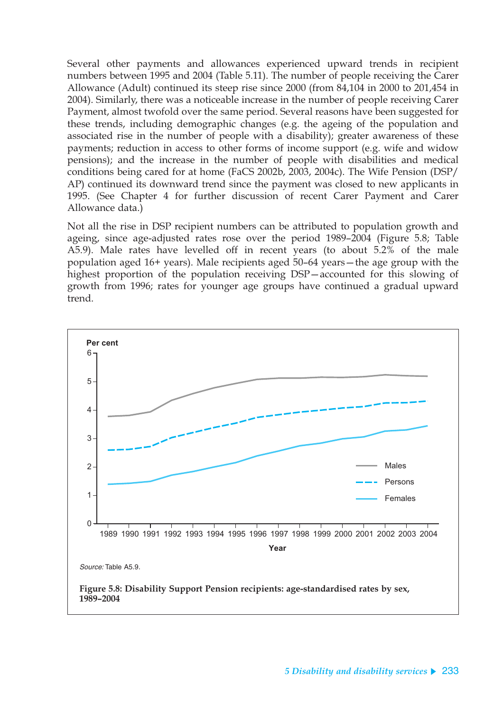Several other payments and allowances experienced upward trends in recipient numbers between 1995 and 2004 (Table 5.11). The number of people receiving the Carer Allowance (Adult) continued its steep rise since 2000 (from 84,104 in 2000 to 201,454 in 2004). Similarly, there was a noticeable increase in the number of people receiving Carer Payment, almost twofold over the same period. Several reasons have been suggested for these trends, including demographic changes (e.g. the ageing of the population and associated rise in the number of people with a disability); greater awareness of these payments; reduction in access to other forms of income support (e.g. wife and widow pensions); and the increase in the number of people with disabilities and medical conditions being cared for at home (FaCS 2002b, 2003, 2004c). The Wife Pension (DSP/ AP) continued its downward trend since the payment was closed to new applicants in 1995. (See Chapter 4 for further discussion of recent Carer Payment and Carer Allowance data.)

Not all the rise in DSP recipient numbers can be attributed to population growth and ageing, since age-adjusted rates rose over the period 1989–2004 (Figure 5.8; Table A5.9). Male rates have levelled off in recent years (to about 5.2% of the male population aged 16+ years). Male recipients aged 50–64 years—the age group with the highest proportion of the population receiving DSP—accounted for this slowing of growth from 1996; rates for younger age groups have continued a gradual upward trend.

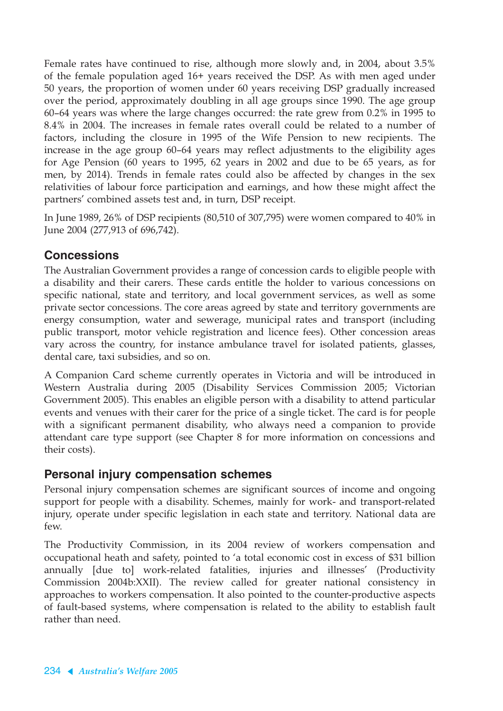Female rates have continued to rise, although more slowly and, in 2004, about 3.5% of the female population aged 16+ years received the DSP. As with men aged under 50 years, the proportion of women under 60 years receiving DSP gradually increased over the period, approximately doubling in all age groups since 1990. The age group 60–64 years was where the large changes occurred: the rate grew from 0.2% in 1995 to 8.4% in 2004. The increases in female rates overall could be related to a number of factors, including the closure in 1995 of the Wife Pension to new recipients. The increase in the age group 60–64 years may reflect adjustments to the eligibility ages for Age Pension (60 years to 1995, 62 years in 2002 and due to be 65 years, as for men, by 2014). Trends in female rates could also be affected by changes in the sex relativities of labour force participation and earnings, and how these might affect the partners' combined assets test and, in turn, DSP receipt.

In June 1989, 26% of DSP recipients (80,510 of 307,795) were women compared to 40% in June 2004 (277,913 of 696,742).

### **Concessions**

The Australian Government provides a range of concession cards to eligible people with a disability and their carers. These cards entitle the holder to various concessions on specific national, state and territory, and local government services, as well as some private sector concessions. The core areas agreed by state and territory governments are energy consumption, water and sewerage, municipal rates and transport (including public transport, motor vehicle registration and licence fees). Other concession areas vary across the country, for instance ambulance travel for isolated patients, glasses, dental care, taxi subsidies, and so on.

A Companion Card scheme currently operates in Victoria and will be introduced in Western Australia during 2005 (Disability Services Commission 2005; Victorian Government 2005). This enables an eligible person with a disability to attend particular events and venues with their carer for the price of a single ticket. The card is for people with a significant permanent disability, who always need a companion to provide attendant care type support (see Chapter 8 for more information on concessions and their costs).

### **Personal injury compensation schemes**

Personal injury compensation schemes are significant sources of income and ongoing support for people with a disability. Schemes, mainly for work- and transport-related injury, operate under specific legislation in each state and territory. National data are few.

The Productivity Commission, in its 2004 review of workers compensation and occupational heath and safety, pointed to 'a total economic cost in excess of \$31 billion annually [due to] work-related fatalities, injuries and illnesses' (Productivity Commission 2004b:XXII). The review called for greater national consistency in approaches to workers compensation. It also pointed to the counter-productive aspects of fault-based systems, where compensation is related to the ability to establish fault rather than need.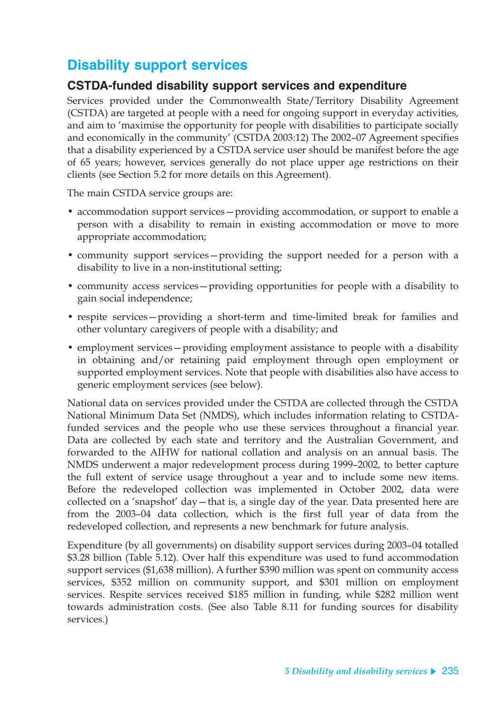## **Disability support services**

### **CSTDA-funded disability support services and expenditure**

Services provided under the Commonwealth State/Territory Disability Agreement (CSTDA) are targeted at people with a need for ongoing support in everyday activities, and aim to 'maximise the opportunity for people with disabilities to participate socially and economically in the community' (CSTDA 2003:12) The 2002–07 Agreement specifies that a disability experienced by a CSTDA service user should be manifest before the age of 65 years; however, services generally do not place upper age restrictions on their clients (see Section 5.2 for more details on this Agreement).

The main CSTDA service groups are:

- accommodation support services—providing accommodation, or support to enable a person with a disability to remain in existing accommodation or move to more appropriate accommodation;
- community support services—providing the support needed for a person with a disability to live in a non-institutional setting;
- community access services—providing opportunities for people with a disability to gain social independence;
- respite services—providing a short-term and time-limited break for families and other voluntary caregivers of people with a disability; and
- employment services—providing employment assistance to people with a disability in obtaining and/or retaining paid employment through open employment or supported employment services. Note that people with disabilities also have access to generic employment services (see below).

National data on services provided under the CSTDA are collected through the CSTDA National Minimum Data Set (NMDS), which includes information relating to CSTDAfunded services and the people who use these services throughout a financial year. Data are collected by each state and territory and the Australian Government, and forwarded to the AIHW for national collation and analysis on an annual basis. The NMDS underwent a major redevelopment process during 1999–2002, to better capture the full extent of service usage throughout a year and to include some new items. Before the redeveloped collection was implemented in October 2002, data were collected on a 'snapshot' day—that is, a single day of the year. Data presented here are from the 2003–04 data collection, which is the first full year of data from the redeveloped collection, and represents a new benchmark for future analysis.

Expenditure (by all governments) on disability support services during 2003–04 totalled \$3.28 billion (Table 5.12). Over half this expenditure was used to fund accommodation support services (\$1,638 million). A further \$390 million was spent on community access services, \$352 million on community support, and \$301 million on employment services. Respite services received \$185 million in funding, while \$282 million went towards administration costs. (See also Table 8.11 for funding sources for disability services.)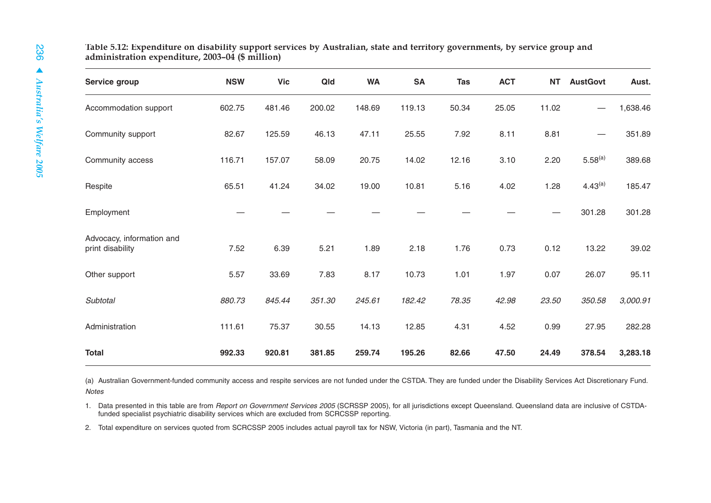| Table 5.12: Expenditure on disability support services by Australian, state and territory governments, by service group and |  |  |
|-----------------------------------------------------------------------------------------------------------------------------|--|--|
| administration expenditure, 2003–04 (\$ million)                                                                            |  |  |

| Service group                                 | <b>NSW</b> | <b>Vic</b> | Qld    | <b>WA</b> | <b>SA</b> | <b>Tas</b> | <b>ACT</b> | <b>NT</b> | <b>AustGovt</b>     | Aust.    |
|-----------------------------------------------|------------|------------|--------|-----------|-----------|------------|------------|-----------|---------------------|----------|
| Accommodation support                         | 602.75     | 481.46     | 200.02 | 148.69    | 119.13    | 50.34      | 25.05      | 11.02     |                     | 1,638.46 |
| Community support                             | 82.67      | 125.59     | 46.13  | 47.11     | 25.55     | 7.92       | 8.11       | 8.81      |                     | 351.89   |
| Community access                              | 116.71     | 157.07     | 58.09  | 20.75     | 14.02     | 12.16      | 3.10       | 2.20      | $5.58^{(a)}$        | 389.68   |
| Respite                                       | 65.51      | 41.24      | 34.02  | 19.00     | 10.81     | 5.16       | 4.02       | 1.28      | 4.43 <sup>(a)</sup> | 185.47   |
| Employment                                    |            |            |        |           |           |            |            |           | 301.28              | 301.28   |
| Advocacy, information and<br>print disability | 7.52       | 6.39       | 5.21   | 1.89      | 2.18      | 1.76       | 0.73       | 0.12      | 13.22               | 39.02    |
| Other support                                 | 5.57       | 33.69      | 7.83   | 8.17      | 10.73     | 1.01       | 1.97       | 0.07      | 26.07               | 95.11    |
| Subtotal                                      | 880.73     | 845.44     | 351.30 | 245.61    | 182.42    | 78.35      | 42.98      | 23.50     | 350.58              | 3,000.91 |
| Administration                                | 111.61     | 75.37      | 30.55  | 14.13     | 12.85     | 4.31       | 4.52       | 0.99      | 27.95               | 282.28   |
| <b>Total</b>                                  | 992.33     | 920.81     | 381.85 | 259.74    | 195.26    | 82.66      | 47.50      | 24.49     | 378.54              | 3,283.18 |

(a) Australian Government-funded community access and respite services are not funded under the CSTDA. They are funded under the Disability Services Act Discretionary Fund. Notes

1. Data presented in this table are from Report on Government Services 2005 (SCRSSP 2005), for all jurisdictions except Queensland. Queensland data are inclusive of CSTDAfunded specialist psychiatric disability services which are excluded from SCRCSSP reporting.

2. Total expenditure on services quoted from SCRCSSP 2005 includes actual payroll tax for NSW, Victoria (in part), Tasmania and the NT.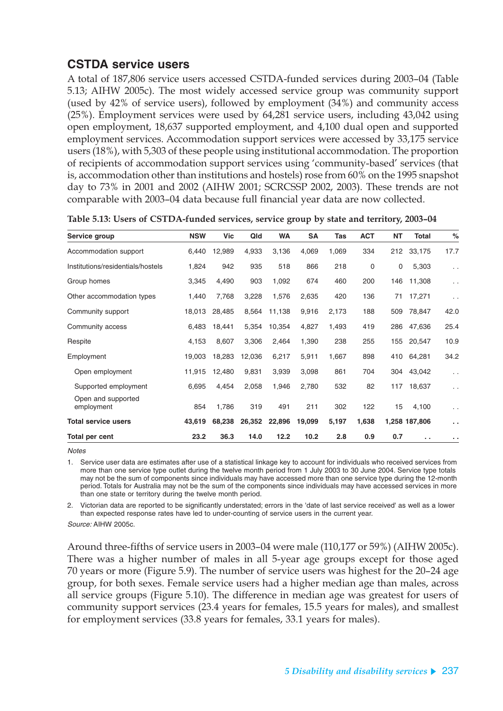### **CSTDA service users**

A total of 187,806 service users accessed CSTDA-funded services during 2003–04 (Table 5.13; AIHW 2005c). The most widely accessed service group was community support (used by 42% of service users), followed by employment (34%) and community access (25%). Employment services were used by 64,281 service users, including 43,042 using open employment, 18,637 supported employment, and 4,100 dual open and supported employment services. Accommodation support services were accessed by 33,175 service users (18%), with 5,303 of these people using institutional accommodation. The proportion of recipients of accommodation support services using 'community-based' services (that is, accommodation other than institutions and hostels) rose from 60% on the 1995 snapshot day to 73% in 2001 and 2002 (AIHW 2001; SCRCSSP 2002, 2003). These trends are not comparable with 2003–04 data because full financial year data are now collected.

| Service group                     | <b>NSW</b> | Vic    | Qld    | <b>WA</b> | <b>SA</b> | Tas   | <b>ACT</b> | ΝT          | Total         | %                    |
|-----------------------------------|------------|--------|--------|-----------|-----------|-------|------------|-------------|---------------|----------------------|
| Accommodation support             | 6,440      | 12,989 | 4,933  | 3,136     | 4,069     | 1,069 | 334        | 212         | 33,175        | 17.7                 |
| Institutions/residentials/hostels | 1,824      | 942    | 935    | 518       | 866       | 218   | 0          | $\mathbf 0$ | 5,303         | $\sim$ $\sim$        |
| Group homes                       | 3,345      | 4,490  | 903    | 1,092     | 674       | 460   | 200        | 146         | 11,308        | $\ddotsc$            |
| Other accommodation types         | 1,440      | 7,768  | 3,228  | 1,576     | 2,635     | 420   | 136        | 71          | 17,271        | $\ddotsc$            |
| Community support                 | 18,013     | 28,485 | 8,564  | 11,138    | 9,916     | 2,173 | 188        | 509         | 78,847        | 42.0                 |
| Community access                  | 6,483      | 18,441 | 5,354  | 10,354    | 4,827     | 1,493 | 419        | 286         | 47,636        | 25.4                 |
| Respite                           | 4,153      | 8,607  | 3,306  | 2,464     | 1,390     | 238   | 255        | 155         | 20,547        | 10.9                 |
| Employment                        | 19,003     | 18,283 | 12,036 | 6,217     | 5,911     | 1,667 | 898        | 410         | 64,281        | 34.2                 |
| Open employment                   | 11,915     | 12,480 | 9,831  | 3,939     | 3,098     | 861   | 704        | 304         | 43,042        | $\ddot{\phantom{0}}$ |
| Supported employment              | 6,695      | 4,454  | 2,058  | 1,946     | 2,780     | 532   | 82         | 117         | 18,637        | $\ddotsc$            |
| Open and supported<br>employment  | 854        | 1,786  | 319    | 491       | 211       | 302   | 122        | 15          | 4,100         | $\ddot{\phantom{0}}$ |
| <b>Total service users</b>        | 43,619     | 68,238 | 26,352 | 22,896    | 19,099    | 5,197 | 1,638      |             | 1,258 187,806 | $\ddot{\phantom{1}}$ |
| Total per cent                    | 23.2       | 36.3   | 14.0   | 12.2      | 10.2      | 2.8   | 0.9        | 0.7         | . .           | $\ddot{\phantom{1}}$ |

| Table 5.13: Users of CSTDA-funded services, service group by state and territory, 2003-04 |  |  |
|-------------------------------------------------------------------------------------------|--|--|
|-------------------------------------------------------------------------------------------|--|--|

**Notes** 

1. Service user data are estimates after use of a statistical linkage key to account for individuals who received services from more than one service type outlet during the twelve month period from 1 July 2003 to 30 June 2004. Service type totals may not be the sum of components since individuals may have accessed more than one service type during the 12-month period. Totals for Australia may not be the sum of the components since individuals may have accessed services in more than one state or territory during the twelve month period.

2. Victorian data are reported to be significantly understated; errors in the 'date of last service received' as well as a lower than expected response rates have led to under-counting of service users in the current year. Source: AIHW 2005c.

Around three-fifths of service users in 2003–04 were male (110,177 or 59%) (AIHW 2005c). There was a higher number of males in all 5-year age groups except for those aged 70 years or more (Figure 5.9). The number of service users was highest for the 20–24 age group, for both sexes. Female service users had a higher median age than males, across all service groups (Figure 5.10). The difference in median age was greatest for users of community support services (23.4 years for females, 15.5 years for males), and smallest for employment services (33.8 years for females, 33.1 years for males).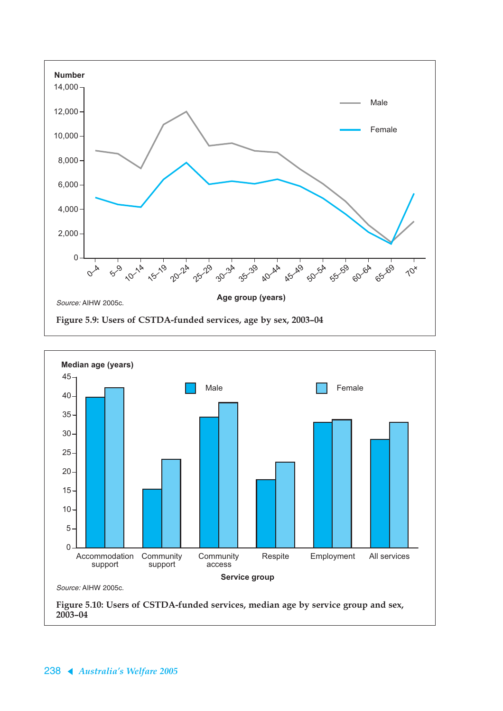



**2003–04**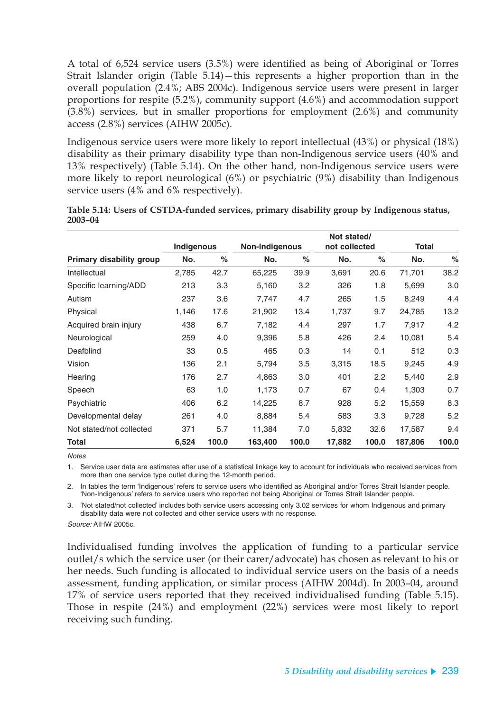A total of 6,524 service users (3.5%) were identified as being of Aboriginal or Torres Strait Islander origin (Table 5.14)—this represents a higher proportion than in the overall population (2.4%; ABS 2004c). Indigenous service users were present in larger proportions for respite (5.2%), community support (4.6%) and accommodation support (3.8%) services, but in smaller proportions for employment (2.6%) and community access (2.8%) services (AIHW 2005c).

Indigenous service users were more likely to report intellectual (43%) or physical (18%) disability as their primary disability type than non-Indigenous service users (40% and 13% respectively) (Table 5.14). On the other hand, non-Indigenous service users were more likely to report neurological (6%) or psychiatric (9%) disability than Indigenous service users (4% and 6% respectively).

|                                 |            |       |                |       | Not stated/   |       |              |       |
|---------------------------------|------------|-------|----------------|-------|---------------|-------|--------------|-------|
|                                 | Indigenous |       | Non-Indigenous |       | not collected |       | <b>Total</b> |       |
| <b>Primary disability group</b> | No.        | $\%$  | No.            | $\%$  | No.           | $\%$  | No.          | $\%$  |
| Intellectual                    | 2,785      | 42.7  | 65,225         | 39.9  | 3,691         | 20.6  | 71,701       | 38.2  |
| Specific learning/ADD           | 213        | 3.3   | 5,160          | 3.2   | 326           | 1.8   | 5,699        | 3.0   |
| Autism                          | 237        | 3.6   | 7,747          | 4.7   | 265           | 1.5   | 8,249        | 4.4   |
| Physical                        | 1,146      | 17.6  | 21,902         | 13.4  | 1,737         | 9.7   | 24,785       | 13.2  |
| Acquired brain injury           | 438        | 6.7   | 7,182          | 4.4   | 297           | 1.7   | 7,917        | 4.2   |
| Neurological                    | 259        | 4.0   | 9,396          | 5.8   | 426           | 2.4   | 10,081       | 5.4   |
| Deafblind                       | 33         | 0.5   | 465            | 0.3   | 14            | 0.1   | 512          | 0.3   |
| Vision                          | 136        | 2.1   | 5,794          | 3.5   | 3,315         | 18.5  | 9,245        | 4.9   |
| Hearing                         | 176        | 2.7   | 4,863          | 3.0   | 401           | 2.2   | 5,440        | 2.9   |
| Speech                          | 63         | 1.0   | 1,173          | 0.7   | 67            | 0.4   | 1,303        | 0.7   |
| Psychiatric                     | 406        | 6.2   | 14,225         | 8.7   | 928           | 5.2   | 15,559       | 8.3   |
| Developmental delay             | 261        | 4.0   | 8,884          | 5.4   | 583           | 3.3   | 9,728        | 5.2   |
| Not stated/not collected        | 371        | 5.7   | 11,384         | 7.0   | 5,832         | 32.6  | 17,587       | 9.4   |
| Total                           | 6,524      | 100.0 | 163,400        | 100.0 | 17,882        | 100.0 | 187,806      | 100.0 |

#### **Table 5.14: Users of CSTDA-funded services, primary disability group by Indigenous status, 2003–04**

**Notes** 

1. Service user data are estimates after use of a statistical linkage key to account for individuals who received services from more than one service type outlet during the 12-month period.

2. In tables the term 'Indigenous' refers to service users who identified as Aboriginal and/or Torres Strait Islander people. 'Non-Indigenous' refers to service users who reported not being Aboriginal or Torres Strait Islander people.

3. 'Not stated/not collected' includes both service users accessing only 3.02 services for whom Indigenous and primary disability data were not collected and other service users with no response.

Source: AIHW 2005c.

Individualised funding involves the application of funding to a particular service outlet/s which the service user (or their carer/advocate) has chosen as relevant to his or her needs. Such funding is allocated to individual service users on the basis of a needs assessment, funding application, or similar process (AIHW 2004d). In 2003–04, around 17% of service users reported that they received individualised funding (Table 5.15). Those in respite (24%) and employment (22%) services were most likely to report receiving such funding.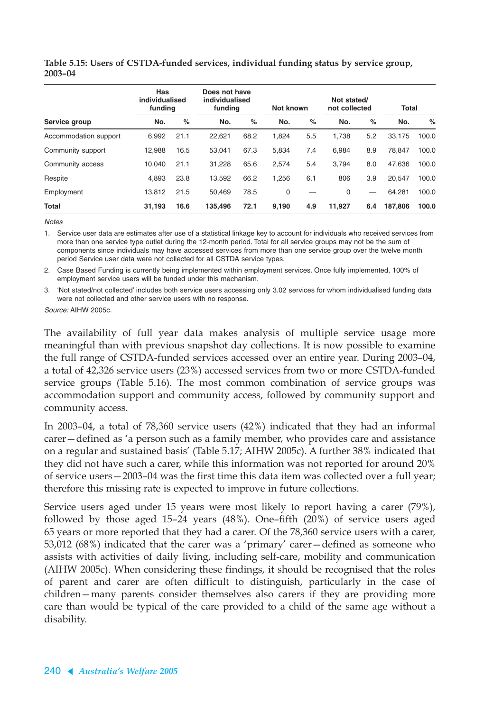|                       | Has<br>individualised<br>funding |      |         | Does not have<br>individualised<br>funding |       | Not known |        | Not stated/<br>not collected |         | Total |  |
|-----------------------|----------------------------------|------|---------|--------------------------------------------|-------|-----------|--------|------------------------------|---------|-------|--|
| Service group         | No.                              | $\%$ | No.     | %                                          | No.   | $\%$      | No.    | $\%$                         | No.     | $\%$  |  |
| Accommodation support | 6.992                            | 21.1 | 22,621  | 68.2                                       | 1,824 | 5.5       | 1.738  | 5.2                          | 33.175  | 100.0 |  |
| Community support     | 12.988                           | 16.5 | 53.041  | 67.3                                       | 5,834 | 7.4       | 6.984  | 8.9                          | 78.847  | 100.0 |  |
| Community access      | 10.040                           | 21.1 | 31,228  | 65.6                                       | 2,574 | 5.4       | 3.794  | 8.0                          | 47.636  | 100.0 |  |
| Respite               | 4.893                            | 23.8 | 13.592  | 66.2                                       | 1,256 | 6.1       | 806    | 3.9                          | 20.547  | 100.0 |  |
| Employment            | 13.812                           | 21.5 | 50.469  | 78.5                                       | 0     |           | 0      |                              | 64.281  | 100.0 |  |
| <b>Total</b>          | 31,193                           | 16.6 | 135,496 | 72.1                                       | 9,190 | 4.9       | 11,927 | 6.4                          | 187.806 | 100.0 |  |

**Table 5.15: Users of CSTDA-funded services, individual funding status by service group, 2003–04**

**Notes** 

1. Service user data are estimates after use of a statistical linkage key to account for individuals who received services from more than one service type outlet during the 12-month period. Total for all service groups may not be the sum of components since individuals may have accessed services from more than one service group over the twelve month period Service user data were not collected for all CSTDA service types.

2. Case Based Funding is currently being implemented within employment services. Once fully implemented, 100% of employment service users will be funded under this mechanism.

3. 'Not stated/not collected' includes both service users accessing only 3.02 services for whom individualised funding data were not collected and other service users with no response.

Source: AIHW 2005c.

The availability of full year data makes analysis of multiple service usage more meaningful than with previous snapshot day collections. It is now possible to examine the full range of CSTDA-funded services accessed over an entire year. During 2003–04, a total of 42,326 service users (23%) accessed services from two or more CSTDA-funded service groups (Table 5.16). The most common combination of service groups was accommodation support and community access, followed by community support and community access.

In 2003–04, a total of 78,360 service users (42%) indicated that they had an informal carer—defined as 'a person such as a family member, who provides care and assistance on a regular and sustained basis' (Table 5.17; AIHW 2005c). A further 38% indicated that they did not have such a carer, while this information was not reported for around 20% of service users—2003–04 was the first time this data item was collected over a full year; therefore this missing rate is expected to improve in future collections.

Service users aged under 15 years were most likely to report having a carer (79%), followed by those aged 15–24 years (48%). One–fifth (20%) of service users aged 65 years or more reported that they had a carer. Of the 78,360 service users with a carer, 53,012 (68%) indicated that the carer was a 'primary' carer—defined as someone who assists with activities of daily living, including self-care, mobility and communication (AIHW 2005c). When considering these findings, it should be recognised that the roles of parent and carer are often difficult to distinguish, particularly in the case of children—many parents consider themselves also carers if they are providing more care than would be typical of the care provided to a child of the same age without a disability.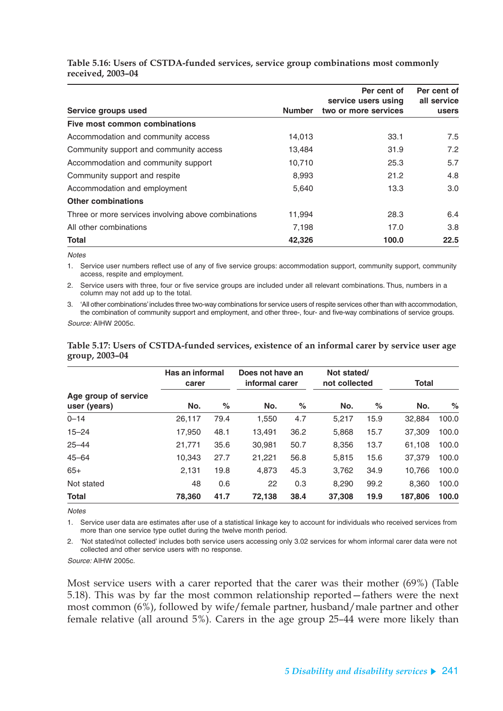#### **Table 5.16: Users of CSTDA-funded services, service group combinations most commonly received, 2003–04**

|                                                     |               | Per cent of<br>service users using | Per cent of<br>all service |
|-----------------------------------------------------|---------------|------------------------------------|----------------------------|
| Service groups used                                 | <b>Number</b> | two or more services               | users                      |
| Five most common combinations                       |               |                                    |                            |
| Accommodation and community access                  | 14,013        | 33.1                               | 7.5                        |
| Community support and community access              | 13,484        | 31.9                               | 7.2                        |
| Accommodation and community support                 | 10,710        | 25.3                               | 5.7                        |
| Community support and respite                       | 8,993         | 21.2                               | 4.8                        |
| Accommodation and employment                        | 5,640         | 13.3                               | 3.0                        |
| <b>Other combinations</b>                           |               |                                    |                            |
| Three or more services involving above combinations | 11,994        | 28.3                               | 6.4                        |
| All other combinations                              | 7,198         | 17.0                               | 3.8                        |
| <b>Total</b>                                        | 42,326        | 100.0                              | 22.5                       |

**Notes** 

1. Service user numbers reflect use of any of five service groups: accommodation support, community support, community access, respite and employment.

2. Service users with three, four or five service groups are included under all relevant combinations. Thus, numbers in a column may not add up to the total.

3. 'All other combinations' includes three two-way combinations for service users of respite services other than with accommodation, the combination of community support and employment, and other three-, four- and five-way combinations of service groups.

Source: AIHW 2005c.

#### **Table 5.17: Users of CSTDA-funded services, existence of an informal carer by service user age group, 2003–04**

|                                      | Has an informal<br>carer |      | Does not have an<br>informal carer |      | Not stated/<br>not collected |      | Total   |       |  |
|--------------------------------------|--------------------------|------|------------------------------------|------|------------------------------|------|---------|-------|--|
| Age group of service<br>user (years) | No.                      | $\%$ | No.                                | $\%$ | No.                          | $\%$ | No.     | %     |  |
| $0 - 14$                             | 26,117                   | 79.4 | 1,550                              | 4.7  | 5,217                        | 15.9 | 32,884  | 100.0 |  |
| $15 - 24$                            | 17.950                   | 48.1 | 13,491                             | 36.2 | 5,868                        | 15.7 | 37,309  | 100.0 |  |
| $25 - 44$                            | 21,771                   | 35.6 | 30,981                             | 50.7 | 8,356                        | 13.7 | 61,108  | 100.0 |  |
| $45 - 64$                            | 10,343                   | 27.7 | 21,221                             | 56.8 | 5,815                        | 15.6 | 37,379  | 100.0 |  |
| $65+$                                | 2,131                    | 19.8 | 4,873                              | 45.3 | 3,762                        | 34.9 | 10.766  | 100.0 |  |
| Not stated                           | 48                       | 0.6  | 22                                 | 0.3  | 8.290                        | 99.2 | 8,360   | 100.0 |  |
| <b>Total</b>                         | 78,360                   | 41.7 | 72,138                             | 38.4 | 37,308                       | 19.9 | 187,806 | 100.0 |  |

Notes

1. Service user data are estimates after use of a statistical linkage key to account for individuals who received services from more than one service type outlet during the twelve month period.

2. 'Not stated/not collected' includes both service users accessing only 3.02 services for whom informal carer data were not collected and other service users with no response.

Source: AIHW 2005c.

Most service users with a carer reported that the carer was their mother (69%) (Table 5.18). This was by far the most common relationship reported—fathers were the next most common (6%), followed by wife/female partner, husband/male partner and other female relative (all around 5%). Carers in the age group 25–44 were more likely than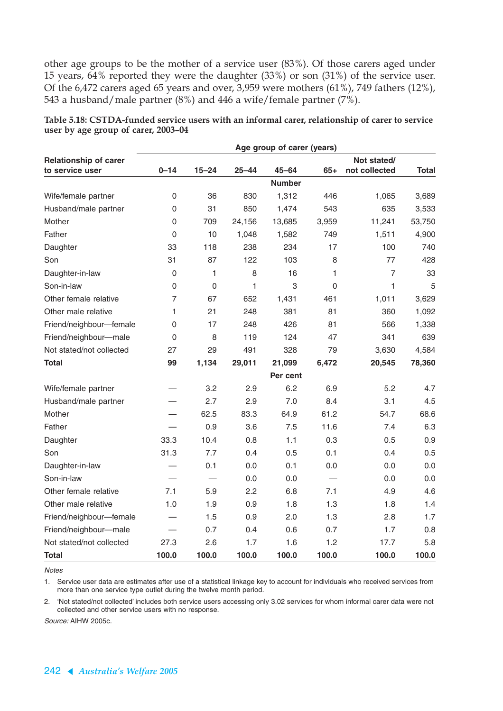other age groups to be the mother of a service user (83%). Of those carers aged under 15 years, 64% reported they were the daughter (33%) or son (31%) of the service user. Of the 6,472 carers aged 65 years and over, 3,959 were mothers (61%), 749 fathers (12%), 543 a husband/male partner (8%) and 446 a wife/female partner (7%).

|                                                 | Age group of carer (years) |           |           |               |                |                              |              |  |  |  |  |
|-------------------------------------------------|----------------------------|-----------|-----------|---------------|----------------|------------------------------|--------------|--|--|--|--|
| <b>Relationship of carer</b><br>to service user | $0 - 14$                   | $15 - 24$ | $25 - 44$ | $45 - 64$     | $65+$          | Not stated/<br>not collected | <b>Total</b> |  |  |  |  |
|                                                 |                            |           |           | <b>Number</b> |                |                              |              |  |  |  |  |
| Wife/female partner                             | 0                          | 36        | 830       | 1,312         | 446            | 1,065                        | 3,689        |  |  |  |  |
| Husband/male partner                            | 0                          | 31        | 850       | 1,474         | 543            | 635                          | 3,533        |  |  |  |  |
| Mother                                          | 0                          | 709       | 24,156    | 13,685        | 3,959          | 11,241                       | 53,750       |  |  |  |  |
| Father                                          | $\mathbf 0$                | 10        | 1,048     | 1,582         | 749            | 1,511                        | 4,900        |  |  |  |  |
| Daughter                                        | 33                         | 118       | 238       | 234           | 17             | 100                          | 740          |  |  |  |  |
| Son                                             | 31                         | 87        | 122       | 103           | 8              | 77                           | 428          |  |  |  |  |
| Daughter-in-law                                 | $\mathsf 0$                | 1         | 8         | 16            | 1              | $\overline{7}$               | 33           |  |  |  |  |
| Son-in-law                                      | 0                          | $\Omega$  | 1         | 3             | $\overline{0}$ | 1                            | 5            |  |  |  |  |
| Other female relative                           | 7                          | 67        | 652       | 1,431         | 461            | 1,011                        | 3,629        |  |  |  |  |
| Other male relative                             | 1                          | 21        | 248       | 381           | 81             | 360                          | 1,092        |  |  |  |  |
| Friend/neighbour-female                         | 0                          | 17        | 248       | 426           | 81             | 566                          | 1,338        |  |  |  |  |
| Friend/neighbour-male                           | $\mathsf{O}\xspace$        | 8         | 119       | 124           | 47             | 341                          | 639          |  |  |  |  |
| Not stated/not collected                        | 27                         | 29        | 491       | 328           | 79             | 3,630                        | 4,584        |  |  |  |  |
| Total                                           | 99                         | 1,134     | 29,011    | 21,099        | 6,472          | 20,545                       | 78,360       |  |  |  |  |
|                                                 |                            |           |           | Per cent      |                |                              |              |  |  |  |  |
| Wife/female partner                             |                            | 3.2       | 2.9       | 6.2           | 6.9            | 5.2                          | 4.7          |  |  |  |  |
| Husband/male partner                            |                            | 2.7       | 2.9       | 7.0           | 8.4            | 3.1                          | 4.5          |  |  |  |  |
| Mother                                          |                            | 62.5      | 83.3      | 64.9          | 61.2           | 54.7                         | 68.6         |  |  |  |  |
| Father                                          |                            | 0.9       | 3.6       | 7.5           | 11.6           | 7.4                          | 6.3          |  |  |  |  |
| Daughter                                        | 33.3                       | 10.4      | 0.8       | 1.1           | 0.3            | 0.5                          | 0.9          |  |  |  |  |
| Son                                             | 31.3                       | 7.7       | 0.4       | 0.5           | 0.1            | 0.4                          | 0.5          |  |  |  |  |
| Daughter-in-law                                 |                            | 0.1       | 0.0       | 0.1           | 0.0            | 0.0                          | 0.0          |  |  |  |  |
| Son-in-law                                      |                            |           | 0.0       | 0.0           |                | 0.0                          | 0.0          |  |  |  |  |
| Other female relative                           | 7.1                        | 5.9       | 2.2       | 6.8           | 7.1            | 4.9                          | 4.6          |  |  |  |  |
| Other male relative                             | 1.0                        | 1.9       | 0.9       | 1.8           | 1.3            | 1.8                          | 1.4          |  |  |  |  |
| Friend/neighbour-female                         |                            | 1.5       | 0.9       | 2.0           | 1.3            | 2.8                          | 1.7          |  |  |  |  |
| Friend/neighbour-male                           |                            | 0.7       | 0.4       | 0.6           | 0.7            | 1.7                          | 0.8          |  |  |  |  |
| Not stated/not collected                        | 27.3                       | 2.6       | 1.7       | 1.6           | 1.2            | 17.7                         | 5.8          |  |  |  |  |
| <b>Total</b>                                    | 100.0                      | 100.0     | 100.0     | 100.0         | 100.0          | 100.0                        | 100.0        |  |  |  |  |

| Table 5.18: CSTDA-funded service users with an informal carer, relationship of carer to service |  |
|-------------------------------------------------------------------------------------------------|--|
| user by age group of carer, 2003-04                                                             |  |

**Notes** 

1. Service user data are estimates after use of a statistical linkage key to account for individuals who received services from more than one service type outlet during the twelve month period.

2. 'Not stated/not collected' includes both service users accessing only 3.02 services for whom informal carer data were not collected and other service users with no response.

Source: AIHW 2005c.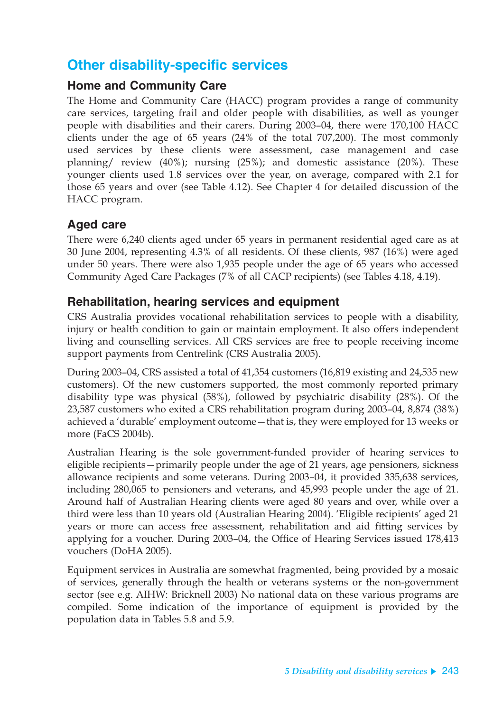## **Other disability-specific services**

### **Home and Community Care**

The Home and Community Care (HACC) program provides a range of community care services, targeting frail and older people with disabilities, as well as younger people with disabilities and their carers. During 2003–04, there were 170,100 HACC clients under the age of 65 years (24% of the total 707,200). The most commonly used services by these clients were assessment, case management and case planning/ review (40%); nursing (25%); and domestic assistance (20%). These younger clients used 1.8 services over the year, on average, compared with 2.1 for those 65 years and over (see Table 4.12). See Chapter 4 for detailed discussion of the HACC program.

### **Aged care**

There were 6,240 clients aged under 65 years in permanent residential aged care as at 30 June 2004, representing 4.3% of all residents. Of these clients, 987 (16%) were aged under 50 years. There were also 1,935 people under the age of 65 years who accessed Community Aged Care Packages (7% of all CACP recipients) (see Tables 4.18, 4.19).

### **Rehabilitation, hearing services and equipment**

CRS Australia provides vocational rehabilitation services to people with a disability, injury or health condition to gain or maintain employment. It also offers independent living and counselling services. All CRS services are free to people receiving income support payments from Centrelink (CRS Australia 2005).

During 2003–04, CRS assisted a total of 41,354 customers (16,819 existing and 24,535 new customers). Of the new customers supported, the most commonly reported primary disability type was physical (58%), followed by psychiatric disability (28%). Of the 23,587 customers who exited a CRS rehabilitation program during 2003–04, 8,874 (38%) achieved a 'durable' employment outcome—that is, they were employed for 13 weeks or more (FaCS 2004b).

Australian Hearing is the sole government-funded provider of hearing services to eligible recipients—primarily people under the age of 21 years, age pensioners, sickness allowance recipients and some veterans. During 2003–04, it provided 335,638 services, including 280,065 to pensioners and veterans, and 45,993 people under the age of 21. Around half of Australian Hearing clients were aged 80 years and over, while over a third were less than 10 years old (Australian Hearing 2004). 'Eligible recipients' aged 21 years or more can access free assessment, rehabilitation and aid fitting services by applying for a voucher. During 2003–04, the Office of Hearing Services issued 178,413 vouchers (DoHA 2005).

Equipment services in Australia are somewhat fragmented, being provided by a mosaic of services, generally through the health or veterans systems or the non-government sector (see e.g. AIHW: Bricknell 2003) No national data on these various programs are compiled. Some indication of the importance of equipment is provided by the population data in Tables 5.8 and 5.9.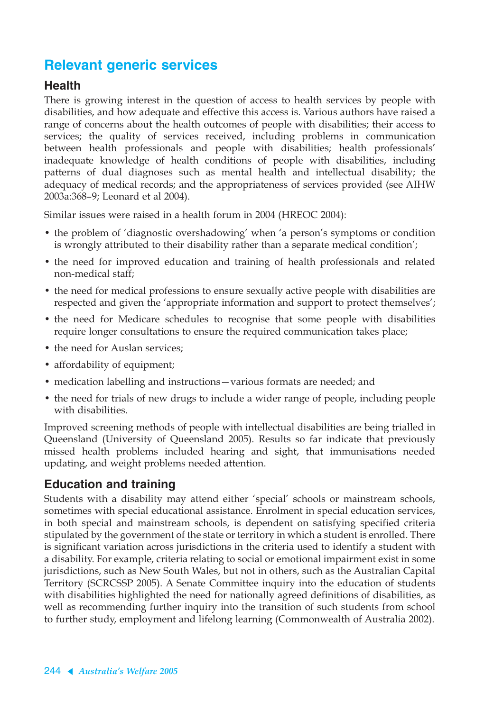## **Relevant generic services**

### **Health**

There is growing interest in the question of access to health services by people with disabilities, and how adequate and effective this access is. Various authors have raised a range of concerns about the health outcomes of people with disabilities; their access to services; the quality of services received, including problems in communication between health professionals and people with disabilities; health professionals' inadequate knowledge of health conditions of people with disabilities, including patterns of dual diagnoses such as mental health and intellectual disability; the adequacy of medical records; and the appropriateness of services provided (see AIHW 2003a:368–9; Leonard et al 2004).

Similar issues were raised in a health forum in 2004 (HREOC 2004):

- the problem of 'diagnostic overshadowing' when 'a person's symptoms or condition is wrongly attributed to their disability rather than a separate medical condition';
- the need for improved education and training of health professionals and related non-medical staff;
- the need for medical professions to ensure sexually active people with disabilities are respected and given the 'appropriate information and support to protect themselves';
- the need for Medicare schedules to recognise that some people with disabilities require longer consultations to ensure the required communication takes place;
- the need for Auslan services:
- affordability of equipment;
- medication labelling and instructions—various formats are needed; and
- the need for trials of new drugs to include a wider range of people, including people with disabilities.

Improved screening methods of people with intellectual disabilities are being trialled in Queensland (University of Queensland 2005). Results so far indicate that previously missed health problems included hearing and sight, that immunisations needed updating, and weight problems needed attention.

### **Education and training**

Students with a disability may attend either 'special' schools or mainstream schools, sometimes with special educational assistance. Enrolment in special education services, in both special and mainstream schools, is dependent on satisfying specified criteria stipulated by the government of the state or territory in which a student is enrolled. There is significant variation across jurisdictions in the criteria used to identify a student with a disability. For example, criteria relating to social or emotional impairment exist in some jurisdictions, such as New South Wales, but not in others, such as the Australian Capital Territory (SCRCSSP 2005). A Senate Committee inquiry into the education of students with disabilities highlighted the need for nationally agreed definitions of disabilities, as well as recommending further inquiry into the transition of such students from school to further study, employment and lifelong learning (Commonwealth of Australia 2002).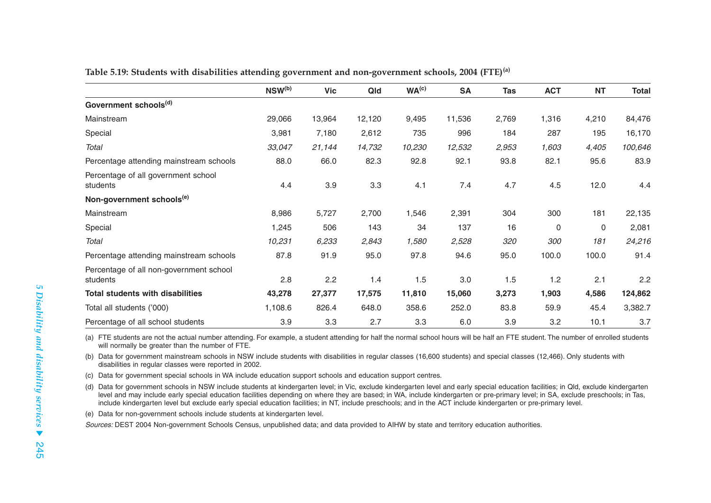|                                                     | $NSW^{(b)}$ | <b>Vic</b> | Qld    | WA <sup>(c)</sup> | <b>SA</b> | <b>Tas</b> | <b>ACT</b>  | <b>NT</b>   | <b>Total</b> |
|-----------------------------------------------------|-------------|------------|--------|-------------------|-----------|------------|-------------|-------------|--------------|
| Government schools <sup>(d)</sup>                   |             |            |        |                   |           |            |             |             |              |
| Mainstream                                          | 29,066      | 13,964     | 12,120 | 9,495             | 11,536    | 2,769      | 1,316       | 4,210       | 84,476       |
| Special                                             | 3,981       | 7,180      | 2,612  | 735               | 996       | 184        | 287         | 195         | 16,170       |
| Total                                               | 33,047      | 21,144     | 14,732 | 10,230            | 12,532    | 2,953      | 1,603       | 4,405       | 100,646      |
| Percentage attending mainstream schools             | 88.0        | 66.0       | 82.3   | 92.8              | 92.1      | 93.8       | 82.1        | 95.6        | 83.9         |
| Percentage of all government school<br>students     | 4.4         | 3.9        | 3.3    | 4.1               | 7.4       | 4.7        | 4.5         | 12.0        | 4.4          |
| Non-government schools <sup>(e)</sup>               |             |            |        |                   |           |            |             |             |              |
| Mainstream                                          | 8,986       | 5,727      | 2,700  | 1,546             | 2,391     | 304        | 300         | 181         | 22,135       |
| Special                                             | 1,245       | 506        | 143    | 34                | 137       | 16         | $\mathbf 0$ | $\mathbf 0$ | 2,081        |
| Total                                               | 10,231      | 6,233      | 2,843  | 1,580             | 2,528     | 320        | 300         | 181         | 24,216       |
| Percentage attending mainstream schools             | 87.8        | 91.9       | 95.0   | 97.8              | 94.6      | 95.0       | 100.0       | 100.0       | 91.4         |
| Percentage of all non-government school<br>students | 2.8         | 2.2        | 1.4    | 1.5               | 3.0       | 1.5        | 1.2         | 2.1         | 2.2          |
| <b>Total students with disabilities</b>             | 43,278      | 27,377     | 17,575 | 11,810            | 15,060    | 3,273      | 1,903       | 4,586       | 124,862      |
| Total all students ('000)                           | 1,108.6     | 826.4      | 648.0  | 358.6             | 252.0     | 83.8       | 59.9        | 45.4        | 3,382.7      |
| Percentage of all school students                   | 3.9         | 3.3        | 2.7    | 3.3               | 6.0       | 3.9        | 3.2         | 10.1        | 3.7          |

**Table 5.19: Students with disabilities attending government and non-government schools, 2004 (FTE)(a)**

(a) FTE students are not the actual number attending. For example, a student attending for half the normal school hours will be half an FTE student. The number of enrolled students will normally be greater than the number of FTE.

(b) Data for government mainstream schools in NSW include students with disabilities in regular classes (16,600 students) and special classes (12,466). Only students with disabilities in regular classes were reported in 2002.

(c) Data for government special schools in WA include education support schools and education support centres.

(d) Data for government schools in NSW include students at kindergarten level; in Vic, exclude kindergarten level and early special education facilities; in Qld, exclude kindergarten level and may include early special education facilities depending on where they are based; in WA, include kindergarten or pre-primary level; in SA, exclude preschools; in Tas, include kindergarten level but exclude early special education facilities; in NT, include preschools; and in the ACT include kindergarten or pre-primary level.

(e) Data for non-government schools include students at kindergarten level.

Sources: DEST 2004 Non-government Schools Census, unpublished data; and data provided to AIHW by state and territory education authorities.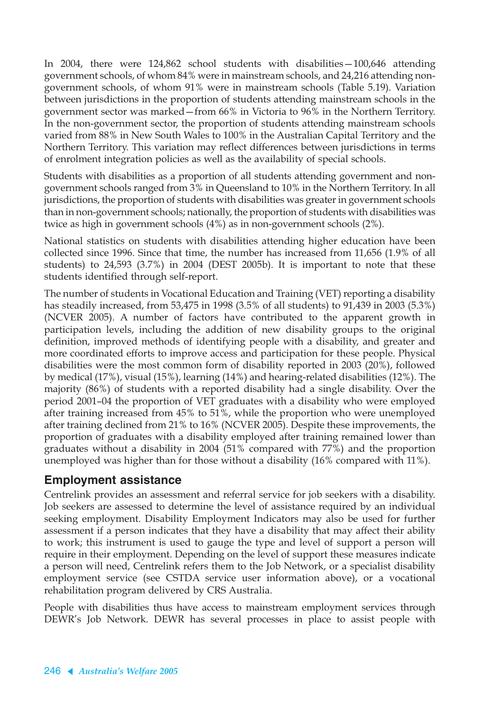In 2004, there were 124,862 school students with disabilities—100,646 attending government schools, of whom 84% were in mainstream schools, and 24,216 attending nongovernment schools, of whom 91% were in mainstream schools (Table 5.19). Variation between jurisdictions in the proportion of students attending mainstream schools in the government sector was marked—from 66% in Victoria to 96% in the Northern Territory. In the non-government sector, the proportion of students attending mainstream schools varied from 88% in New South Wales to 100% in the Australian Capital Territory and the Northern Territory. This variation may reflect differences between jurisdictions in terms of enrolment integration policies as well as the availability of special schools.

Students with disabilities as a proportion of all students attending government and nongovernment schools ranged from 3% in Queensland to 10% in the Northern Territory. In all jurisdictions, the proportion of students with disabilities was greater in government schools than in non-government schools; nationally, the proportion of students with disabilities was twice as high in government schools (4%) as in non-government schools (2%).

National statistics on students with disabilities attending higher education have been collected since 1996. Since that time, the number has increased from 11,656 (1.9% of all students) to 24,593 (3.7%) in 2004 (DEST 2005b). It is important to note that these students identified through self-report.

The number of students in Vocational Education and Training (VET) reporting a disability has steadily increased, from 53,475 in 1998 (3.5% of all students) to 91,439 in 2003 (5.3%) (NCVER 2005). A number of factors have contributed to the apparent growth in participation levels, including the addition of new disability groups to the original definition, improved methods of identifying people with a disability, and greater and more coordinated efforts to improve access and participation for these people. Physical disabilities were the most common form of disability reported in 2003 (20%), followed by medical (17%), visual (15%), learning (14%) and hearing-related disabilities (12%). The majority (86%) of students with a reported disability had a single disability. Over the period 2001–04 the proportion of VET graduates with a disability who were employed after training increased from 45% to 51%, while the proportion who were unemployed after training declined from 21% to 16% (NCVER 2005). Despite these improvements, the proportion of graduates with a disability employed after training remained lower than graduates without a disability in 2004 (51% compared with 77%) and the proportion unemployed was higher than for those without a disability (16% compared with 11%).

### **Employment assistance**

Centrelink provides an assessment and referral service for job seekers with a disability. Job seekers are assessed to determine the level of assistance required by an individual seeking employment. Disability Employment Indicators may also be used for further assessment if a person indicates that they have a disability that may affect their ability to work; this instrument is used to gauge the type and level of support a person will require in their employment. Depending on the level of support these measures indicate a person will need, Centrelink refers them to the Job Network, or a specialist disability employment service (see CSTDA service user information above), or a vocational rehabilitation program delivered by CRS Australia.

People with disabilities thus have access to mainstream employment services through DEWR's Job Network. DEWR has several processes in place to assist people with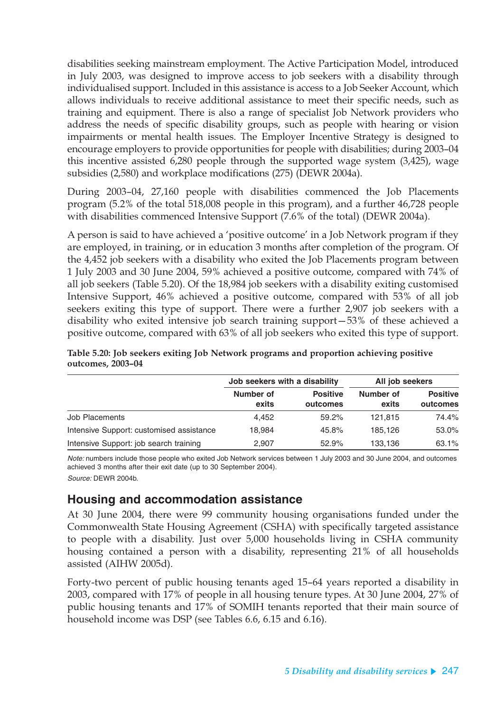disabilities seeking mainstream employment. The Active Participation Model, introduced in July 2003, was designed to improve access to job seekers with a disability through individualised support. Included in this assistance is access to a Job Seeker Account, which allows individuals to receive additional assistance to meet their specific needs, such as training and equipment. There is also a range of specialist Job Network providers who address the needs of specific disability groups, such as people with hearing or vision impairments or mental health issues. The Employer Incentive Strategy is designed to encourage employers to provide opportunities for people with disabilities; during 2003–04 this incentive assisted 6,280 people through the supported wage system (3,425), wage subsidies (2,580) and workplace modifications (275) (DEWR 2004a).

During 2003–04, 27,160 people with disabilities commenced the Job Placements program (5.2% of the total 518,008 people in this program), and a further 46,728 people with disabilities commenced Intensive Support (7.6% of the total) (DEWR 2004a).

A person is said to have achieved a 'positive outcome' in a Job Network program if they are employed, in training, or in education 3 months after completion of the program. Of the 4,452 job seekers with a disability who exited the Job Placements program between 1 July 2003 and 30 June 2004, 59% achieved a positive outcome, compared with 74% of all job seekers (Table 5.20). Of the 18,984 job seekers with a disability exiting customised Intensive Support, 46% achieved a positive outcome, compared with 53% of all job seekers exiting this type of support. There were a further 2,907 job seekers with a disability who exited intensive job search training support—53% of these achieved a positive outcome, compared with 63% of all job seekers who exited this type of support.

|                                          | Job seekers with a disability |                             | All job seekers    |                             |  |
|------------------------------------------|-------------------------------|-----------------------------|--------------------|-----------------------------|--|
|                                          | Number of<br>exits            | <b>Positive</b><br>outcomes | Number of<br>exits | <b>Positive</b><br>outcomes |  |
| Job Placements                           | 4.452                         | 59.2%                       | 121.815            | 74.4%                       |  |
| Intensive Support: customised assistance | 18.984                        | 45.8%                       | 185.126            | 53.0%                       |  |
| Intensive Support: job search training   | 2,907                         | 52.9%                       | 133,136            | 63.1%                       |  |

**Table 5.20: Job seekers exiting Job Network programs and proportion achieving positive outcomes, 2003–04**

Note: numbers include those people who exited Job Network services between 1 July 2003 and 30 June 2004, and outcomes achieved 3 months after their exit date (up to 30 September 2004). Source: DEWR 2004b.

### **Housing and accommodation assistance**

At 30 June 2004, there were 99 community housing organisations funded under the Commonwealth State Housing Agreement (CSHA) with specifically targeted assistance to people with a disability. Just over 5,000 households living in CSHA community housing contained a person with a disability, representing 21% of all households assisted (AIHW 2005d).

Forty-two percent of public housing tenants aged 15–64 years reported a disability in 2003, compared with 17% of people in all housing tenure types. At 30 June 2004, 27% of public housing tenants and 17% of SOMIH tenants reported that their main source of household income was DSP (see Tables 6.6, 6.15 and 6.16).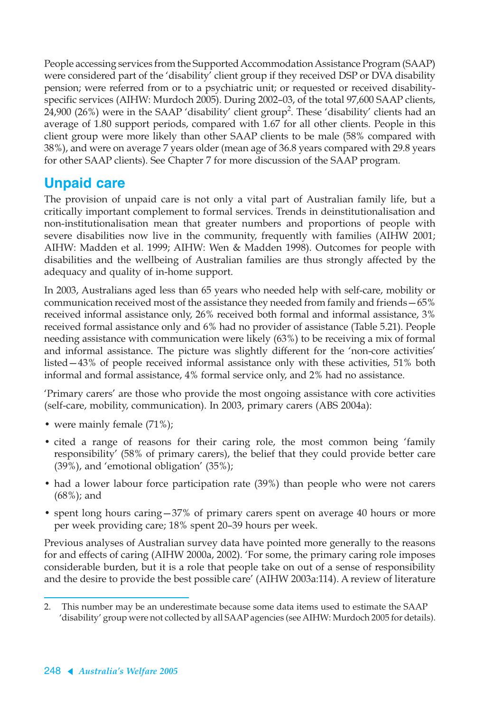People accessing services from the Supported Accommodation Assistance Program (SAAP) were considered part of the 'disability' client group if they received DSP or DVA disability pension; were referred from or to a psychiatric unit; or requested or received disabilityspecific services (AIHW: Murdoch 2005). During 2002–03, of the total 97,600 SAAP clients, 24,900 (26%) were in the SAAP 'disability' client group<sup>2</sup>. These 'disability' clients had an average of 1.80 support periods, compared with 1.67 for all other clients. People in this client group were more likely than other SAAP clients to be male (58% compared with 38%), and were on average 7 years older (mean age of 36.8 years compared with 29.8 years for other SAAP clients). See Chapter 7 for more discussion of the SAAP program.

## **Unpaid care**

The provision of unpaid care is not only a vital part of Australian family life, but a critically important complement to formal services. Trends in deinstitutionalisation and non-institutionalisation mean that greater numbers and proportions of people with severe disabilities now live in the community, frequently with families (AIHW 2001; AIHW: Madden et al. 1999; AIHW: Wen & Madden 1998). Outcomes for people with disabilities and the wellbeing of Australian families are thus strongly affected by the adequacy and quality of in-home support.

In 2003, Australians aged less than 65 years who needed help with self-care, mobility or communication received most of the assistance they needed from family and friends—65% received informal assistance only, 26% received both formal and informal assistance, 3% received formal assistance only and 6% had no provider of assistance (Table 5.21). People needing assistance with communication were likely (63%) to be receiving a mix of formal and informal assistance. The picture was slightly different for the 'non-core activities' listed—43% of people received informal assistance only with these activities, 51% both informal and formal assistance, 4% formal service only, and 2% had no assistance.

'Primary carers' are those who provide the most ongoing assistance with core activities (self-care, mobility, communication). In 2003, primary carers (ABS 2004a):

- were mainly female (71%);
- cited a range of reasons for their caring role, the most common being 'family responsibility' (58% of primary carers), the belief that they could provide better care (39%), and 'emotional obligation' (35%);
- had a lower labour force participation rate (39%) than people who were not carers (68%); and
- spent long hours caring 37% of primary carers spent on average 40 hours or more per week providing care; 18% spent 20–39 hours per week.

Previous analyses of Australian survey data have pointed more generally to the reasons for and effects of caring (AIHW 2000a, 2002). 'For some, the primary caring role imposes considerable burden, but it is a role that people take on out of a sense of responsibility and the desire to provide the best possible care' (AIHW 2003a:114). A review of literature

<sup>2.</sup> This number may be an underestimate because some data items used to estimate the SAAP 'disability' group were not collected by all SAAP agencies (see AIHW: Murdoch 2005 for details).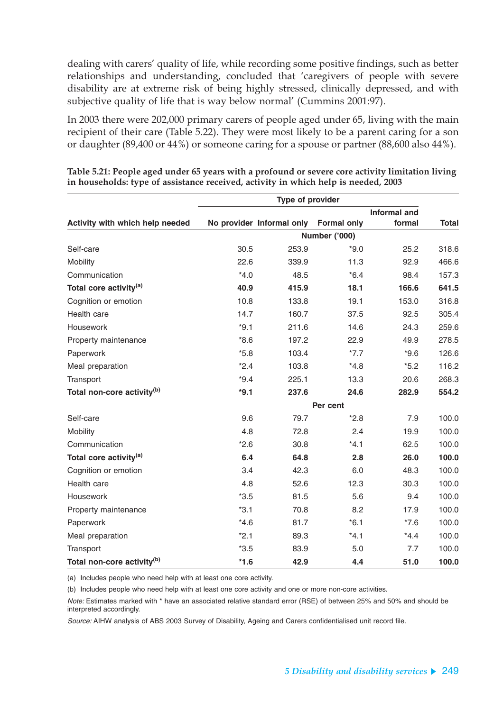dealing with carers' quality of life, while recording some positive findings, such as better relationships and understanding, concluded that 'caregivers of people with severe disability are at extreme risk of being highly stressed, clinically depressed, and with subjective quality of life that is way below normal' (Cummins 2001:97).

In 2003 there were 202,000 primary carers of people aged under 65, living with the main recipient of their care (Table 5.22). They were most likely to be a parent caring for a son or daughter (89,400 or 44%) or someone caring for a spouse or partner (88,600 also 44%).

| Type of provider                       |        |                           |                    |              |              |  |  |
|----------------------------------------|--------|---------------------------|--------------------|--------------|--------------|--|--|
|                                        |        |                           |                    | Informal and |              |  |  |
| Activity with which help needed        |        | No provider Informal only | <b>Formal only</b> | formal       | <b>Total</b> |  |  |
|                                        |        |                           | Number ('000)      |              |              |  |  |
| Self-care                              | 30.5   | 253.9                     | $*9.0$             | 25.2         | 318.6        |  |  |
| Mobility                               | 22.6   | 339.9                     | 11.3               | 92.9         | 466.6        |  |  |
| Communication                          | $*4.0$ | 48.5                      | $*6.4$             | 98.4         | 157.3        |  |  |
| Total core activity <sup>(a)</sup>     | 40.9   | 415.9                     | 18.1               | 166.6        | 641.5        |  |  |
| Cognition or emotion                   | 10.8   | 133.8                     | 19.1               | 153.0        | 316.8        |  |  |
| Health care                            | 14.7   | 160.7                     | 37.5               | 92.5         | 305.4        |  |  |
| Housework                              | $*9.1$ | 211.6                     | 14.6               | 24.3         | 259.6        |  |  |
| Property maintenance                   | $*8.6$ | 197.2                     | 22.9               | 49.9         | 278.5        |  |  |
| Paperwork                              | $*5.8$ | 103.4                     | $*7.7$             | $*9.6$       | 126.6        |  |  |
| Meal preparation                       | $*2.4$ | 103.8                     | $*4.8$             | $*5.2$       | 116.2        |  |  |
| Transport                              | $*9.4$ | 225.1                     | 13.3               | 20.6         | 268.3        |  |  |
| Total non-core activity <sup>(b)</sup> | $*9.1$ | 237.6                     | 24.6               | 282.9        | 554.2        |  |  |
|                                        |        |                           | Per cent           |              |              |  |  |
| Self-care                              | 9.6    | 79.7                      | $*2.8$             | 7.9          | 100.0        |  |  |
| Mobility                               | 4.8    | 72.8                      | 2.4                | 19.9         | 100.0        |  |  |
| Communication                          | $*2.6$ | 30.8                      | $*4.1$             | 62.5         | 100.0        |  |  |
| Total core activity <sup>(a)</sup>     | 6.4    | 64.8                      | 2.8                | 26.0         | 100.0        |  |  |
| Cognition or emotion                   | 3.4    | 42.3                      | 6.0                | 48.3         | 100.0        |  |  |
| Health care                            | 4.8    | 52.6                      | 12.3               | 30.3         | 100.0        |  |  |
| <b>Housework</b>                       | $*3.5$ | 81.5                      | 5.6                | 9.4          | 100.0        |  |  |
| Property maintenance                   | $*3.1$ | 70.8                      | 8.2                | 17.9         | 100.0        |  |  |
| Paperwork                              | $*4.6$ | 81.7                      | $*6.1$             | $*7.6$       | 100.0        |  |  |
| Meal preparation                       | $*2.1$ | 89.3                      | $*4.1$             | $*4.4$       | 100.0        |  |  |
| Transport                              | $*3.5$ | 83.9                      | 5.0                | 7.7          | 100.0        |  |  |
| Total non-core activity <sup>(b)</sup> | $*1.6$ | 42.9                      | 4.4                | 51.0         | 100.0        |  |  |

**Table 5.21: People aged under 65 years with a profound or severe core activity limitation living in households: type of assistance received, activity in which help is needed, 2003**

(a) Includes people who need help with at least one core activity.

(b) Includes people who need help with at least one core activity and one or more non-core activities.

Note: Estimates marked with \* have an associated relative standard error (RSE) of between 25% and 50% and should be interpreted accordingly.

Source: AIHW analysis of ABS 2003 Survey of Disability, Ageing and Carers confidentialised unit record file.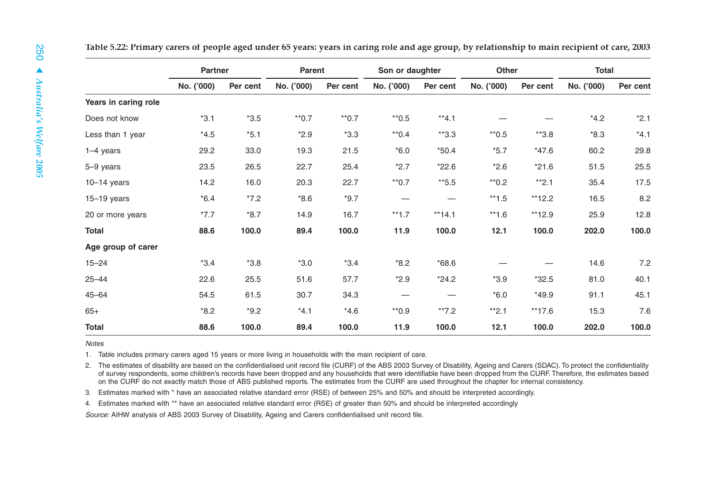|                      | <b>Partner</b> |          |            | Son or daughter<br><b>Parent</b> |            |          | Other      |          | <b>Total</b> |          |
|----------------------|----------------|----------|------------|----------------------------------|------------|----------|------------|----------|--------------|----------|
|                      | No. ('000)     | Per cent | No. ('000) | Per cent                         | No. ('000) | Per cent | No. ('000) | Per cent | No. ('000)   | Per cent |
| Years in caring role |                |          |            |                                  |            |          |            |          |              |          |
| Does not know        | $*3.1$         | $*3.5$   | $*$ 0.7    | $*$ 0.7                          | $*$ 0.5    | $*4.1$   |            |          | $*4.2$       | $*2.1$   |
| Less than 1 year     | $*4.5$         | $*5.1$   | $*2.9$     | $*3.3$                           | $*$ 0.4    | $*3.3$   | $*$ 0.5    | $*3.8$   | $*8.3$       | $*4.1$   |
| $1-4$ years          | 29.2           | 33.0     | 19.3       | 21.5                             | $*6.0$     | $*50.4$  | $*5.7$     | $*47.6$  | 60.2         | 29.8     |
| 5-9 years            | 23.5           | 26.5     | 22.7       | 25.4                             | $*2.7$     | $*22.6$  | $*2.6$     | $*21.6$  | 51.5         | 25.5     |
| $10-14$ years        | 14.2           | 16.0     | 20.3       | 22.7                             | $*$ 0.7    | $*5.5$   | $*0.2$     | $*2.1$   | 35.4         | 17.5     |
| $15-19$ years        | $*6.4$         | $*7.2$   | $*8.6$     | $*9.7$                           |            |          | $*1.5$     | $*12.2$  | 16.5         | 8.2      |
| 20 or more years     | $*7.7$         | $*8.7$   | 14.9       | 16.7                             | $**1.7$    | $**14.1$ | $**1.6$    | **12.9   | 25.9         | 12.8     |
| <b>Total</b>         | 88.6           | 100.0    | 89.4       | 100.0                            | 11.9       | 100.0    | 12.1       | 100.0    | 202.0        | 100.0    |
| Age group of carer   |                |          |            |                                  |            |          |            |          |              |          |
| $15 - 24$            | $*3.4$         | $*3.8$   | $*3.0$     | $*3.4$                           | $*8.2$     | $*68.6$  |            |          | 14.6         | 7.2      |
| $25 - 44$            | 22.6           | 25.5     | 51.6       | 57.7                             | $*2.9$     | $*24.2$  | $*3.9$     | $*32.5$  | 81.0         | 40.1     |
| $45 - 64$            | 54.5           | 61.5     | 30.7       | 34.3                             |            |          | $*6.0$     | $*49.9$  | 91.1         | 45.1     |
| $65+$                | $*8.2$         | $*9.2$   | $*4.1$     | $*4.6$                           | $*0.9$     | $*7.2$   | $*2.1$     | $**17.6$ | 15.3         | 7.6      |
| <b>Total</b>         | 88.6           | 100.0    | 89.4       | 100.0                            | 11.9       | 100.0    | 12.1       | 100.0    | 202.0        | 100.0    |

**Notes** 

1. Table includes primary carers aged 15 years or more living in households with the main recipient of care.

2. The estimates of disability are based on the confidentialised unit record file (CURF) of the ABS 2003 Survey of Disability, Ageing and Carers (SDAC). To protect the confidentiality of survey respondents, some children's records have been dropped and any households that were identifiable have been dropped from the CURF. Therefore, the estimates based on the CURF do not exactly match those of ABS published reports. The estimates from the CURF are used throughout the chapter for internal consistency.

3. Estimates marked with \* have an associated relative standard error (RSE) of between 25% and 50% and should be interpreted accordingly.

4. Estimates marked with \*\* have an associated relative standard error (RSE) of greater than 50% and should be interpreted accordingly

Source: AIHW analysis of ABS 2003 Survey of Disability, Ageing and Carers confidentialised unit record file.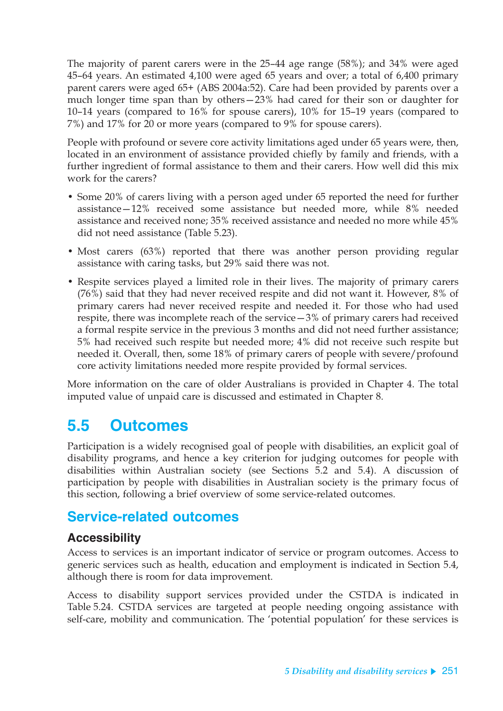The majority of parent carers were in the 25–44 age range (58%); and 34% were aged 45–64 years. An estimated 4,100 were aged 65 years and over; a total of 6,400 primary parent carers were aged 65+ (ABS 2004a:52). Care had been provided by parents over a much longer time span than by others—23% had cared for their son or daughter for 10–14 years (compared to 16% for spouse carers), 10% for 15–19 years (compared to 7%) and 17% for 20 or more years (compared to 9% for spouse carers).

People with profound or severe core activity limitations aged under 65 years were, then, located in an environment of assistance provided chiefly by family and friends, with a further ingredient of formal assistance to them and their carers. How well did this mix work for the carers?

- Some 20% of carers living with a person aged under 65 reported the need for further assistance—12% received some assistance but needed more, while 8% needed assistance and received none; 35% received assistance and needed no more while 45% did not need assistance (Table 5.23).
- Most carers (63%) reported that there was another person providing regular assistance with caring tasks, but 29% said there was not.
- Respite services played a limited role in their lives. The majority of primary carers (76%) said that they had never received respite and did not want it. However, 8% of primary carers had never received respite and needed it. For those who had used respite, there was incomplete reach of the service—3% of primary carers had received a formal respite service in the previous 3 months and did not need further assistance; 5% had received such respite but needed more; 4% did not receive such respite but needed it. Overall, then, some 18% of primary carers of people with severe/profound core activity limitations needed more respite provided by formal services.

More information on the care of older Australians is provided in Chapter 4. The total imputed value of unpaid care is discussed and estimated in Chapter 8.

# **5.5 Outcomes**

Participation is a widely recognised goal of people with disabilities, an explicit goal of disability programs, and hence a key criterion for judging outcomes for people with disabilities within Australian society (see Sections 5.2 and 5.4). A discussion of participation by people with disabilities in Australian society is the primary focus of this section, following a brief overview of some service-related outcomes.

## **Service-related outcomes**

### **Accessibility**

Access to services is an important indicator of service or program outcomes. Access to generic services such as health, education and employment is indicated in Section 5.4, although there is room for data improvement.

Access to disability support services provided under the CSTDA is indicated in Table 5.24. CSTDA services are targeted at people needing ongoing assistance with self-care, mobility and communication. The 'potential population' for these services is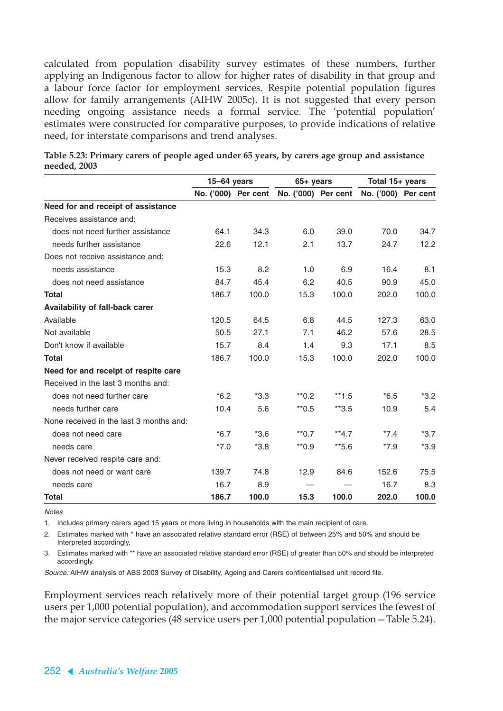calculated from population disability survey estimates of these numbers, further applying an Indigenous factor to allow for higher rates of disability in that group and a labour force factor for employment services. Respite potential population figures allow for family arrangements (AIHW 2005c). It is not suggested that every person needing ongoing assistance needs a formal service. The 'potential population' estimates were constructed for comparative purposes, to provide indications of relative need, for interstate comparisons and trend analyses.

|                                         | $15-64$ years       |        | $65+$ years         |         | Total 15+ years     |        |  |
|-----------------------------------------|---------------------|--------|---------------------|---------|---------------------|--------|--|
|                                         | No. ('000) Per cent |        | No. ('000) Per cent |         | No. ('000) Per cent |        |  |
| Need for and receipt of assistance      |                     |        |                     |         |                     |        |  |
| Receives assistance and:                |                     |        |                     |         |                     |        |  |
| does not need further assistance        | 64.1                | 34.3   | 6.0                 | 39.0    | 70.0                | 34.7   |  |
| needs further assistance                | 22.6                | 12.1   | 2.1                 | 13.7    | 24.7                | 12.2   |  |
| Does not receive assistance and:        |                     |        |                     |         |                     |        |  |
| needs assistance                        | 15.3                | 8.2    | 1.0                 | 6.9     | 16.4                | 8.1    |  |
| does not need assistance                | 84.7                | 45.4   | 6.2                 | 40.5    | 90.9                | 45.0   |  |
| <b>Total</b>                            | 186.7               | 100.0  | 15.3                | 100.0   | 202.0               | 100.0  |  |
| Availability of fall-back carer         |                     |        |                     |         |                     |        |  |
| Available                               | 120.5               | 64.5   | 6.8                 | 44.5    | 127.3               | 63.0   |  |
| Not available                           | 50.5                | 27.1   | 7.1                 | 46.2    | 57.6                | 28.5   |  |
| Don't know if available                 | 15.7                | 8.4    | 1.4                 | 9.3     | 17.1                | 8.5    |  |
| <b>Total</b>                            | 186.7               | 100.0  | 15.3                | 100.0   | 202.0               | 100.0  |  |
| Need for and receipt of respite care    |                     |        |                     |         |                     |        |  |
| Received in the last 3 months and:      |                     |        |                     |         |                     |        |  |
| does not need further care              | $*6.2$              | $*3.3$ | $*$ <sup>0.2</sup>  | $**1.5$ | $*6.5$              | $*3.2$ |  |
| needs further care                      | 10.4                | 5.6    | $*$ 0.5             | $*3.5$  | 10.9                | 5.4    |  |
| None received in the last 3 months and: |                     |        |                     |         |                     |        |  |
| does not need care                      | $*6.7$              | $*3.6$ | $*$ 0.7             | $**4.7$ | $*7.4$              | $*3.7$ |  |
| needs care                              | $*7.0$              | $*3.8$ | $*$ 0.9             | $*5.6$  | $*7.9$              | $*3.9$ |  |
| Never received respite care and:        |                     |        |                     |         |                     |        |  |
| does not need or want care              | 139.7               | 74.8   | 12.9                | 84.6    | 152.6               | 75.5   |  |
| needs care                              | 16.7                | 8.9    |                     |         | 16.7                | 8.3    |  |
| <b>Total</b>                            | 186.7               | 100.0  | 15.3                | 100.0   | 202.0               | 100.0  |  |

**Table 5.23: Primary carers of people aged under 65 years, by carers age group and assistance needed, 2003**

**Notes** 

1. Includes primary carers aged 15 years or more living in households with the main recipient of care.

2. Estimates marked with \* have an associated relative standard error (RSE) of between 25% and 50% and should be Interpreted accordingly.

3. Estimates marked with \*\* have an associated relative standard error (RSE) of greater than 50% and should be interpreted accordingly.

Source: AIHW analysis of ABS 2003 Survey of Disability, Ageing and Carers confidentialised unit record file.

Employment services reach relatively more of their potential target group (196 service users per 1,000 potential population), and accommodation support services the fewest of the major service categories (48 service users per 1,000 potential population—Table 5.24).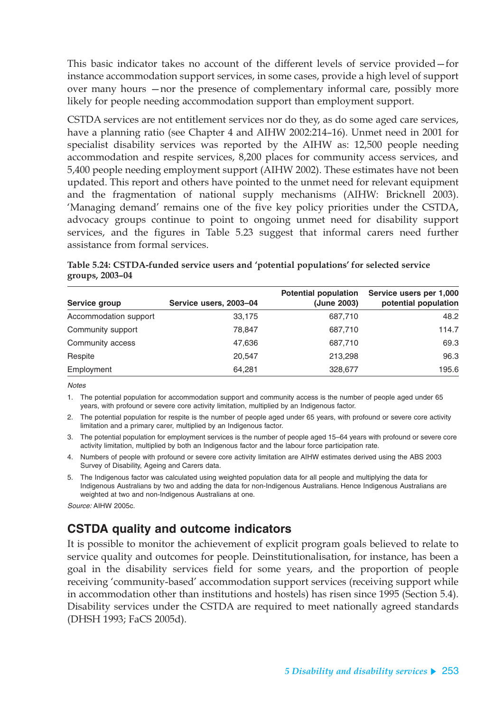This basic indicator takes no account of the different levels of service provided—for instance accommodation support services, in some cases, provide a high level of support over many hours —nor the presence of complementary informal care, possibly more likely for people needing accommodation support than employment support.

CSTDA services are not entitlement services nor do they, as do some aged care services, have a planning ratio (see Chapter 4 and AIHW 2002:214–16). Unmet need in 2001 for specialist disability services was reported by the AIHW as: 12,500 people needing accommodation and respite services, 8,200 places for community access services, and 5,400 people needing employment support (AIHW 2002). These estimates have not been updated. This report and others have pointed to the unmet need for relevant equipment and the fragmentation of national supply mechanisms (AIHW: Bricknell 2003). 'Managing demand' remains one of the five key policy priorities under the CSTDA, advocacy groups continue to point to ongoing unmet need for disability support services, and the figures in Table 5.23 suggest that informal carers need further assistance from formal services.

| Table 5.24: CSTDA-funded service users and 'potential populations' for selected service |  |
|-----------------------------------------------------------------------------------------|--|
| groups, 2003-04                                                                         |  |

| Service group         | Service users, 2003-04 | <b>Potential population</b><br>(June 2003) | Service users per 1,000<br>potential population |
|-----------------------|------------------------|--------------------------------------------|-------------------------------------------------|
| Accommodation support | 33,175                 | 687,710                                    | 48.2                                            |
| Community support     | 78,847                 | 687,710                                    | 114.7                                           |
| Community access      | 47.636                 | 687,710                                    | 69.3                                            |
| Respite               | 20.547                 | 213,298                                    | 96.3                                            |
| Employment            | 64.281                 | 328,677                                    | 195.6                                           |

**Notes** 

1. The potential population for accommodation support and community access is the number of people aged under 65 years, with profound or severe core activity limitation, multiplied by an Indigenous factor.

2. The potential population for respite is the number of people aged under 65 years, with profound or severe core activity limitation and a primary carer, multiplied by an Indigenous factor.

3. The potential population for employment services is the number of people aged 15–64 years with profound or severe core activity limitation, multiplied by both an Indigenous factor and the labour force participation rate.

4. Numbers of people with profound or severe core activity limitation are AIHW estimates derived using the ABS 2003 Survey of Disability, Ageing and Carers data.

5. The Indigenous factor was calculated using weighted population data for all people and multiplying the data for Indigenous Australians by two and adding the data for non-Indigenous Australians. Hence Indigenous Australians are weighted at two and non-Indigenous Australians at one.

Source: AIHW 2005c.

## **CSTDA quality and outcome indicators**

It is possible to monitor the achievement of explicit program goals believed to relate to service quality and outcomes for people. Deinstitutionalisation, for instance, has been a goal in the disability services field for some years, and the proportion of people receiving 'community-based' accommodation support services (receiving support while in accommodation other than institutions and hostels) has risen since 1995 (Section 5.4). Disability services under the CSTDA are required to meet nationally agreed standards (DHSH 1993; FaCS 2005d).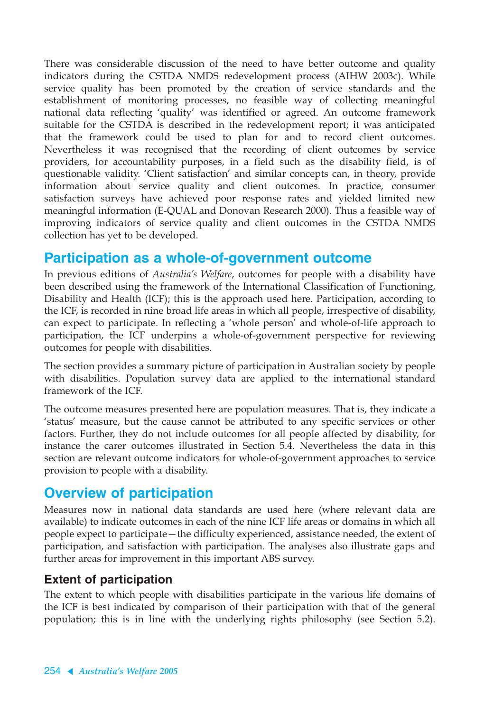There was considerable discussion of the need to have better outcome and quality indicators during the CSTDA NMDS redevelopment process (AIHW 2003c). While service quality has been promoted by the creation of service standards and the establishment of monitoring processes, no feasible way of collecting meaningful national data reflecting 'quality' was identified or agreed. An outcome framework suitable for the CSTDA is described in the redevelopment report; it was anticipated that the framework could be used to plan for and to record client outcomes. Nevertheless it was recognised that the recording of client outcomes by service providers, for accountability purposes, in a field such as the disability field, is of questionable validity. 'Client satisfaction' and similar concepts can, in theory, provide information about service quality and client outcomes. In practice, consumer satisfaction surveys have achieved poor response rates and yielded limited new meaningful information (E-QUAL and Donovan Research 2000). Thus a feasible way of improving indicators of service quality and client outcomes in the CSTDA NMDS collection has yet to be developed.

## **Participation as a whole-of-government outcome**

In previous editions of *Australia's Welfare*, outcomes for people with a disability have been described using the framework of the International Classification of Functioning, Disability and Health (ICF); this is the approach used here. Participation, according to the ICF, is recorded in nine broad life areas in which all people, irrespective of disability, can expect to participate. In reflecting a 'whole person' and whole-of-life approach to participation, the ICF underpins a whole-of-government perspective for reviewing outcomes for people with disabilities.

The section provides a summary picture of participation in Australian society by people with disabilities. Population survey data are applied to the international standard framework of the ICF.

The outcome measures presented here are population measures. That is, they indicate a 'status' measure, but the cause cannot be attributed to any specific services or other factors. Further, they do not include outcomes for all people affected by disability, for instance the carer outcomes illustrated in Section 5.4. Nevertheless the data in this section are relevant outcome indicators for whole-of-government approaches to service provision to people with a disability.

## **Overview of participation**

Measures now in national data standards are used here (where relevant data are available) to indicate outcomes in each of the nine ICF life areas or domains in which all people expect to participate—the difficulty experienced, assistance needed, the extent of participation, and satisfaction with participation. The analyses also illustrate gaps and further areas for improvement in this important ABS survey.

### **Extent of participation**

The extent to which people with disabilities participate in the various life domains of the ICF is best indicated by comparison of their participation with that of the general population; this is in line with the underlying rights philosophy (see Section 5.2).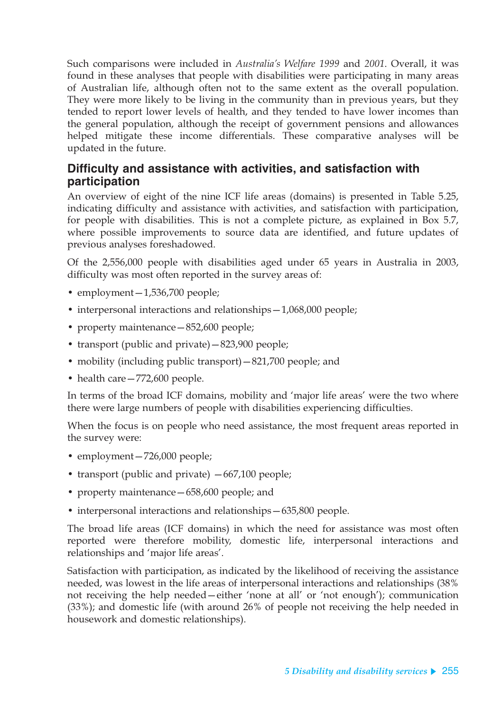Such comparisons were included in *Australia's Welfare 1999* and *2001*. Overall, it was found in these analyses that people with disabilities were participating in many areas of Australian life, although often not to the same extent as the overall population. They were more likely to be living in the community than in previous years, but they tended to report lower levels of health, and they tended to have lower incomes than the general population, although the receipt of government pensions and allowances helped mitigate these income differentials. These comparative analyses will be updated in the future.

### **Difficulty and assistance with activities, and satisfaction with participation**

An overview of eight of the nine ICF life areas (domains) is presented in Table 5.25, indicating difficulty and assistance with activities, and satisfaction with participation, for people with disabilities. This is not a complete picture, as explained in Box 5.7, where possible improvements to source data are identified, and future updates of previous analyses foreshadowed.

Of the 2,556,000 people with disabilities aged under 65 years in Australia in 2003, difficulty was most often reported in the survey areas of:

- employment 1,536,700 people;
- interpersonal interactions and relationships—1,068,000 people;
- property maintenance—852,600 people;
- transport (public and private) 823,900 people;
- mobility (including public transport)—821,700 people; and
- health care 772,600 people.

In terms of the broad ICF domains, mobility and 'major life areas' were the two where there were large numbers of people with disabilities experiencing difficulties.

When the focus is on people who need assistance, the most frequent areas reported in the survey were:

- employment 726,000 people;
- transport (public and private)  $-667,100$  people;
- property maintenance—658,600 people; and
- interpersonal interactions and relationships—635,800 people.

The broad life areas (ICF domains) in which the need for assistance was most often reported were therefore mobility, domestic life, interpersonal interactions and relationships and 'major life areas'.

Satisfaction with participation, as indicated by the likelihood of receiving the assistance needed, was lowest in the life areas of interpersonal interactions and relationships (38% not receiving the help needed—either 'none at all' or 'not enough'); communication (33%); and domestic life (with around 26% of people not receiving the help needed in housework and domestic relationships).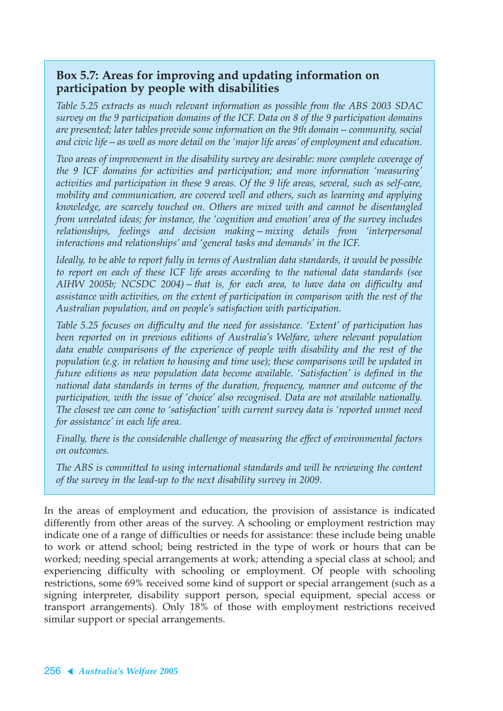### **Box 5.7: Areas for improving and updating information on participation by people with disabilities**

*Table 5.25 extracts as much relevant information as possible from the ABS 2003 SDAC survey on the 9 participation domains of the ICF. Data on 8 of the 9 participation domains are presented; later tables provide some information on the 9th domain—community, social and civic life—as well as more detail on the 'major life areas' of employment and education.*

*Two areas of improvement in the disability survey are desirable: more complete coverage of the 9 ICF domains for activities and participation; and more information 'measuring' activities and participation in these 9 areas. Of the 9 life areas, several, such as self-care, mobility and communication, are covered well and others, such as learning and applying knowledge, are scarcely touched on. Others are mixed with and cannot be disentangled from unrelated ideas; for instance, the 'cognition and emotion' area of the survey includes relationships, feelings and decision making—mixing details from 'interpersonal interactions and relationships' and 'general tasks and demands' in the ICF.*

*Ideally, to be able to report fully in terms of Australian data standards, it would be possible to report on each of these ICF life areas according to the national data standards (see AIHW 2005b; NCSDC 2004)—that is, for each area, to have data on difficulty and assistance with activities, on the extent of participation in comparison with the rest of the Australian population, and on people's satisfaction with participation.*

*Table 5.25 focuses on difficulty and the need for assistance. 'Extent' of participation has been reported on in previous editions of Australia's Welfare, where relevant population data enable comparisons of the experience of people with disability and the rest of the population (e.g. in relation to housing and time use); these comparisons will be updated in future editions as new population data become available. 'Satisfaction' is defined in the national data standards in terms of the duration, frequency, manner and outcome of the participation, with the issue of 'choice' also recognised. Data are not available nationally. The closest we can come to 'satisfaction' with current survey data is 'reported unmet need for assistance' in each life area.*

*Finally, there is the considerable challenge of measuring the effect of environmental factors on outcomes.*

*The ABS is committed to using international standards and will be reviewing the content of the survey in the lead-up to the next disability survey in 2009.*

In the areas of employment and education, the provision of assistance is indicated differently from other areas of the survey. A schooling or employment restriction may indicate one of a range of difficulties or needs for assistance: these include being unable to work or attend school; being restricted in the type of work or hours that can be worked; needing special arrangements at work; attending a special class at school; and experiencing difficulty with schooling or employment. Of people with schooling restrictions, some 69% received some kind of support or special arrangement (such as a signing interpreter, disability support person, special equipment, special access or transport arrangements). Only 18% of those with employment restrictions received similar support or special arrangements.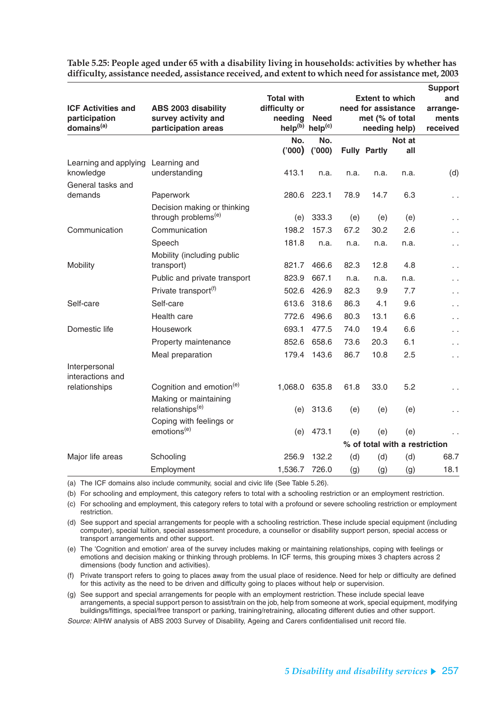|                                                                      |                                                                   |                                                                                                         |        |                                                                  |                                      |                               | <b>Support</b> |
|----------------------------------------------------------------------|-------------------------------------------------------------------|---------------------------------------------------------------------------------------------------------|--------|------------------------------------------------------------------|--------------------------------------|-------------------------------|----------------|
| <b>ICF Activities and</b><br>participation<br>domains <sup>(a)</sup> | ABS 2003 disability<br>survey activity and<br>participation areas | <b>Total with</b><br>difficulty or<br>needing<br><b>Need</b><br>help <sup>(b)</sup> help <sup>(c)</sup> |        | <b>Extent to which</b><br>need for assistance<br>met (% of total | and<br>arrange-<br>ments<br>received |                               |                |
|                                                                      |                                                                   | No.                                                                                                     | No.    |                                                                  | needing help)                        | Not at                        |                |
|                                                                      |                                                                   | (000)                                                                                                   | ('000) |                                                                  | <b>Fully Partly</b>                  | all                           |                |
| Learning and applying<br>knowledge                                   | Learning and<br>understanding                                     | 413.1                                                                                                   | n.a.   | n.a.                                                             | n.a.                                 | n.a.                          | (d)            |
| General tasks and                                                    |                                                                   |                                                                                                         |        |                                                                  |                                      |                               |                |
| demands                                                              | Paperwork                                                         | 280.6                                                                                                   | 223.1  | 78.9                                                             | 14.7                                 | 6.3                           | ο,             |
|                                                                      | Decision making or thinking<br>through problems <sup>(e)</sup>    | (e)                                                                                                     | 333.3  | (e)                                                              | (e)                                  | (e)                           | . .            |
| Communication                                                        | Communication                                                     | 198.2                                                                                                   | 157.3  | 67.2                                                             | 30.2                                 | 2.6                           | ò,             |
|                                                                      | Speech                                                            | 181.8                                                                                                   | n.a.   | n.a.                                                             | n.a.                                 | n.a.                          | ο,             |
| Mobility                                                             | Mobility (including public<br>transport)                          | 821.7                                                                                                   | 466.6  | 82.3                                                             | 12.8                                 | 4.8                           | i,             |
|                                                                      | Public and private transport                                      | 823.9                                                                                                   | 667.1  | n.a.                                                             | n.a.                                 | n.a.                          | ο,             |
|                                                                      | Private transport <sup>(f)</sup>                                  | 502.6                                                                                                   | 426.9  | 82.3                                                             | 9.9                                  | 7.7                           | ò,             |
| Self-care                                                            | Self-care                                                         | 613.6                                                                                                   | 318.6  | 86.3                                                             | 4.1                                  | 9.6                           | $\sim$         |
|                                                                      | Health care                                                       | 772.6                                                                                                   | 496.6  | 80.3                                                             | 13.1                                 | 6.6                           | . .            |
| Domestic life                                                        | Housework                                                         | 693.1                                                                                                   | 477.5  | 74.0                                                             | 19.4                                 | 6.6                           | ė,             |
|                                                                      | Property maintenance                                              | 852.6                                                                                                   | 658.6  | 73.6                                                             | 20.3                                 | 6.1                           | . .            |
|                                                                      | Meal preparation                                                  | 179.4                                                                                                   | 143.6  | 86.7                                                             | 10.8                                 | 2.5                           | e i            |
| Interpersonal<br>interactions and                                    |                                                                   |                                                                                                         |        |                                                                  |                                      |                               |                |
| relationships                                                        | Cognition and emotion <sup>(e)</sup>                              | 1,068.0                                                                                                 | 635.8  | 61.8                                                             | 33.0                                 | 5.2                           | н.,            |
|                                                                      | Making or maintaining<br>relationships <sup>(e)</sup>             | (e)                                                                                                     | 313.6  | (e)                                                              | (e)                                  | (e)                           |                |
|                                                                      | Coping with feelings or                                           |                                                                                                         |        |                                                                  |                                      |                               |                |
|                                                                      | emotions <sup>(e)</sup>                                           | (e)                                                                                                     | 473.1  | (e)                                                              | (e)                                  | (e)                           |                |
|                                                                      |                                                                   |                                                                                                         |        |                                                                  |                                      | % of total with a restriction |                |
| Major life areas                                                     | Schooling                                                         | 256.9                                                                                                   | 132.2  | (d)                                                              | (d)                                  | (d)                           | 68.7           |
|                                                                      | Employment                                                        | 1,536.7                                                                                                 | 726.0  | (g)                                                              | (g)                                  | (g)                           | 18.1           |

**Table 5.25: People aged under 65 with a disability living in households: activities by whether has difficulty, assistance needed, assistance received, and extent to which need for assistance met, 2003**

(a) The ICF domains also include community, social and civic life (See Table 5.26).

(b) For schooling and employment, this category refers to total with a schooling restriction or an employment restriction.

(c) For schooling and employment, this category refers to total with a profound or severe schooling restriction or employment restriction.

(d) See support and special arrangements for people with a schooling restriction. These include special equipment (including computer), special tuition, special assessment procedure, a counsellor or disability support person, special access or transport arrangements and other support.

(e) The 'Cognition and emotion' area of the survey includes making or maintaining relationships, coping with feelings or emotions and decision making or thinking through problems. In ICF terms, this grouping mixes 3 chapters across 2 dimensions (body function and activities).

(f) Private transport refers to going to places away from the usual place of residence. Need for help or difficulty are defined for this activity as the need to be driven and difficulty going to places without help or supervision.

(g) See support and special arrangements for people with an employment restriction. These include special leave arrangements, a special support person to assist/train on the job, help from someone at work, special equipment, modifying buildings/fittings, special/free transport or parking, training/retraining, allocating different duties and other support.

Source: AIHW analysis of ABS 2003 Survey of Disability, Ageing and Carers confidentialised unit record file.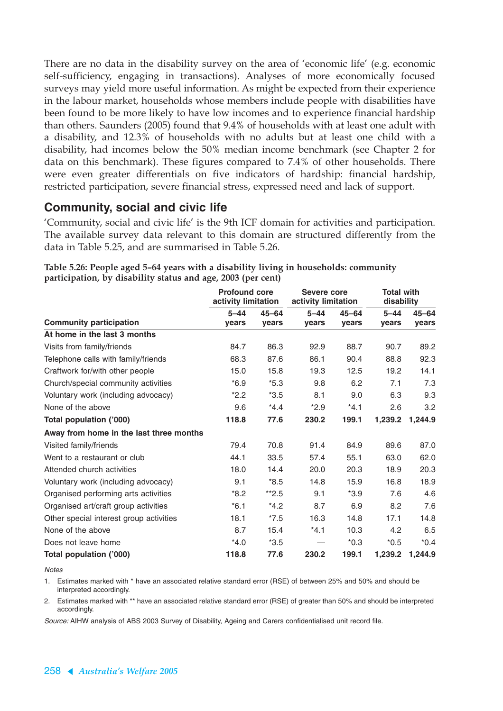There are no data in the disability survey on the area of 'economic life' (e.g. economic self-sufficiency, engaging in transactions). Analyses of more economically focused surveys may yield more useful information. As might be expected from their experience in the labour market, households whose members include people with disabilities have been found to be more likely to have low incomes and to experience financial hardship than others. Saunders (2005) found that 9.4% of households with at least one adult with a disability, and 12.3% of households with no adults but at least one child with a disability, had incomes below the 50% median income benchmark (see Chapter 2 for data on this benchmark). These figures compared to 7.4% of other households. There were even greater differentials on five indicators of hardship: financial hardship, restricted participation, severe financial stress, expressed need and lack of support.

### **Community, social and civic life**

'Community, social and civic life' is the 9th ICF domain for activities and participation. The available survey data relevant to this domain are structured differently from the data in Table 5.25, and are summarised in Table 5.26.

|                                         | <b>Profound core</b><br>activity limitation |           | Severe core<br>activity limitation |           | <b>Total with</b><br>disability |           |
|-----------------------------------------|---------------------------------------------|-----------|------------------------------------|-----------|---------------------------------|-----------|
|                                         | $5 - 44$                                    | $45 - 64$ | $5 - 44$                           | $45 - 64$ | $5 - 44$                        | $45 - 64$ |
| <b>Community participation</b>          | years                                       | years     | years                              | years     | years                           | years     |
| At home in the last 3 months            |                                             |           |                                    |           |                                 |           |
| Visits from family/friends              | 84.7                                        | 86.3      | 92.9                               | 88.7      | 90.7                            | 89.2      |
| Telephone calls with family/friends     | 68.3                                        | 87.6      | 86.1                               | 90.4      | 88.8                            | 92.3      |
| Craftwork for/with other people         | 15.0                                        | 15.8      | 19.3                               | 12.5      | 19.2                            | 14.1      |
| Church/special community activities     | $*6.9$                                      | $*5.3$    | 9.8                                | 6.2       | 7.1                             | 7.3       |
| Voluntary work (including advocacy)     | $*2.2$                                      | $*3.5$    | 8.1                                | 9.0       | 6.3                             | 9.3       |
| None of the above                       | 9.6                                         | $*4.4$    | $*2.9$                             | $*4.1$    | 2.6                             | 3.2       |
| Total population ('000)                 | 118.8                                       | 77.6      | 230.2                              | 199.1     | 1,239.2                         | 1,244.9   |
| Away from home in the last three months |                                             |           |                                    |           |                                 |           |
| Visited family/friends                  | 79.4                                        | 70.8      | 91.4                               | 84.9      | 89.6                            | 87.0      |
| Went to a restaurant or club            | 44.1                                        | 33.5      | 57.4                               | 55.1      | 63.0                            | 62.0      |
| Attended church activities              | 18.0                                        | 14.4      | 20.0                               | 20.3      | 18.9                            | 20.3      |
| Voluntary work (including advocacy)     | 9.1                                         | $*8.5$    | 14.8                               | 15.9      | 16.8                            | 18.9      |
| Organised performing arts activities    | $*8.2$                                      | $*2.5$    | 9.1                                | $*3.9$    | 7.6                             | 4.6       |
| Organised art/craft group activities    | $*6.1$                                      | $*4.2$    | 8.7                                | 6.9       | 8.2                             | 7.6       |
| Other special interest group activities | 18.1                                        | $*7.5$    | 16.3                               | 14.8      | 17.1                            | 14.8      |
| None of the above                       | 8.7                                         | 15.4      | $*4.1$                             | 10.3      | 4.2                             | 6.5       |
| Does not leave home                     | $*4.0$                                      | $*3.5$    |                                    | $*0.3$    | $*0.5$                          | $*0.4$    |
| Total population ('000)                 | 118.8                                       | 77.6      | 230.2                              | 199.1     | 1,239.2                         | 1,244.9   |

**Table 5.26: People aged 5–64 years with a disability living in households: community participation, by disability status and age, 2003 (per cent)**

**Notes** 

1. Estimates marked with \* have an associated relative standard error (RSE) of between 25% and 50% and should be interpreted accordingly.

2. Estimates marked with \*\* have an associated relative standard error (RSE) of greater than 50% and should be interpreted accordingly.

Source: AIHW analysis of ABS 2003 Survey of Disability, Ageing and Carers confidentialised unit record file.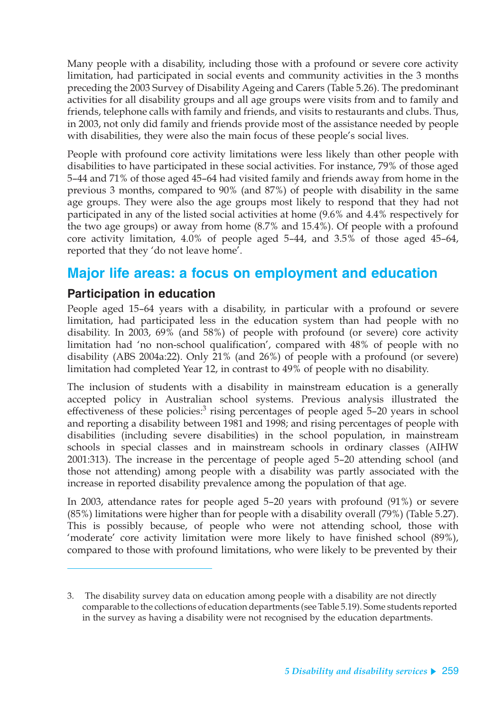Many people with a disability, including those with a profound or severe core activity limitation, had participated in social events and community activities in the 3 months preceding the 2003 Survey of Disability Ageing and Carers (Table 5.26). The predominant activities for all disability groups and all age groups were visits from and to family and friends, telephone calls with family and friends, and visits to restaurants and clubs. Thus, in 2003, not only did family and friends provide most of the assistance needed by people with disabilities, they were also the main focus of these people's social lives.

People with profound core activity limitations were less likely than other people with disabilities to have participated in these social activities. For instance, 79% of those aged 5–44 and 71% of those aged 45–64 had visited family and friends away from home in the previous 3 months, compared to 90% (and 87%) of people with disability in the same age groups. They were also the age groups most likely to respond that they had not participated in any of the listed social activities at home (9.6% and 4.4% respectively for the two age groups) or away from home (8.7% and 15.4%). Of people with a profound core activity limitation, 4.0% of people aged 5–44, and 3.5% of those aged 45–64, reported that they 'do not leave home'.

## **Major life areas: a focus on employment and education**

### **Participation in education**

People aged 15–64 years with a disability, in particular with a profound or severe limitation, had participated less in the education system than had people with no disability. In 2003, 69% (and 58%) of people with profound (or severe) core activity limitation had 'no non-school qualification', compared with 48% of people with no disability (ABS 2004a:22). Only 21% (and 26%) of people with a profound (or severe) limitation had completed Year 12, in contrast to 49% of people with no disability.

The inclusion of students with a disability in mainstream education is a generally accepted policy in Australian school systems. Previous analysis illustrated the effectiveness of these policies:<sup>3</sup> rising percentages of people aged 5-20 years in school and reporting a disability between 1981 and 1998; and rising percentages of people with disabilities (including severe disabilities) in the school population, in mainstream schools in special classes and in mainstream schools in ordinary classes (AIHW 2001:313). The increase in the percentage of people aged 5–20 attending school (and those not attending) among people with a disability was partly associated with the increase in reported disability prevalence among the population of that age.

In 2003, attendance rates for people aged 5–20 years with profound (91%) or severe (85%) limitations were higher than for people with a disability overall (79%) (Table 5.27). This is possibly because, of people who were not attending school, those with 'moderate' core activity limitation were more likely to have finished school (89%), compared to those with profound limitations, who were likely to be prevented by their

<sup>3.</sup> The disability survey data on education among people with a disability are not directly comparable to the collections of education departments (see Table 5.19). Some students reported in the survey as having a disability were not recognised by the education departments.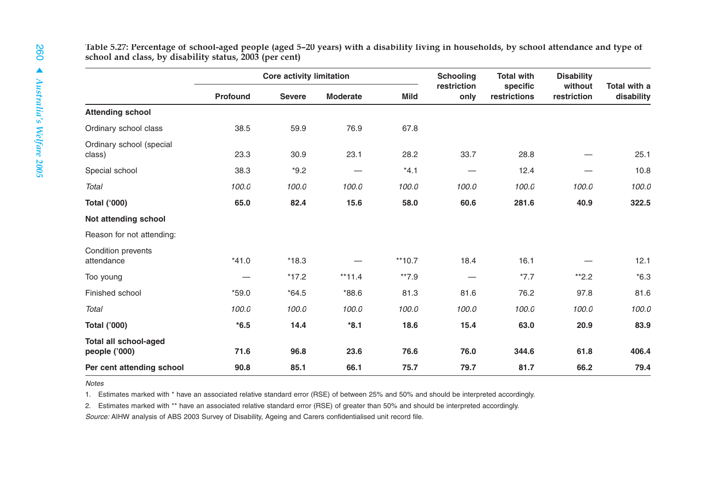|                                               |          | <b>Core activity limitation</b> |                 |             | <b>Schooling</b>    | <b>Total with</b>        | <b>Disability</b>      |                            |
|-----------------------------------------------|----------|---------------------------------|-----------------|-------------|---------------------|--------------------------|------------------------|----------------------------|
|                                               | Profound | <b>Severe</b>                   | <b>Moderate</b> | <b>Mild</b> | restriction<br>only | specific<br>restrictions | without<br>restriction | Total with a<br>disability |
| <b>Attending school</b>                       |          |                                 |                 |             |                     |                          |                        |                            |
| Ordinary school class                         | 38.5     | 59.9                            | 76.9            | 67.8        |                     |                          |                        |                            |
| Ordinary school (special<br>class)            | 23.3     | 30.9                            | 23.1            | 28.2        | 33.7                | 28.8                     |                        | 25.1                       |
| Special school                                | 38.3     | $*9.2$                          |                 | $*4.1$      | $\hspace{0.05cm}$   | 12.4                     |                        | 10.8                       |
| <b>Total</b>                                  | 100.0    | 100.0                           | 100.0           | 100.0       | 100.0               | 100.0                    | 100.0                  | 100.0                      |
| <b>Total ('000)</b>                           | 65.0     | 82.4                            | 15.6            | 58.0        | 60.6                | 281.6                    | 40.9                   | 322.5                      |
| Not attending school                          |          |                                 |                 |             |                     |                          |                        |                            |
| Reason for not attending:                     |          |                                 |                 |             |                     |                          |                        |                            |
| Condition prevents<br>attendance              | $*41.0$  | $*18.3$                         |                 | $**10.7$    | 18.4                | 16.1                     |                        | 12.1                       |
| Too young                                     |          | $*17.2$                         | $**11.4$        | $**7.9$     |                     | $*7.7$                   | $*2.2$                 | $*6.3$                     |
| Finished school                               | $*59.0$  | $*64.5$                         | $*88.6$         | 81.3        | 81.6                | 76.2                     | 97.8                   | 81.6                       |
| <b>Total</b>                                  | 100.0    | 100.0                           | 100.0           | 100.0       | 100.0               | 100.0                    | 100.0                  | 100.0                      |
| <b>Total ('000)</b>                           | $*6.5$   | 14.4                            | $*8.1$          | 18.6        | 15.4                | 63.0                     | 20.9                   | 83.9                       |
| <b>Total all school-aged</b><br>people ('000) | 71.6     | 96.8                            | 23.6            | 76.6        | 76.0                | 344.6                    | 61.8                   | 406.4                      |
| Per cent attending school                     | 90.8     | 85.1                            | 66.1            | 75.7        | 79.7                | 81.7                     | 66.2                   | 79.4                       |

Notes

1. Estimates marked with \* have an associated relative standard error (RSE) of between 25% and 50% and should be interpreted accordingly.

2. Estimates marked with \*\* have an associated relative standard error (RSE) of greater than 50% and should be interpreted accordingly.

Source: AIHW analysis of ABS 2003 Survey of Disability, Ageing and Carers confidentialised unit record file.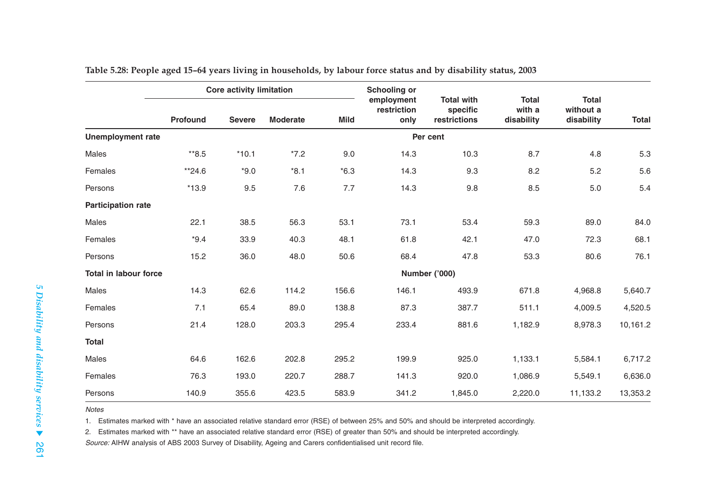|                              | <b>Core activity limitation</b> |               |                 | <b>Schooling or</b> |                                   |                                               |                                      |                                         |              |
|------------------------------|---------------------------------|---------------|-----------------|---------------------|-----------------------------------|-----------------------------------------------|--------------------------------------|-----------------------------------------|--------------|
|                              | Profound                        | <b>Severe</b> | <b>Moderate</b> | <b>Mild</b>         | employment<br>restriction<br>only | <b>Total with</b><br>specific<br>restrictions | <b>Total</b><br>with a<br>disability | <b>Total</b><br>without a<br>disability | <b>Total</b> |
| <b>Unemployment rate</b>     |                                 |               |                 |                     |                                   | Per cent                                      |                                      |                                         |              |
| Males                        | $*8.5$                          | $*10.1$       | $*7.2$          | 9.0                 | 14.3                              | 10.3                                          | 8.7                                  | 4.8                                     | 5.3          |
| Females                      | **24.6                          | $*9.0$        | $*8.1$          | $*6.3$              | 14.3                              | 9.3                                           | 8.2                                  | 5.2                                     | 5.6          |
| Persons                      | $*13.9$                         | 9.5           | $7.6\,$         | 7.7                 | 14.3                              | 9.8                                           | 8.5                                  | 5.0                                     | 5.4          |
| <b>Participation rate</b>    |                                 |               |                 |                     |                                   |                                               |                                      |                                         |              |
| Males                        | 22.1                            | 38.5          | 56.3            | 53.1                | 73.1                              | 53.4                                          | 59.3                                 | 89.0                                    | 84.0         |
| Females                      | $*9.4$                          | 33.9          | 40.3            | 48.1                | 61.8                              | 42.1                                          | 47.0                                 | 72.3                                    | 68.1         |
| Persons                      | 15.2                            | 36.0          | 48.0            | 50.6                | 68.4                              | 47.8                                          | 53.3                                 | 80.6                                    | 76.1         |
| <b>Total in labour force</b> |                                 |               |                 |                     |                                   | Number ('000)                                 |                                      |                                         |              |
| Males                        | 14.3                            | 62.6          | 114.2           | 156.6               | 146.1                             | 493.9                                         | 671.8                                | 4,968.8                                 | 5,640.7      |
| Females                      | 7.1                             | 65.4          | 89.0            | 138.8               | 87.3                              | 387.7                                         | 511.1                                | 4,009.5                                 | 4,520.5      |
| Persons                      | 21.4                            | 128.0         | 203.3           | 295.4               | 233.4                             | 881.6                                         | 1,182.9                              | 8,978.3                                 | 10,161.2     |
| <b>Total</b>                 |                                 |               |                 |                     |                                   |                                               |                                      |                                         |              |
| Males                        | 64.6                            | 162.6         | 202.8           | 295.2               | 199.9                             | 925.0                                         | 1,133.1                              | 5,584.1                                 | 6,717.2      |
| Females                      | 76.3                            | 193.0         | 220.7           | 288.7               | 141.3                             | 920.0                                         | 1,086.9                              | 5,549.1                                 | 6,636.0      |
| Persons                      | 140.9                           | 355.6         | 423.5           | 583.9               | 341.2                             | 1,845.0                                       | 2,220.0                              | 11,133.2                                | 13,353.2     |

**Table 5.28: People aged 15–64 years living in households, by labour force status and by disability status, 2003**

#### Notes

1. Estimates marked with \* have an associated relative standard error (RSE) of between 25% and 50% and should be interpreted accordingly.

2. Estimates marked with \*\* have an associated relative standard error (RSE) of greater than 50% and should be interpreted accordingly.

Source: AIHW analysis of ABS 2003 Survey of Disability, Ageing and Carers confidentialised unit record file.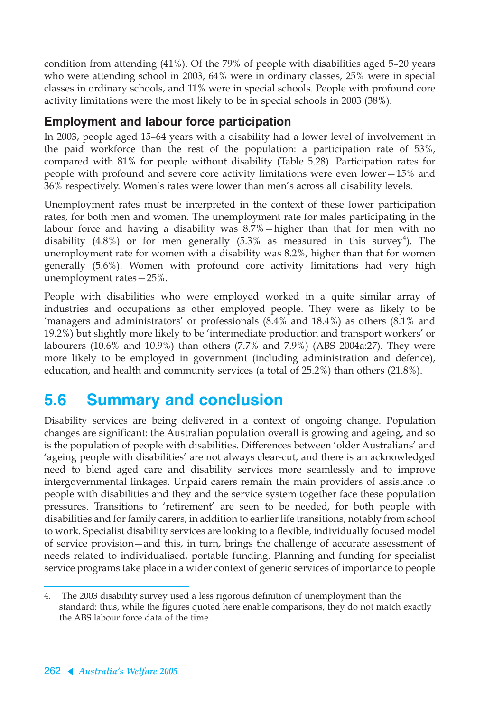condition from attending (41%). Of the 79% of people with disabilities aged 5–20 years who were attending school in 2003, 64% were in ordinary classes, 25% were in special classes in ordinary schools, and 11% were in special schools. People with profound core activity limitations were the most likely to be in special schools in 2003 (38%).

### **Employment and labour force participation**

In 2003, people aged 15–64 years with a disability had a lower level of involvement in the paid workforce than the rest of the population: a participation rate of 53%, compared with 81% for people without disability (Table 5.28). Participation rates for people with profound and severe core activity limitations were even lower—15% and 36% respectively. Women's rates were lower than men's across all disability levels.

Unemployment rates must be interpreted in the context of these lower participation rates, for both men and women. The unemployment rate for males participating in the labour force and having a disability was 8.7%—higher than that for men with no disability (4.8%) or for men generally (5.3% as measured in this survey<sup>4</sup>). The unemployment rate for women with a disability was 8.2%, higher than that for women generally (5.6%). Women with profound core activity limitations had very high unemployment rates—25%.

People with disabilities who were employed worked in a quite similar array of industries and occupations as other employed people. They were as likely to be 'managers and administrators' or professionals (8.4% and 18.4%) as others (8.1% and 19.2%) but slightly more likely to be 'intermediate production and transport workers' or labourers (10.6% and 10.9%) than others (7.7% and 7.9%) (ABS 2004a:27). They were more likely to be employed in government (including administration and defence), education, and health and community services (a total of 25.2%) than others (21.8%).

# **5.6 Summary and conclusion**

Disability services are being delivered in a context of ongoing change. Population changes are significant: the Australian population overall is growing and ageing, and so is the population of people with disabilities. Differences between 'older Australians' and 'ageing people with disabilities' are not always clear-cut, and there is an acknowledged need to blend aged care and disability services more seamlessly and to improve intergovernmental linkages. Unpaid carers remain the main providers of assistance to people with disabilities and they and the service system together face these population pressures. Transitions to 'retirement' are seen to be needed, for both people with disabilities and for family carers, in addition to earlier life transitions, notably from school to work. Specialist disability services are looking to a flexible, individually focused model of service provision—and this, in turn, brings the challenge of accurate assessment of needs related to individualised, portable funding. Planning and funding for specialist service programs take place in a wider context of generic services of importance to people

<sup>4.</sup> The 2003 disability survey used a less rigorous definition of unemployment than the standard: thus, while the figures quoted here enable comparisons, they do not match exactly the ABS labour force data of the time.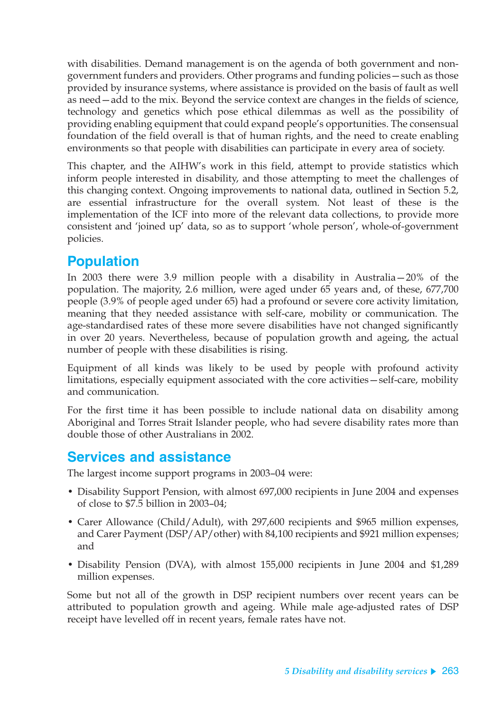with disabilities. Demand management is on the agenda of both government and nongovernment funders and providers. Other programs and funding policies—such as those provided by insurance systems, where assistance is provided on the basis of fault as well as need—add to the mix. Beyond the service context are changes in the fields of science, technology and genetics which pose ethical dilemmas as well as the possibility of providing enabling equipment that could expand people's opportunities. The consensual foundation of the field overall is that of human rights, and the need to create enabling environments so that people with disabilities can participate in every area of society.

This chapter, and the AIHW's work in this field, attempt to provide statistics which inform people interested in disability, and those attempting to meet the challenges of this changing context. Ongoing improvements to national data, outlined in Section 5.2, are essential infrastructure for the overall system. Not least of these is the implementation of the ICF into more of the relevant data collections, to provide more consistent and 'joined up' data, so as to support 'whole person', whole-of-government policies.

## **Population**

In 2003 there were 3.9 million people with a disability in Australia—20% of the population. The majority, 2.6 million, were aged under 65 years and, of these, 677,700 people (3.9% of people aged under 65) had a profound or severe core activity limitation, meaning that they needed assistance with self-care, mobility or communication. The age-standardised rates of these more severe disabilities have not changed significantly in over 20 years. Nevertheless, because of population growth and ageing, the actual number of people with these disabilities is rising.

Equipment of all kinds was likely to be used by people with profound activity limitations, especially equipment associated with the core activities—self-care, mobility and communication.

For the first time it has been possible to include national data on disability among Aboriginal and Torres Strait Islander people, who had severe disability rates more than double those of other Australians in 2002.

### **Services and assistance**

The largest income support programs in 2003–04 were:

- Disability Support Pension, with almost 697,000 recipients in June 2004 and expenses of close to \$7.5 billion in 2003–04;
- Carer Allowance (Child/Adult), with 297,600 recipients and \$965 million expenses, and Carer Payment (DSP/AP/other) with 84,100 recipients and \$921 million expenses; and
- Disability Pension (DVA), with almost 155,000 recipients in June 2004 and \$1,289 million expenses.

Some but not all of the growth in DSP recipient numbers over recent years can be attributed to population growth and ageing. While male age-adjusted rates of DSP receipt have levelled off in recent years, female rates have not.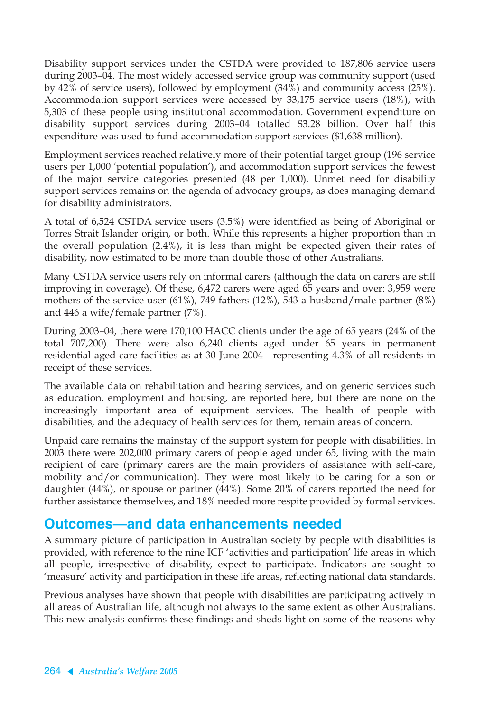Disability support services under the CSTDA were provided to 187,806 service users during 2003–04. The most widely accessed service group was community support (used by 42% of service users), followed by employment (34%) and community access (25%). Accommodation support services were accessed by 33,175 service users (18%), with 5,303 of these people using institutional accommodation. Government expenditure on disability support services during 2003–04 totalled \$3.28 billion. Over half this expenditure was used to fund accommodation support services (\$1,638 million).

Employment services reached relatively more of their potential target group (196 service users per 1,000 'potential population'), and accommodation support services the fewest of the major service categories presented (48 per 1,000). Unmet need for disability support services remains on the agenda of advocacy groups, as does managing demand for disability administrators.

A total of 6,524 CSTDA service users (3.5%) were identified as being of Aboriginal or Torres Strait Islander origin, or both. While this represents a higher proportion than in the overall population (2.4%), it is less than might be expected given their rates of disability, now estimated to be more than double those of other Australians.

Many CSTDA service users rely on informal carers (although the data on carers are still improving in coverage). Of these, 6,472 carers were aged 65 years and over: 3,959 were mothers of the service user (61%), 749 fathers (12%), 543 a husband/male partner (8%) and 446 a wife/female partner (7%).

During 2003–04, there were 170,100 HACC clients under the age of 65 years (24% of the total 707,200). There were also 6,240 clients aged under 65 years in permanent residential aged care facilities as at 30 June 2004—representing 4.3% of all residents in receipt of these services.

The available data on rehabilitation and hearing services, and on generic services such as education, employment and housing, are reported here, but there are none on the increasingly important area of equipment services. The health of people with disabilities, and the adequacy of health services for them, remain areas of concern.

Unpaid care remains the mainstay of the support system for people with disabilities. In 2003 there were 202,000 primary carers of people aged under 65, living with the main recipient of care (primary carers are the main providers of assistance with self-care, mobility and/or communication). They were most likely to be caring for a son or daughter (44%), or spouse or partner (44%). Some 20% of carers reported the need for further assistance themselves, and 18% needed more respite provided by formal services.

### **Outcomes—and data enhancements needed**

A summary picture of participation in Australian society by people with disabilities is provided, with reference to the nine ICF 'activities and participation' life areas in which all people, irrespective of disability, expect to participate. Indicators are sought to 'measure' activity and participation in these life areas, reflecting national data standards.

Previous analyses have shown that people with disabilities are participating actively in all areas of Australian life, although not always to the same extent as other Australians. This new analysis confirms these findings and sheds light on some of the reasons why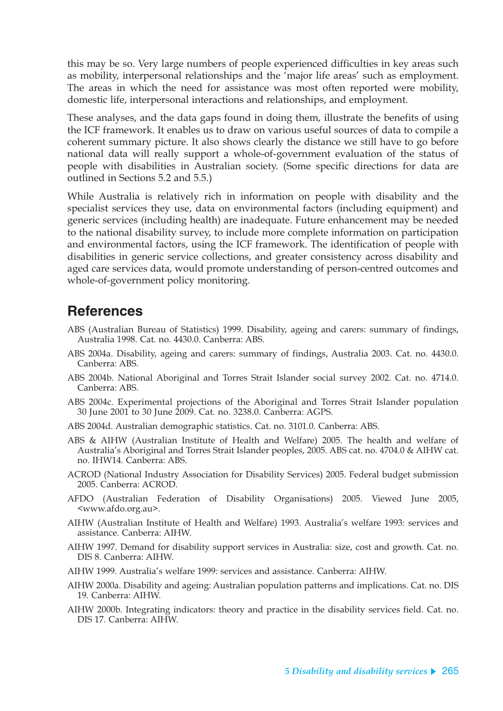this may be so. Very large numbers of people experienced difficulties in key areas such as mobility, interpersonal relationships and the 'major life areas' such as employment. The areas in which the need for assistance was most often reported were mobility, domestic life, interpersonal interactions and relationships, and employment.

These analyses, and the data gaps found in doing them, illustrate the benefits of using the ICF framework. It enables us to draw on various useful sources of data to compile a coherent summary picture. It also shows clearly the distance we still have to go before national data will really support a whole-of-government evaluation of the status of people with disabilities in Australian society. (Some specific directions for data are outlined in Sections 5.2 and 5.5.)

While Australia is relatively rich in information on people with disability and the specialist services they use, data on environmental factors (including equipment) and generic services (including health) are inadequate. Future enhancement may be needed to the national disability survey, to include more complete information on participation and environmental factors, using the ICF framework. The identification of people with disabilities in generic service collections, and greater consistency across disability and aged care services data, would promote understanding of person-centred outcomes and whole-of-government policy monitoring.

## **References**

- ABS (Australian Bureau of Statistics) 1999. Disability, ageing and carers: summary of findings, Australia 1998. Cat. no. 4430.0. Canberra: ABS.
- ABS 2004a. Disability, ageing and carers: summary of findings, Australia 2003. Cat. no. 4430.0. Canberra: ABS.
- ABS 2004b. National Aboriginal and Torres Strait Islander social survey 2002. Cat. no. 4714.0. Canberra: ABS.
- ABS 2004c. Experimental projections of the Aboriginal and Torres Strait Islander population 30 June 2001 to 30 June 2009. Cat. no. 3238.0. Canberra: AGPS.
- ABS 2004d. Australian demographic statistics. Cat. no. 3101.0. Canberra: ABS.
- ABS & AIHW (Australian Institute of Health and Welfare) 2005. The health and welfare of Australia's Aboriginal and Torres Strait Islander peoples, 2005. ABS cat. no. 4704.0 & AIHW cat. no. IHW14. Canberra: ABS.
- ACROD (National Industry Association for Disability Services) 2005. Federal budget submission 2005. Canberra: ACROD.
- AFDO (Australian Federation of Disability Organisations) 2005. Viewed June 2005, <www.afdo.org.au>.
- AIHW (Australian Institute of Health and Welfare) 1993. Australia's welfare 1993: services and assistance. Canberra: AIHW.
- AIHW 1997. Demand for disability support services in Australia: size, cost and growth. Cat. no. DIS 8. Canberra: AIHW.
- AIHW 1999. Australia's welfare 1999: services and assistance. Canberra: AIHW.
- AIHW 2000a. Disability and ageing: Australian population patterns and implications. Cat. no. DIS 19. Canberra: AIHW.
- AIHW 2000b. Integrating indicators: theory and practice in the disability services field. Cat. no. DIS 17. Canberra: AIHW.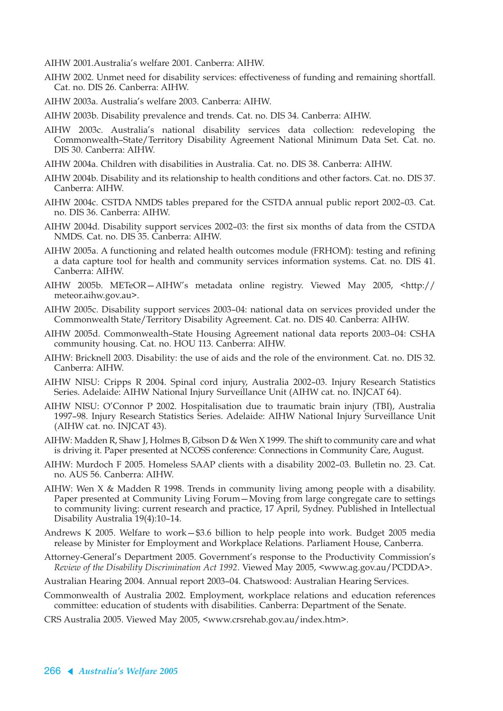AIHW 2001.Australia's welfare 2001. Canberra: AIHW.

- AIHW 2002. Unmet need for disability services: effectiveness of funding and remaining shortfall. Cat. no. DIS 26. Canberra: AIHW.
- AIHW 2003a. Australia's welfare 2003. Canberra: AIHW.
- AIHW 2003b. Disability prevalence and trends. Cat. no. DIS 34. Canberra: AIHW.
- AIHW 2003c. Australia's national disability services data collection: redeveloping the Commonwealth–State/Territory Disability Agreement National Minimum Data Set. Cat. no. DIS 30. Canberra: AIHW.
- AIHW 2004a. Children with disabilities in Australia. Cat. no. DIS 38. Canberra: AIHW.
- AIHW 2004b. Disability and its relationship to health conditions and other factors. Cat. no. DIS 37. Canberra: AIHW.
- AIHW 2004c. CSTDA NMDS tables prepared for the CSTDA annual public report 2002–03. Cat. no. DIS 36. Canberra: AIHW.
- AIHW 2004d. Disability support services 2002–03: the first six months of data from the CSTDA NMDS. Cat. no. DIS 35. Canberra: AIHW.
- AIHW 2005a. A functioning and related health outcomes module (FRHOM): testing and refining a data capture tool for health and community services information systems. Cat. no. DIS 41. Canberra: AIHW.
- AIHW 2005b. METeOR—AIHW's metadata online registry. Viewed May 2005, <http:// meteor.aihw.gov.au>.
- AIHW 2005c. Disability support services 2003–04: national data on services provided under the Commonwealth State/Territory Disability Agreement. Cat. no. DIS 40. Canberra: AIHW.
- AIHW 2005d. Commonwealth–State Housing Agreement national data reports 2003–04: CSHA community housing. Cat. no. HOU 113. Canberra: AIHW.
- AIHW: Bricknell 2003. Disability: the use of aids and the role of the environment. Cat. no. DIS 32. Canberra: AIHW.
- AIHW NISU: Cripps R 2004. Spinal cord injury, Australia 2002–03. Injury Research Statistics Series. Adelaide: AIHW National Injury Surveillance Unit (AIHW cat. no. INJCAT 64).
- AIHW NISU: O'Connor P 2002. Hospitalisation due to traumatic brain injury (TBI), Australia 1997–98. Injury Research Statistics Series. Adelaide: AIHW National Injury Surveillance Unit (AIHW cat. no. INJCAT 43).
- AIHW: Madden R, Shaw J, Holmes B, Gibson D & Wen X 1999. The shift to community care and what is driving it. Paper presented at NCOSS conference: Connections in Community Care, August.
- AIHW: Murdoch F 2005. Homeless SAAP clients with a disability 2002–03. Bulletin no. 23. Cat. no. AUS 56. Canberra: AIHW.
- AIHW: Wen X & Madden R 1998. Trends in community living among people with a disability. Paper presented at Community Living Forum—Moving from large congregate care to settings to community living: current research and practice, 17 April, Sydney. Published in Intellectual Disability Australia 19(4):10–14.
- Andrews K 2005. Welfare to work—\$3.6 billion to help people into work. Budget 2005 media release by Minister for Employment and Workplace Relations. Parliament House, Canberra.
- Attorney-General's Department 2005. Government's response to the Productivity Commission's *Review of the Disability Discrimination Act 1992*. Viewed May 2005, <www.ag.gov.au/PCDDA>.
- Australian Hearing 2004. Annual report 2003–04. Chatswood: Australian Hearing Services.
- Commonwealth of Australia 2002. Employment, workplace relations and education references committee: education of students with disabilities. Canberra: Department of the Senate.

CRS Australia 2005. Viewed May 2005, <www.crsrehab.gov.au/index.htm>.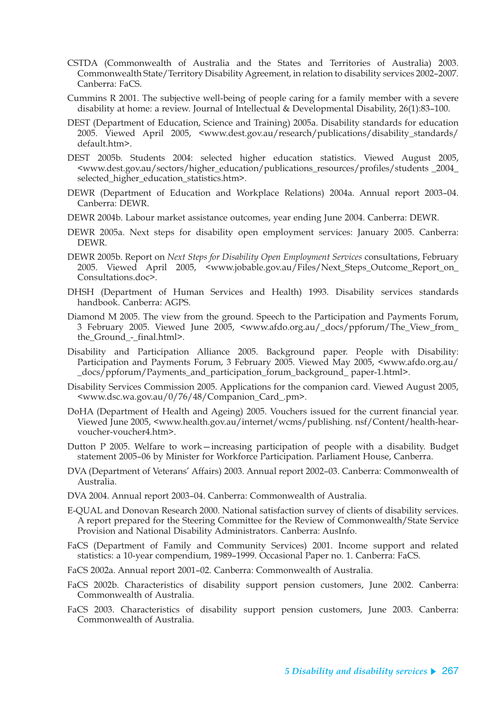- CSTDA (Commonwealth of Australia and the States and Territories of Australia) 2003. Commonwealth State/Territory Disability Agreement, in relation to disability services 2002–2007. Canberra: FaCS.
- Cummins R 2001. The subjective well-being of people caring for a family member with a severe disability at home: a review. Journal of Intellectual & Developmental Disability, 26(1):83–100.
- DEST (Department of Education, Science and Training) 2005a. Disability standards for education 2005. Viewed April 2005, <www.dest.gov.au/research/publications/disability\_standards/ default.htm>.
- DEST 2005b. Students 2004: selected higher education statistics. Viewed August 2005, <www.dest.gov.au/sectors/higher\_education/publications\_resources/profiles/students \_2004\_ selected\_higher\_education\_statistics.htm>.
- DEWR (Department of Education and Workplace Relations) 2004a. Annual report 2003–04. Canberra: DEWR.
- DEWR 2004b. Labour market assistance outcomes, year ending June 2004. Canberra: DEWR.
- DEWR 2005a. Next steps for disability open employment services: January 2005. Canberra: DEWR.
- DEWR 2005b. Report on *Next Steps for Disability Open Employment Services* consultations, February 2005. Viewed April 2005, <www.jobable.gov.au/Files/Next\_Steps\_Outcome\_Report\_on\_ Consultations.doc>.
- DHSH (Department of Human Services and Health) 1993. Disability services standards handbook. Canberra: AGPS.
- Diamond M 2005. The view from the ground. Speech to the Participation and Payments Forum, 3 February 2005. Viewed June 2005, <www.afdo.org.au/\_docs/ppforum/The\_View\_from\_ the Ground - final.html>.
- Disability and Participation Alliance 2005. Background paper. People with Disability: Participation and Payments Forum, 3 February 2005. Viewed May 2005, <www.afdo.org.au/ \_docs/ppforum/Payments\_and\_participation\_forum\_background\_ paper-1.html>.
- Disability Services Commission 2005. Applications for the companion card. Viewed August 2005, <www.dsc.wa.gov.au/0/76/48/Companion\_Card\_.pm>.
- DoHA (Department of Health and Ageing) 2005. Vouchers issued for the current financial year. Viewed June 2005, <www.health.gov.au/internet/wcms/publishing. nsf/Content/health-hearvoucher-voucher4.htm>.
- Dutton P 2005. Welfare to work—increasing participation of people with a disability. Budget statement 2005–06 by Minister for Workforce Participation. Parliament House, Canberra.
- DVA (Department of Veterans' Affairs) 2003. Annual report 2002–03. Canberra: Commonwealth of Australia.
- DVA 2004. Annual report 2003–04. Canberra: Commonwealth of Australia.
- E-QUAL and Donovan Research 2000. National satisfaction survey of clients of disability services. A report prepared for the Steering Committee for the Review of Commonwealth/State Service Provision and National Disability Administrators. Canberra: AusInfo.
- FaCS (Department of Family and Community Services) 2001. Income support and related statistics: a 10-year compendium, 1989–1999. Occasional Paper no. 1. Canberra: FaCS.
- FaCS 2002a. Annual report 2001–02. Canberra: Commonwealth of Australia.
- FaCS 2002b. Characteristics of disability support pension customers, June 2002. Canberra: Commonwealth of Australia.
- FaCS 2003. Characteristics of disability support pension customers, June 2003. Canberra: Commonwealth of Australia.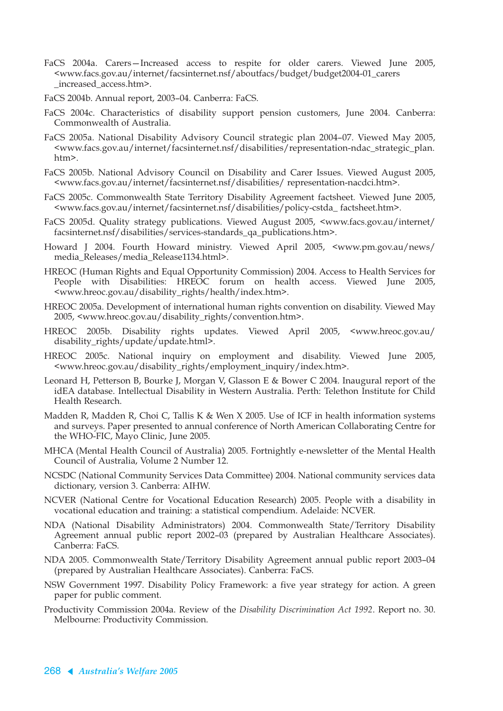- FaCS 2004a. Carers—Increased access to respite for older carers. Viewed June 2005, <www.facs.gov.au/internet/facsinternet.nsf/aboutfacs/budget/budget2004-01\_carers \_increased\_access.htm>.
- FaCS 2004b. Annual report, 2003–04. Canberra: FaCS.
- FaCS 2004c. Characteristics of disability support pension customers, June 2004. Canberra: Commonwealth of Australia.
- FaCS 2005a. National Disability Advisory Council strategic plan 2004–07. Viewed May 2005, <www.facs.gov.au/internet/facsinternet.nsf/disabilities/representation-ndac\_strategic\_plan. htm>.
- FaCS 2005b. National Advisory Council on Disability and Carer Issues. Viewed August 2005, <www.facs.gov.au/internet/facsinternet.nsf/disabilities/ representation-nacdci.htm>.
- FaCS 2005c. Commonwealth State Territory Disability Agreement factsheet. Viewed June 2005, <www.facs.gov.au/internet/facsinternet.nsf/disabilities/policy-cstda\_ factsheet.htm>.
- FaCS 2005d. Quality strategy publications. Viewed August 2005, <www.facs.gov.au/internet/ facsinternet.nsf/disabilities/services-standards\_qa\_publications.htm>.
- Howard J 2004. Fourth Howard ministry. Viewed April 2005, <www.pm.gov.au/news/ media\_Releases/media\_Release1134.html>.
- HREOC (Human Rights and Equal Opportunity Commission) 2004. Access to Health Services for People with Disabilities: HREOC forum on health access. Viewed June 2005, <www.hreoc.gov.au/disability\_rights/health/index.htm>.
- HREOC 2005a. Development of international human rights convention on disability. Viewed May 2005, <www.hreoc.gov.au/disability\_rights/convention.htm>.
- HREOC 2005b. Disability rights updates. Viewed April 2005, <www.hreoc.gov.au/ disability\_rights/update/update.html>.
- HREOC 2005c. National inquiry on employment and disability. Viewed June 2005, <www.hreoc.gov.au/disability\_rights/employment\_inquiry/index.htm>.
- Leonard H, Petterson B, Bourke J, Morgan V, Glasson E & Bower C 2004. Inaugural report of the idEA database. Intellectual Disability in Western Australia. Perth: Telethon Institute for Child Health Research.
- Madden R, Madden R, Choi C, Tallis K & Wen X 2005. Use of ICF in health information systems and surveys. Paper presented to annual conference of North American Collaborating Centre for the WHO-FIC, Mayo Clinic, June 2005.
- MHCA (Mental Health Council of Australia) 2005. Fortnightly e-newsletter of the Mental Health Council of Australia, Volume 2 Number 12.
- NCSDC (National Community Services Data Committee) 2004. National community services data dictionary, version 3. Canberra: AIHW.
- NCVER (National Centre for Vocational Education Research) 2005. People with a disability in vocational education and training: a statistical compendium. Adelaide: NCVER.
- NDA (National Disability Administrators) 2004. Commonwealth State/Territory Disability Agreement annual public report 2002–03 (prepared by Australian Healthcare Associates). Canberra: FaCS.
- NDA 2005. Commonwealth State/Territory Disability Agreement annual public report 2003–04 (prepared by Australian Healthcare Associates). Canberra: FaCS.
- NSW Government 1997. Disability Policy Framework: a five year strategy for action. A green paper for public comment.
- Productivity Commission 2004a. Review of the *Disability Discrimination Act 1992*. Report no. 30. Melbourne: Productivity Commission.